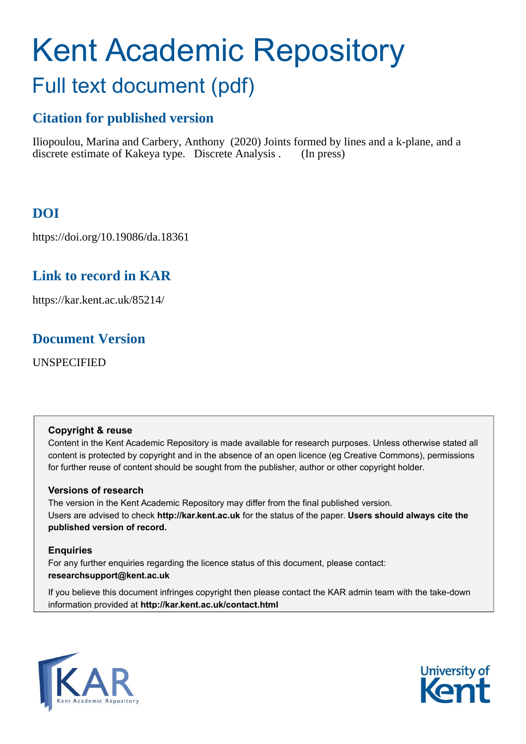# Kent Academic Repository

# Full text document (pdf)

# **Citation for published version**

Iliopoulou, Marina and Carbery, Anthony (2020) Joints formed by lines and a k-plane, and a discrete estimate of Kakeya type. Discrete Analysis . (In press)

# **DOI**

https://doi.org/10.19086/da.18361

# **Link to record in KAR**

https://kar.kent.ac.uk/85214/

# **Document Version**

UNSPECIFIED

# **Copyright & reuse**

Content in the Kent Academic Repository is made available for research purposes. Unless otherwise stated all content is protected by copyright and in the absence of an open licence (eg Creative Commons), permissions for further reuse of content should be sought from the publisher, author or other copyright holder.

# **Versions of research**

The version in the Kent Academic Repository may differ from the final published version. Users are advised to check **http://kar.kent.ac.uk** for the status of the paper. **Users should always cite the published version of record.**

# **Enquiries**

For any further enquiries regarding the licence status of this document, please contact: **researchsupport@kent.ac.uk**

If you believe this document infringes copyright then please contact the KAR admin team with the take-down information provided at **http://kar.kent.ac.uk/contact.html**



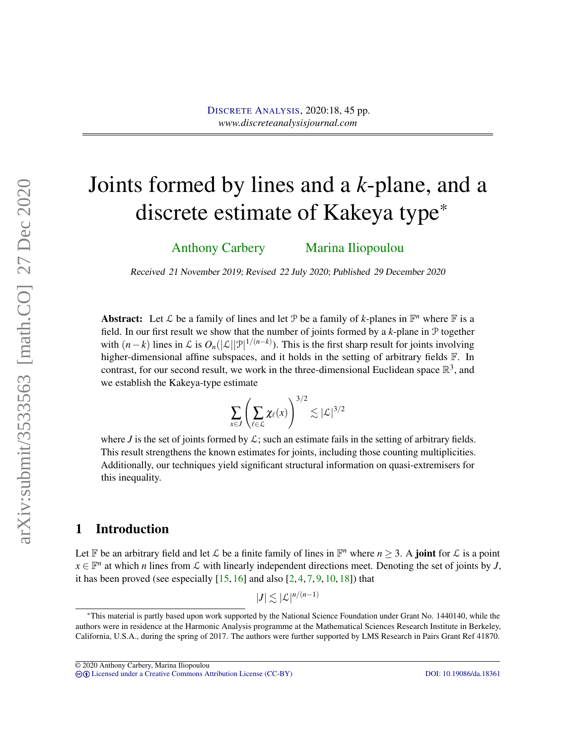# Joints formed by lines and a *k*-plane, and a discrete estimate of Kakeya type\*

Anthony Carbery Marina Iliopoulou

Received 21 November 2019; Revised 22 July 2020; Published 29 December 2020

Abstract: Let  $\mathcal L$  be a family of lines and let  $\mathcal P$  be a family of *k*-planes in  $\mathbb F^n$  where  $\mathbb F$  is a field. In our first result we show that the number of joints formed by a *k*-plane in P together with  $(n-k)$  lines in L is  $O_n(|L||\mathcal{P}|^{1/(n-k)})$ . This is the first sharp result for joints involving higher-dimensional affine subspaces, and it holds in the setting of arbitrary fields  $\mathbb{F}$ . In contrast, for our second result, we work in the three-dimensional Euclidean space  $\mathbb{R}^3$ , and we establish the Kakeya-type estimate

$$
\sum_{x \in J} \left( \sum_{\ell \in \mathcal{L}} \chi_{\ell}(x) \right)^{3/2} \lesssim |\mathcal{L}|^{3/2}
$$

where *J* is the set of joints formed by  $\mathcal{L}$ ; such an estimate fails in the setting of arbitrary fields. This result strengthens the known estimates for joints, including those counting multiplicities. Additionally, our techniques yield significant structural information on quasi-extremisers for this inequality.

## 1 Introduction

Let  $\mathbb F$  be an arbitrary field and let  $\mathcal L$  be a finite family of lines in  $\mathbb F^n$  where  $n \geq 3$ . A **joint** for  $\mathcal L$  is a point  $x \in \mathbb{F}^n$  at which *n* lines from  $\mathcal L$  with linearly independent directions meet. Denoting the set of joints by *J*, it has been proved (see especially  $[15, 16]$  and also  $[2, 4, 7, 9, 10, 18]$ ) that

 $|J| \lesssim |\mathcal{L}|^{n/(n-1)}$ 

© 2020 Anthony Carbery, Marina Iliopoulou

<sup>\*</sup>This material is partly based upon work supported by the National Science Foundation under Grant No. 1440140, while the authors were in residence at the Harmonic Analysis programme at the Mathematical Sciences Research Institute in Berkeley, California, U.S.A., during the spring of 2017. The authors were further supported by LMS Research in Pairs Grant Ref 41870.

cb [Licensed under a Creative Commons Attribution License \(CC-BY\)](http://creativecommons.org/licenses/by/3.0/) [DOI: 10.19086/da.18361](http://dx.doi.org/10.19086/da.18361)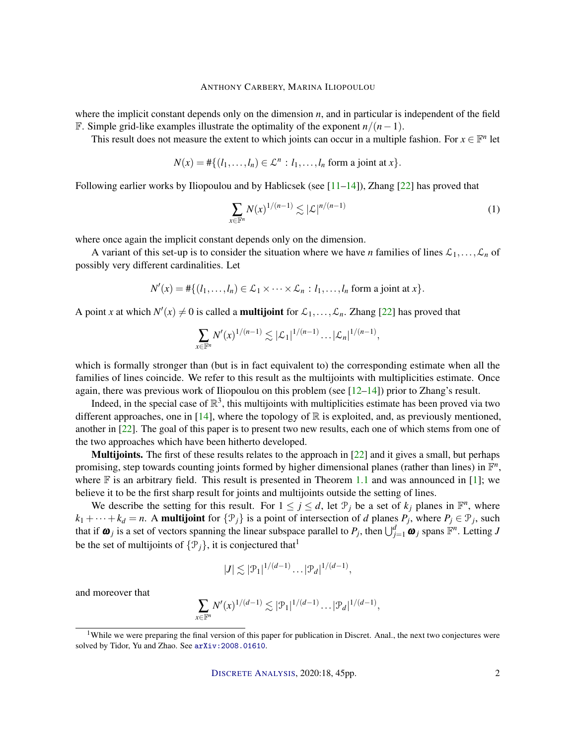where the implicit constant depends only on the dimension *n*, and in particular is independent of the field F. Simple grid-like examples illustrate the optimality of the exponent *n*/(*n*−1).

This result does not measure the extent to which joints can occur in a multiple fashion. For  $x \in \mathbb{F}^n$  let

$$
N(x) = #\{(l_1,\ldots,l_n) \in \mathcal{L}^n : l_1,\ldots,l_n \text{ form a joint at } x\}.
$$

Following earlier works by Iliopoulou and by Hablicsek (see [11–14]), Zhang [22] has proved that

$$
\sum_{x \in \mathbb{F}^n} N(x)^{1/(n-1)} \lesssim |\mathcal{L}|^{n/(n-1)} \tag{1}
$$

where once again the implicit constant depends only on the dimension.

A variant of this set-up is to consider the situation where we have *n* families of lines  $\mathcal{L}_1, \ldots, \mathcal{L}_n$  of possibly very different cardinalities. Let

$$
N'(x) = #\{(l_1,\ldots,l_n) \in \mathcal{L}_1 \times \cdots \times \mathcal{L}_n : l_1,\ldots,l_n \text{ form a joint at } x\}.
$$

A point *x* at which  $N'(x) \neq 0$  is called a **multijoint** for  $\mathcal{L}_1, \ldots, \mathcal{L}_n$ . Zhang [22] has proved that

$$
\sum_{x \in \mathbb{F}^n} N'(x)^{1/(n-1)} \lesssim |\mathcal{L}_1|^{1/(n-1)} \dots |\mathcal{L}_n|^{1/(n-1)},
$$

which is formally stronger than (but is in fact equivalent to) the corresponding estimate when all the families of lines coincide. We refer to this result as the multijoints with multiplicities estimate. Once again, there was previous work of Iliopoulou on this problem (see [12–14]) prior to Zhang's result.

Indeed, in the special case of  $\mathbb{R}^3$ , this multijoints with multiplicities estimate has been proved via two different approaches, one in [14], where the topology of  $\mathbb R$  is exploited, and, as previously mentioned, another in [22]. The goal of this paper is to present two new results, each one of which stems from one of the two approaches which have been hitherto developed.

Multijoints. The first of these results relates to the approach in [22] and it gives a small, but perhaps promising, step towards counting joints formed by higher dimensional planes (rather than lines) in  $\mathbb{F}^n$ , where  $\mathbb F$  is an arbitrary field. This result is presented in Theorem 1.1 and was announced in [1]; we believe it to be the first sharp result for joints and multijoints outside the setting of lines.

We describe the setting for this result. For  $1 \leq j \leq d$ , let  $\mathcal{P}_j$  be a set of  $k_j$  planes in  $\mathbb{F}^n$ , where  $k_1 + \cdots + k_d = n$ . A multijoint for  $\{\mathcal{P}_j\}$  is a point of intersection of *d* planes  $P_j$ , where  $P_j \in \mathcal{P}_j$ , such that if  $\omega_j$  is a set of vectors spanning the linear subspace parallel to  $P_j$ , then  $\bigcup_{j=1}^d \omega_j$  spans  $\mathbb{F}^n$ . Letting *J* be the set of multijoints of  $\{\mathcal{P}_i\}$ , it is conjectured that<sup>1</sup>

$$
|J| \lesssim |\mathcal{P}_1|^{1/(d-1)} \dots |\mathcal{P}_d|^{1/(d-1)},
$$

and moreover that

$$
\sum_{x \in \mathbb{F}^n} N'(x)^{1/(d-1)} \lesssim |\mathcal{P}_1|^{1/(d-1)} \dots |\mathcal{P}_d|^{1/(d-1)},
$$

<sup>&</sup>lt;sup>1</sup>While we were preparing the final version of this paper for publication in Discret. Anal., the next two conjectures were solved by Tidor, Yu and Zhao. See <arXiv:2008.01610>.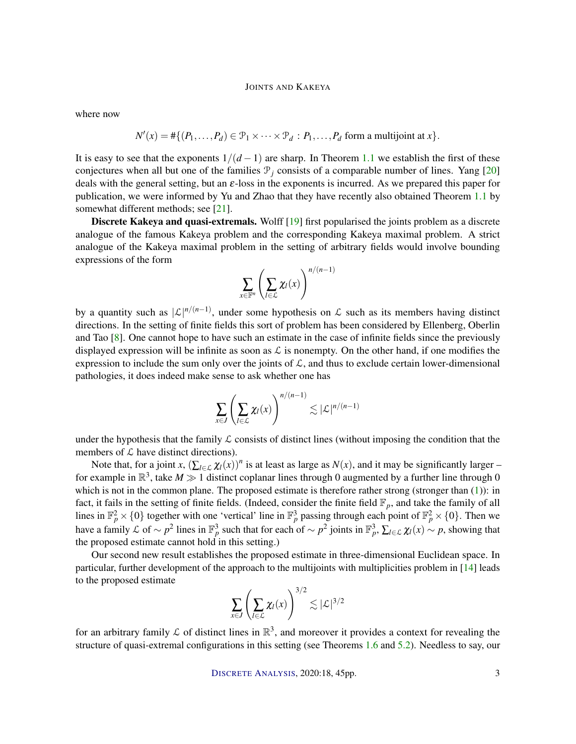where now

$$
N'(x) = #\{(P_1,\ldots,P_d) \in \mathcal{P}_1 \times \cdots \times \mathcal{P}_d : P_1,\ldots,P_d \text{ form a multijoint at } x\}.
$$

It is easy to see that the exponents  $1/(d-1)$  are sharp. In Theorem 1.1 we establish the first of these conjectures when all but one of the families  $\mathcal{P}_j$  consists of a comparable number of lines. Yang [20] deals with the general setting, but an  $\varepsilon$ -loss in the exponents is incurred. As we prepared this paper for publication, we were informed by Yu and Zhao that they have recently also obtained Theorem 1.1 by somewhat different methods; see [21].

Discrete Kakeya and quasi-extremals. Wolff [19] first popularised the joints problem as a discrete analogue of the famous Kakeya problem and the corresponding Kakeya maximal problem. A strict analogue of the Kakeya maximal problem in the setting of arbitrary fields would involve bounding expressions of the form

$$
\sum_{x\in\mathbb{F}^n}\left(\sum_{l\in\mathcal{L}}\chi_l(x)\right)^{n/(n-1)}
$$

by a quantity such as  $|\mathcal{L}|^{n/(n-1)}$ , under some hypothesis on  $\mathcal{L}$  such as its members having distinct directions. In the setting of finite fields this sort of problem has been considered by Ellenberg, Oberlin and Tao [8]. One cannot hope to have such an estimate in the case of infinite fields since the previously displayed expression will be infinite as soon as  $\mathcal L$  is nonempty. On the other hand, if one modifies the expression to include the sum only over the joints of  $\mathcal{L}$ , and thus to exclude certain lower-dimensional pathologies, it does indeed make sense to ask whether one has

$$
\sum_{x \in J} \left( \sum_{l \in \mathcal{L}} \chi_l(x) \right)^{n/(n-1)} \lesssim |\mathcal{L}|^{n/(n-1)}
$$

under the hypothesis that the family  $\mathcal L$  consists of distinct lines (without imposing the condition that the members of  $\mathcal L$  have distinct directions).

Note that, for a joint *x*,  $(\sum_{l \in \mathcal{L}} \chi_l(x))^n$  is at least as large as  $N(x)$ , and it may be significantly larger – for example in  $\mathbb{R}^3$ , take  $M \gg 1$  distinct coplanar lines through 0 augmented by a further line through 0 which is not in the common plane. The proposed estimate is therefore rather strong (stronger than (1)): in fact, it fails in the setting of finite fields. (Indeed, consider the finite field  $\mathbb{F}_p$ , and take the family of all lines in  $\mathbb{F}_p^2 \times \{0\}$  together with one 'vertical' line in  $\mathbb{F}_p^3$  passing through each point of  $\mathbb{F}_p^2 \times \{0\}$ . Then we have a family L of  $\sim p^2$  lines in  $\mathbb{F}_p^3$  such that for each of  $\sim p^2$  joints in  $\mathbb{F}_p^3$ ,  $\sum_{l\in\mathcal{L}} \chi_l(x) \sim p$ , showing that the proposed estimate cannot hold in this setting.)

Our second new result establishes the proposed estimate in three-dimensional Euclidean space. In particular, further development of the approach to the multijoints with multiplicities problem in [14] leads to the proposed estimate  $\overline{3}$ 

$$
\sum_{x \in J} \left( \sum_{l \in \mathcal{L}} \chi_l(x) \right)^{3/2} \lesssim |\mathcal{L}|^{3/2}
$$

for an arbitrary family  $\mathcal L$  of distinct lines in  $\mathbb R^3$ , and moreover it provides a context for revealing the structure of quasi-extremal configurations in this setting (see Theorems 1.6 and 5.2). Needless to say, our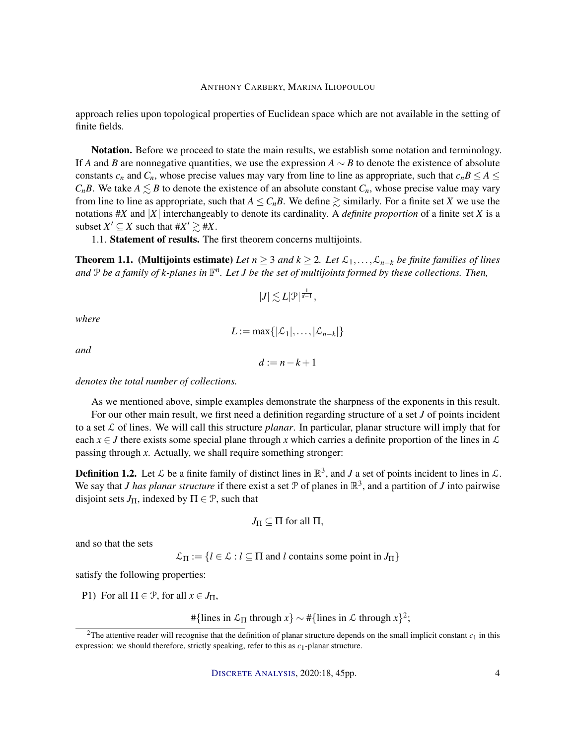approach relies upon topological properties of Euclidean space which are not available in the setting of finite fields.

Notation. Before we proceed to state the main results, we establish some notation and terminology. If *A* and *B* are nonnegative quantities, we use the expression  $A \sim B$  to denote the existence of absolute constants  $c_n$  and  $C_n$ , whose precise values may vary from line to line as appropriate, such that  $c_n B \leq A \leq$ *C<sub>n</sub>B*. We take  $A \leq B$  to denote the existence of an absolute constant  $C_n$ , whose precise value may vary from line to line as appropriate, such that  $A \leq C_n B$ . We define  $\geq$  similarly. For a finite set *X* we use the notations #*X* and |*X*| interchangeably to denote its cardinality. A *definite proportion* of a finite set *X* is a subset  $X' \subseteq X$  such that  $\#X' \geq \#X$ .

1.1. Statement of results. The first theorem concerns multijoints.

**Theorem 1.1.** (Multijoints estimate) *Let*  $n ≥ 3$  *and*  $k ≥ 2$ *. Let*  $\mathcal{L}_1, ..., \mathcal{L}_{n-k}$  *be finite families of lines* and P be a family of k-planes in  $\mathbb{F}^n$ . Let J be the set of multijoints formed by these collections. Then,

$$
|J| \lesssim L|\mathcal{P}|^{\frac{1}{d-1}},
$$

*where*

$$
L := \max\{|\mathcal{L}_1|,\ldots,|\mathcal{L}_{n-k}|\}
$$

*and*

$$
d:=n-k+1
$$

*denotes the total number of collections.*

As we mentioned above, simple examples demonstrate the sharpness of the exponents in this result. For our other main result, we first need a definition regarding structure of a set *J* of points incident

to a set  $\mathcal L$  of lines. We will call this structure *planar*. In particular, planar structure will imply that for each  $x \in J$  there exists some special plane through x which carries a definite proportion of the lines in  $\mathcal L$ passing through *x*. Actually, we shall require something stronger:

**Definition 1.2.** Let  $\mathcal{L}$  be a finite family of distinct lines in  $\mathbb{R}^3$ , and *J* a set of points incident to lines in  $\mathcal{L}$ . We say that *J has planar structure* if there exist a set  $P$  of planes in  $\mathbb{R}^3$ , and a partition of *J* into pairwise disjoint sets  $J_{\Pi}$ , indexed by  $\Pi \in \mathcal{P}$ , such that

$$
J_{\Pi} \subseteq \Pi \text{ for all } \Pi,
$$

and so that the sets

 $\mathcal{L}_{\Pi} := \{l \in \mathcal{L} : l \subseteq \Pi \text{ and } l \text{ contains some point in } J_{\Pi}\}\$ 

satisfy the following properties:

P1) For all  $\Pi \in \mathcal{P}$ , for all  $x \in J_{\Pi}$ ,

#{lines in  $\mathcal{L}_{\Pi}$  through  $x$ } ~ #{lines in  $\mathcal{L}$  through  $x$ }<sup>2</sup>;

<sup>&</sup>lt;sup>2</sup>The attentive reader will recognise that the definition of planar structure depends on the small implicit constant  $c_1$  in this expression: we should therefore, strictly speaking, refer to this as *c*1-planar structure.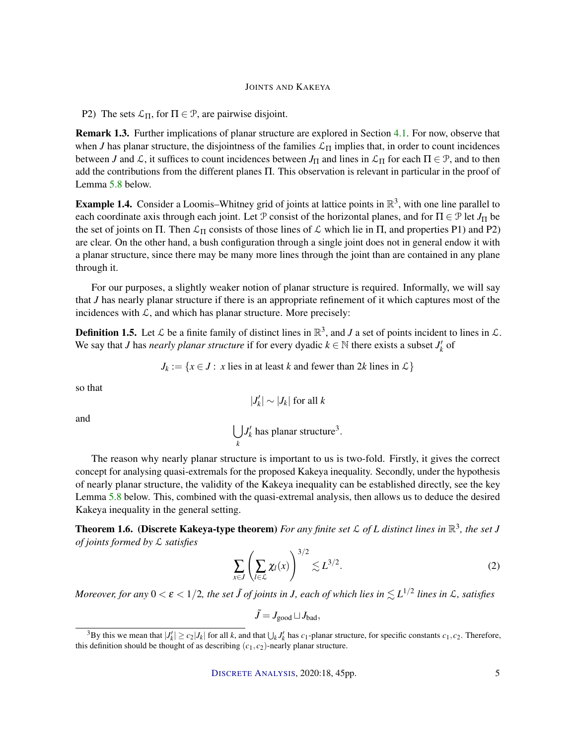P2) The sets  $\mathcal{L}_{\Pi}$ , for  $\Pi \in \mathcal{P}$ , are pairwise disjoint.

Remark 1.3. Further implications of planar structure are explored in Section 4.1. For now, observe that when *J* has planar structure, the disjointness of the families  $\mathcal{L}_{\Pi}$  implies that, in order to count incidences between *J* and  $\mathcal{L}$ , it suffices to count incidences between  $J_{\Pi}$  and lines in  $\mathcal{L}_{\Pi}$  for each  $\Pi \in \mathcal{P}$ , and to then add the contributions from the different planes Π. This observation is relevant in particular in the proof of Lemma 5.8 below.

**Example 1.4.** Consider a Loomis–Whitney grid of joints at lattice points in  $\mathbb{R}^3$ , with one line parallel to each coordinate axis through each joint. Let P consist of the horizontal planes, and for  $\Pi \in \mathcal{P}$  let  $J_{\Pi}$  be the set of joints on Π. Then  $\mathcal{L}_{\Pi}$  consists of those lines of  $\mathcal L$  which lie in Π, and properties P1) and P2) are clear. On the other hand, a bush configuration through a single joint does not in general endow it with a planar structure, since there may be many more lines through the joint than are contained in any plane through it.

For our purposes, a slightly weaker notion of planar structure is required. Informally, we will say that *J* has nearly planar structure if there is an appropriate refinement of it which captures most of the incidences with  $\mathcal{L}$ , and which has planar structure. More precisely:

**Definition 1.5.** Let  $\mathcal{L}$  be a finite family of distinct lines in  $\mathbb{R}^3$ , and *J* a set of points incident to lines in  $\mathcal{L}$ . We say that *J* has *nearly planar structure* if for every dyadic  $k \in \mathbb{N}$  there exists a subset  $J'_k$  of

 $J_k := \{x \in J : x \text{ lies in at least } k \text{ and fewer than } 2k \text{ lines in } \mathcal{L}\}\$ 

so that

$$
|J_k'| \sim |J_k| \text{ for all } k
$$

and

$$
\bigcup_k J'_k
$$
 has planar structure<sup>3</sup>.

The reason why nearly planar structure is important to us is two-fold. Firstly, it gives the correct concept for analysing quasi-extremals for the proposed Kakeya inequality. Secondly, under the hypothesis of nearly planar structure, the validity of the Kakeya inequality can be established directly, see the key Lemma 5.8 below. This, combined with the quasi-extremal analysis, then allows us to deduce the desired Kakeya inequality in the general setting.

**Theorem 1.6. (Discrete Kakeya-type theorem)** For any finite set  $\mathcal{L}$  of L distinct lines in  $\mathbb{R}^3$ , the set J *of joints formed by* L *satisfies*

$$
\sum_{x \in J} \left( \sum_{l \in \mathcal{L}} \chi_l(x) \right)^{3/2} \lesssim L^{3/2}.
$$
 (2)

Moreover, for any  $0<\varepsilon < 1/2$ , the set  $\tilde{J}$  of joints in J, each of which lies in  $\lesssim L^{1/2}$  lines in  ${\cal L}$ , satisfies

 $\tilde{J} = J_{\text{good}} \sqcup J_{\text{bad}}$ ,

<sup>&</sup>lt;sup>3</sup>By this we mean that  $|J'_k| \ge c_2 |J_k|$  for all *k*, and that  $\bigcup_k J'_k$  has  $c_1$ -planar structure, for specific constants  $c_1, c_2$ . Therefore, this definition should be thought of as describing  $(c_1, c_2)$ -nearly planar structure.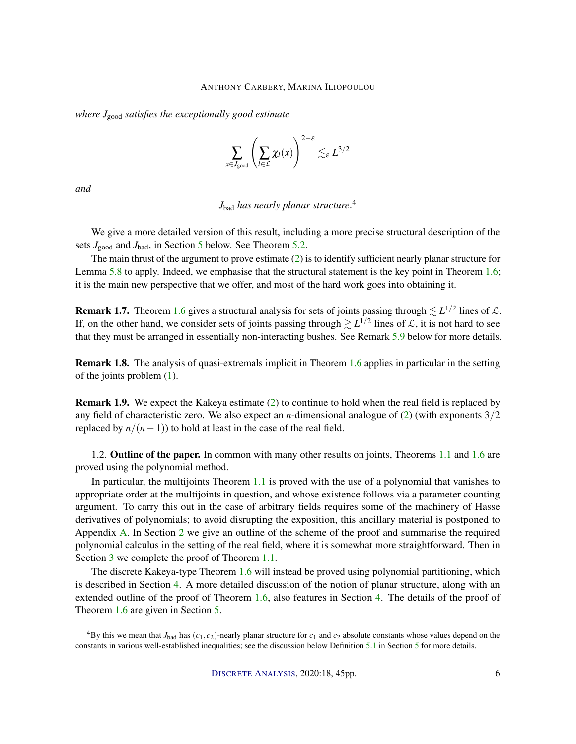*where J*good *satisfies the exceptionally good estimate*

$$
\sum_{x \in J_{\text{good}}} \left( \sum_{l \in \mathcal{L}} \chi_l(x) \right)^{2-\varepsilon} \lesssim_{\varepsilon} L^{3/2}
$$

*and*

*J*bad *has nearly planar structure*. 4

We give a more detailed version of this result, including a more precise structural description of the sets *J*<sub>good</sub> and *J*<sub>bad</sub>, in Section 5 below. See Theorem 5.2.

The main thrust of the argument to prove estimate (2) is to identify sufficient nearly planar structure for Lemma 5.8 to apply. Indeed, we emphasise that the structural statement is the key point in Theorem 1.6; it is the main new perspective that we offer, and most of the hard work goes into obtaining it.

**Remark 1.7.** Theorem 1.6 gives a structural analysis for sets of joints passing through  $\leq L^{1/2}$  lines of  $\mathcal{L}$ . If, on the other hand, we consider sets of joints passing through  $\geq L^{1/2}$  lines of  $\mathcal L$ , it is not hard to see that they must be arranged in essentially non-interacting bushes. See Remark 5.9 below for more details.

Remark 1.8. The analysis of quasi-extremals implicit in Theorem 1.6 applies in particular in the setting of the joints problem (1).

Remark 1.9. We expect the Kakeya estimate (2) to continue to hold when the real field is replaced by any field of characteristic zero. We also expect an *n*-dimensional analogue of (2) (with exponents 3/2 replaced by  $n/(n-1)$ ) to hold at least in the case of the real field.

1.2. Outline of the paper. In common with many other results on joints, Theorems 1.1 and 1.6 are proved using the polynomial method.

In particular, the multijoints Theorem 1.1 is proved with the use of a polynomial that vanishes to appropriate order at the multijoints in question, and whose existence follows via a parameter counting argument. To carry this out in the case of arbitrary fields requires some of the machinery of Hasse derivatives of polynomials; to avoid disrupting the exposition, this ancillary material is postponed to Appendix A. In Section 2 we give an outline of the scheme of the proof and summarise the required polynomial calculus in the setting of the real field, where it is somewhat more straightforward. Then in Section 3 we complete the proof of Theorem 1.1.

The discrete Kakeya-type Theorem 1.6 will instead be proved using polynomial partitioning, which is described in Section 4. A more detailed discussion of the notion of planar structure, along with an extended outline of the proof of Theorem 1.6, also features in Section 4. The details of the proof of Theorem 1.6 are given in Section 5.

<sup>&</sup>lt;sup>4</sup>By this we mean that  $J_{bad}$  has  $(c_1, c_2)$ -nearly planar structure for  $c_1$  and  $c_2$  absolute constants whose values depend on the constants in various well-established inequalities; see the discussion below Definition 5.1 in Section 5 for more details.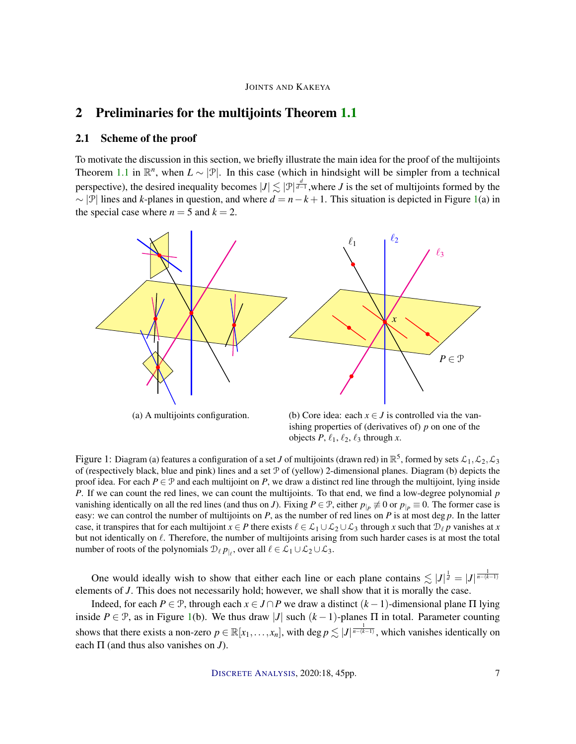## 2 Preliminaries for the multijoints Theorem 1.1

#### 2.1 Scheme of the proof

To motivate the discussion in this section, we briefly illustrate the main idea for the proof of the multijoints Theorem 1.1 in  $\mathbb{R}^n$ , when  $L \sim |\mathcal{P}|$ . In this case (which in hindsight will be simpler from a technical perspective), the desired inequality becomes  $|J| \lesssim |\mathcal{P}|^{\frac{d}{d-1}}$ , where *J* is the set of multijoints formed by the ∼ |P| lines and *k*-planes in question, and where *d* = *n*−*k* +1. This situation is depicted in Figure 1(a) in the special case where  $n = 5$  and  $k = 2$ .



(a) A multijoints configuration.

(b) Core idea: each  $x \in J$  is controlled via the vanishing properties of (derivatives of) *p* on one of the objects  $P$ ,  $\ell_1$ ,  $\ell_2$ ,  $\ell_3$  through *x*.

Figure 1: Diagram (a) features a configuration of a set *J* of multijoints (drawn red) in  $\mathbb{R}^5$ , formed by sets  $\mathcal{L}_1, \mathcal{L}_2, \mathcal{L}_3$ of (respectively black, blue and pink) lines and a set P of (yellow) 2-dimensional planes. Diagram (b) depicts the proof idea. For each  $P \in \mathcal{P}$  and each multijoint on *P*, we draw a distinct red line through the multijoint, lying inside *P*. If we can count the red lines, we can count the multijoints. To that end, we find a low-degree polynomial *p* vanishing identically on all the red lines (and thus on *J*). Fixing  $P \in \mathcal{P}$ , either  $p_{|P} \not\equiv 0$  or  $p_{|P} \equiv 0$ . The former case is easy: we can control the number of multijoints on  $P$ , as the number of red lines on  $P$  is at most deg  $p$ . In the latter case, it transpires that for each multijoint  $x \in P$  there exists  $\ell \in L_1 \cup L_2 \cup L_3$  through *x* such that  $\mathcal{D}_\ell p$  vanishes at *x* but not identically on  $\ell$ . Therefore, the number of multijoints arising from such harder cases is at most the total number of roots of the polynomials  $\mathcal{D}_\ell p_{|_\ell}$ , over all  $\ell \in \mathcal{L}_1 \cup \mathcal{L}_2 \cup \mathcal{L}_3$ .

One would ideally wish to show that either each line or each plane contains  $\leq |J|^{\frac{1}{d}} = |J|^{\frac{1}{n-(k-1)}}$ elements of *J*. This does not necessarily hold; however, we shall show that it is morally the case.

Indeed, for each *P* ∈ P, through each  $x \in J \cap P$  we draw a distinct  $(k-1)$ -dimensional plane  $\Pi$  lying inside  $P \in \mathcal{P}$ , as in Figure 1(b). We thus draw |*J*| such  $(k-1)$ -planes  $\Pi$  in total. Parameter counting shows that there exists a non-zero  $p \in \mathbb{R}[x_1,\ldots,x_n]$ , with  $\deg p \lesssim |J|^{\frac{1}{n-(k-1)}}$ , which vanishes identically on each Π (and thus also vanishes on *J*).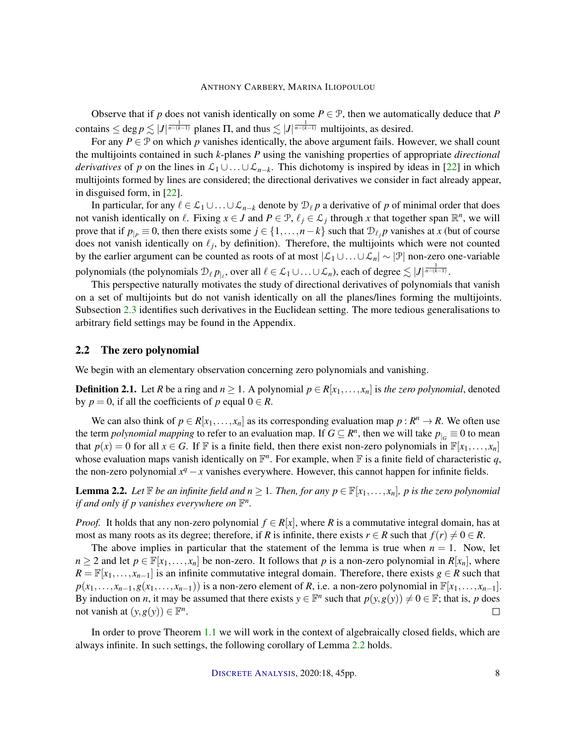Observe that if *p* does not vanish identically on some  $P \in \mathcal{P}$ , then we automatically deduce that *P* contains  $\leq$  deg  $p \leq |J|^{\frac{1}{n-(k-1)}}$  planes  $\Pi$ , and thus  $\leq |J|^{\frac{1}{n-(k-1)}}$  multijoints, as desired.

For any  $P \in \mathcal{P}$  on which *p* vanishes identically, the above argument fails. However, we shall count the multijoints contained in such *k*-planes *P* using the vanishing properties of appropriate *directional derivatives* of *p* on the lines in  $\mathcal{L}_1 \cup ... \cup \mathcal{L}_{n-k}$ . This dichotomy is inspired by ideas in [22] in which multijoints formed by lines are considered; the directional derivatives we consider in fact already appear, in disguised form, in [22].

In particular, for any  $\ell \in \mathcal{L}_1 \cup ... \cup \mathcal{L}_{n-k}$  denote by  $\mathcal{D}_{\ell} p$  a derivative of p of minimal order that does not vanish identically on  $\ell$ . Fixing  $x \in J$  and  $P \in \mathcal{P}$ ,  $\ell_j \in \mathcal{L}_j$  through x that together span  $\mathbb{R}^n$ , we will prove that if  $p_{|P} \equiv 0$ , then there exists some  $j \in \{1, ..., n-k\}$  such that  $\mathcal{D}_{\ell_j} p$  vanishes at *x* (but of course does not vanish identically on  $\ell_j$ , by definition). Therefore, the multijoints which were not counted by the earlier argument can be counted as roots of at most |L<sup>1</sup> ∪...∪ L*n*| ∼ |P| non-zero one-variable polynomials (the polynomials  $\mathcal{D}_\ell p_{|\ell}$ , over all  $\ell \in \mathcal{L}_1 \cup \ldots \cup \mathcal{L}_n$ ), each of degree  $\lesssim |J|^{\frac{1}{n-(k-1)}}.$ 

This perspective naturally motivates the study of directional derivatives of polynomials that vanish on a set of multijoints but do not vanish identically on all the planes/lines forming the multijoints. Subsection 2.3 identifies such derivatives in the Euclidean setting. The more tedious generalisations to arbitrary field settings may be found in the Appendix.

#### 2.2 The zero polynomial

We begin with an elementary observation concerning zero polynomials and vanishing.

**Definition 2.1.** Let *R* be a ring and  $n \ge 1$ . A polynomial  $p \in R[x_1, \ldots, x_n]$  is the zero polynomial, denoted by  $p = 0$ , if all the coefficients of p equal  $0 \in R$ .

We can also think of  $p \in R[x_1, \ldots, x_n]$  as its corresponding evaluation map  $p : R^n \to R$ . We often use the term *polynomial mapping* to refer to an evaluation map. If  $G \subseteq R^n$ , then we will take  $p_{|G} \equiv 0$  to mean that  $p(x) = 0$  for all  $x \in G$ . If F is a finite field, then there exist non-zero polynomials in  $\mathbb{F}[x_1, \ldots, x_n]$ whose evaluation maps vanish identically on  $\mathbb{F}^n$ . For example, when  $\mathbb{F}$  is a finite field of characteristic q, the non-zero polynomial  $x^q - x$  vanishes everywhere. However, this cannot happen for infinite fields.

**Lemma 2.2.** Let  $\mathbb F$  be an infinite field and  $n \geq 1$ . Then, for any  $p \in \mathbb F[x_1,\ldots,x_n]$ , p is the zero polynomial *if and only if p vanishes everywhere on*  $\mathbb{F}^n$ *.* 

*Proof.* It holds that any non-zero polynomial  $f \in R[x]$ , where *R* is a commutative integral domain, has at most as many roots as its degree; therefore, if *R* is infinite, there exists  $r \in R$  such that  $f(r) \neq 0 \in R$ .

The above implies in particular that the statement of the lemma is true when  $n = 1$ . Now, let  $n \geq 2$  and let  $p \in \mathbb{F}[x_1,\ldots,x_n]$  be non-zero. It follows that *p* is a non-zero polynomial in  $R[x_n]$ , where  $R = \mathbb{F}[x_1, \ldots, x_{n-1}]$  is an infinite commutative integral domain. Therefore, there exists *g* ∈ *R* such that  $p(x_1,...,x_{n-1},g(x_1,...,x_{n-1}))$  is a non-zero element of *R*, i.e. a non-zero polynomial in  $\mathbb{F}[x_1,...,x_{n-1}]$ . By induction on *n*, it may be assumed that there exists  $y \in \mathbb{F}^n$  such that  $p(y, g(y)) \neq 0 \in \mathbb{F}$ ; that is, *p* does not vanish at  $(y, g(y)) \in \mathbb{F}^n$ .  $\Box$ 

In order to prove Theorem 1.1 we will work in the context of algebraically closed fields, which are always infinite. In such settings, the following corollary of Lemma 2.2 holds.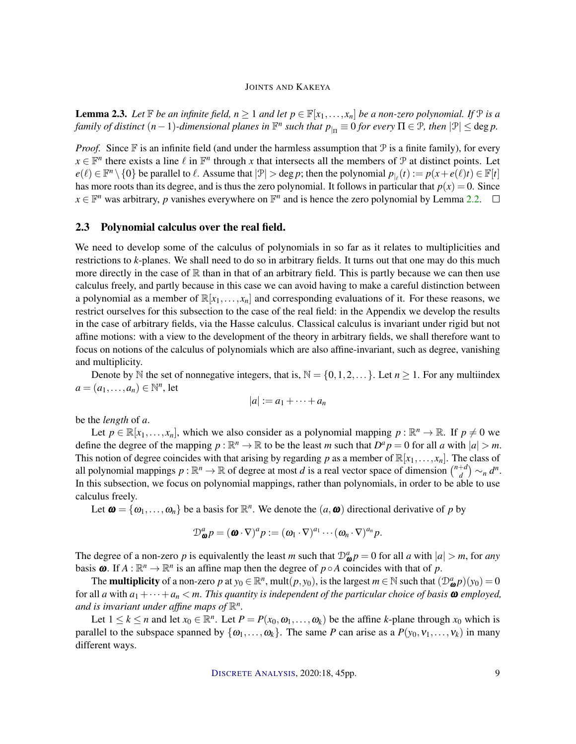**Lemma 2.3.** Let  $\mathbb F$  be an infinite field,  $n \geq 1$  and let  $p \in \mathbb F[x_1,\ldots,x_n]$  be a non-zero polynomial. If  $\mathbb P$  is a *family of distinct*  $(n-1)$ -dimensional planes in  $\mathbb{F}^n$  such that  $p_{|_{\Pi}} \equiv 0$  for every  $\Pi \in \mathcal{P}$ , then  $|\mathcal{P}| \leq$  deg p.

*Proof.* Since  $\mathbb F$  is an infinite field (and under the harmless assumption that  $\mathcal P$  is a finite family), for every  $x \in \mathbb{F}^n$  there exists a line  $\ell$  in  $\mathbb{F}^n$  through *x* that intersects all the members of  $\mathcal P$  at distinct points. Let  $e(\ell) \in \mathbb{F}^n \setminus \{0\}$  be parallel to  $\ell$ . Assume that  $|\mathcal{P}| > \deg p$ ; then the polynomial  $p_{\vert_{\ell}}(t) := p(x + e(\ell)t) \in \mathbb{F}[t]$ has more roots than its degree, and is thus the zero polynomial. It follows in particular that  $p(x) = 0$ . Since  $x \in \mathbb{F}^n$  was arbitrary, *p* vanishes everywhere on  $\mathbb{F}^n$  and is hence the zero polynomial by Lemma 2.2.

#### 2.3 Polynomial calculus over the real field.

We need to develop some of the calculus of polynomials in so far as it relates to multiplicities and restrictions to *k*-planes. We shall need to do so in arbitrary fields. It turns out that one may do this much more directly in the case of  $\mathbb R$  than in that of an arbitrary field. This is partly because we can then use calculus freely, and partly because in this case we can avoid having to make a careful distinction between a polynomial as a member of  $\mathbb{R}[x_1,\ldots,x_n]$  and corresponding evaluations of it. For these reasons, we restrict ourselves for this subsection to the case of the real field: in the Appendix we develop the results in the case of arbitrary fields, via the Hasse calculus. Classical calculus is invariant under rigid but not affine motions: with a view to the development of the theory in arbitrary fields, we shall therefore want to focus on notions of the calculus of polynomials which are also affine-invariant, such as degree, vanishing and multiplicity.

Denote by N the set of nonnegative integers, that is,  $N = \{0, 1, 2, \dots\}$ . Let  $n \ge 1$ . For any multiindex  $a = (a_1, \ldots, a_n) \in \mathbb{N}^n$ , let

$$
|a|:=a_1+\cdots+a_n
$$

be the *length* of *a*.

Let  $p \in \mathbb{R}[x_1, \ldots, x_n]$ , which we also consider as a polynomial mapping  $p : \mathbb{R}^n \to \mathbb{R}$ . If  $p \neq 0$  we define the degree of the mapping  $p : \mathbb{R}^n \to \mathbb{R}$  to be the least *m* such that  $D^a p = 0$  for all *a* with  $|a| > m$ . This notion of degree coincides with that arising by regarding p as a member of  $\mathbb{R}[x_1,\ldots,x_n]$ . The class of all polynomial mappings  $p : \mathbb{R}^n \to \mathbb{R}$  of degree at most *d* is a real vector space of dimension  $\binom{n+d}{d}$  $\binom{+d}{d}$   $\sim_n$   $d^n$ . In this subsection, we focus on polynomial mappings, rather than polynomials, in order to be able to use calculus freely.

Let  $\boldsymbol{\omega} = {\omega_1, \ldots, \omega_n}$  be a basis for  $\mathbb{R}^n$ . We denote the  $(a, \boldsymbol{\omega})$  directional derivative of p by

$$
\mathcal{D}_{\boldsymbol{\omega}}^a p = (\boldsymbol{\omega} \cdot \nabla)^a p := (\omega_1 \cdot \nabla)^{a_1} \cdots (\omega_n \cdot \nabla)^{a_n} p.
$$

The degree of a non-zero *p* is equivalently the least *m* such that  $\mathcal{D}^a_{\omega} p = 0$  for all *a* with  $|a| > m$ , for *any* basis  $\omega$ . If  $A : \mathbb{R}^n \to \mathbb{R}^n$  is an affine map then the degree of  $p \circ A$  coincides with that of p.

The **multiplicity** of a non-zero *p* at  $y_0 \in \mathbb{R}^n$ , mult $(p, y_0)$ , is the largest  $m \in \mathbb{N}$  such that  $(\mathcal{D}_{\omega}^a p)(y_0) = 0$ for all *a* with  $a_1 + \cdots + a_n < m$ . This quantity is independent of the particular choice of basis  $\omega$  employed, and is invariant under affine maps of  $\mathbb{R}^n$ .

Let  $1 \leq k \leq n$  and let  $x_0 \in \mathbb{R}^n$ . Let  $P = P(x_0, \omega_1, \ldots, \omega_k)$  be the affine *k*-plane through  $x_0$  which is parallel to the subspace spanned by  $\{\omega_1, \ldots, \omega_k\}$ . The same *P* can arise as a  $P(y_0, v_1, \ldots, v_k)$  in many different ways.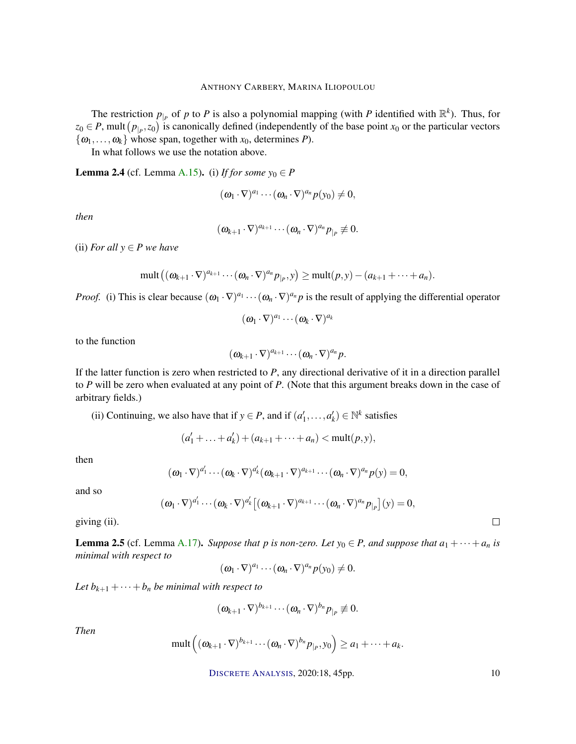The restriction  $p_{\vert P}$  of *p* to *P* is also a polynomial mapping (with *P* identified with  $\mathbb{R}^k$ ). Thus, for  $z_0 \in P$ , mult  $(p_{|P}, z_0)$  is canonically defined (independently of the base point  $x_0$  or the particular vectors  $\{\omega_1, \ldots, \omega_k\}$  whose span, together with  $x_0$ , determines *P*).

In what follows we use the notation above.

**Lemma 2.4** (cf. Lemma A.15). (i) *If for some*  $y_0 \in P$ 

$$
(\boldsymbol{\omega}_1\cdot\nabla)^{a_1}\cdots(\boldsymbol{\omega}_n\cdot\nabla)^{a_n}p(\mathbf{y}_0)\neq 0,
$$

*then*

$$
(\omega_{k+1}\cdot\nabla)^{a_{k+1}}\cdots(\omega_n\cdot\nabla)^{a_n}p_{|_P}\not\equiv 0.
$$

(ii) *For all*  $y \in P$  *we have* 

$$
\text{mult}((\omega_{k+1}\cdot \nabla)^{a_{k+1}}\cdots(\omega_n\cdot \nabla)^{a_n}p_{|_P},y)\geq \text{mult}(p,y)-(a_{k+1}+\cdots+a_n).
$$

*Proof.* (i) This is clear because  $(\omega_1 \cdot \nabla)^{a_1} \cdots (\omega_n \cdot \nabla)^{a_n} p$  is the result of applying the differential operator

 $({\boldsymbol{\omega}}_1\cdot\nabla)^{a_1}\cdots({\boldsymbol{\omega}}_k\cdot\nabla)^{a_k}$ 

to the function

$$
(\boldsymbol{\omega}_{k+1}\cdot\nabla)^{a_{k+1}}\cdots(\boldsymbol{\omega}_n\cdot\nabla)^{a_n}p.
$$

If the latter function is zero when restricted to *P*, any directional derivative of it in a direction parallel to *P* will be zero when evaluated at any point of *P*. (Note that this argument breaks down in the case of arbitrary fields.)

(ii) Continuing, we also have that if  $y \in P$ , and if  $(a'_1, \ldots, a'_k) \in \mathbb{N}^k$  satisfies

 $\overline{a}$ 

 $(a'_1 + ... + a'_k) + (a_{k+1} + ... + a_n) < \text{mult}(p, y),$ 

then

$$
(\boldsymbol{\omega}_1\cdot\nabla)^{a'_1}\cdots(\boldsymbol{\omega}_k\cdot\nabla)^{a'_k}(\boldsymbol{\omega}_{k+1}\cdot\nabla)^{a_{k+1}}\cdots(\boldsymbol{\omega}_n\cdot\nabla)^{a_n}p(\mathbf{y})=0,
$$

and so

$$
(\boldsymbol{\omega}_{1}\cdot\nabla)^{a'_{1}}\cdots(\boldsymbol{\omega}_{k}\cdot\nabla)^{a'_{k}}\big[(\boldsymbol{\omega}_{k+1}\cdot\nabla)^{a_{k+1}}\cdots(\boldsymbol{\omega}_{n}\cdot\nabla)^{a_{n}}p_{|p}\big](y)=0,
$$

giving (ii).

**Lemma 2.5** (cf. Lemma A.17). *Suppose that p is non-zero. Let*  $y_0 \in P$ *, and suppose that*  $a_1 + \cdots + a_n$  *is minimal with respect to*

$$
(\omega_1\cdot\nabla)^{a_1}\cdots(\omega_n\cdot\nabla)^{a_n}p(y_0)\neq 0.
$$

*Let*  $b_{k+1} + \cdots + b_n$  *be minimal with respect to* 

$$
(\boldsymbol{\omega}_{k+1}\cdot\nabla)^{b_{k+1}}\cdots(\boldsymbol{\omega}_n\cdot\nabla)^{b_n}p_{|_P}\not\equiv 0.
$$

*Then*

$$
\text{mult}\left((\boldsymbol{\omega}_{k+1}\cdot\nabla)^{b_{k+1}}\cdots(\boldsymbol{\omega}_n\cdot\nabla)^{b_n}P_{|p},y_0\right)\geq a_1+\cdots+a_k.
$$

DISCRETE A[NALYSIS](http://dx.doi.org/10.19086/da), 2020:18, 45pp. 10

 $\Box$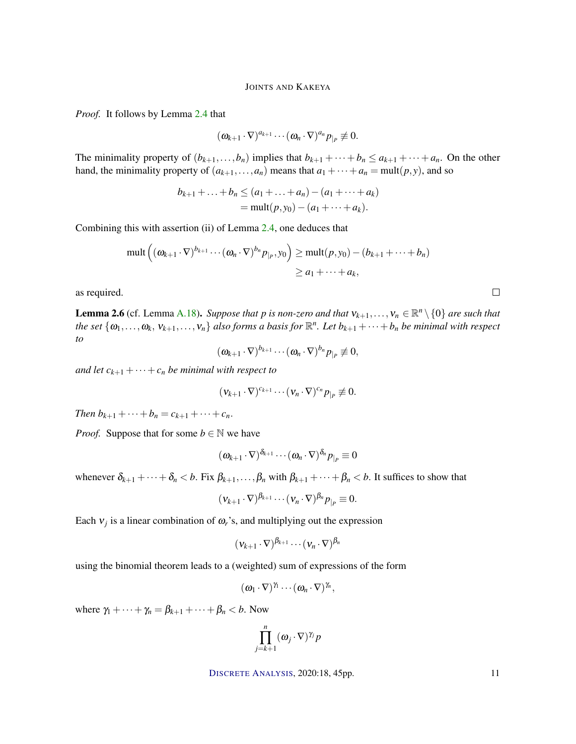*Proof.* It follows by Lemma 2.4 that

$$
(\boldsymbol{\omega}_{k+1}\cdot\nabla)^{a_{k+1}}\cdots(\boldsymbol{\omega}_n\cdot\nabla)^{a_n}p_{|_P}\not\equiv 0.
$$

The minimality property of  $(b_{k+1},...,b_n)$  implies that  $b_{k+1} + \cdots + b_n \le a_{k+1} + \cdots + a_n$ . On the other hand, the minimality property of  $(a_{k+1},...,a_n)$  means that  $a_1 + \cdots + a_n = \text{mult}(p, y)$ , and so

$$
b_{k+1} + \ldots + b_n \le (a_1 + \ldots + a_n) - (a_1 + \cdots + a_k)
$$
  
=  $\text{mult}(p, y_0) - (a_1 + \cdots + a_k).$ 

Combining this with assertion (ii) of Lemma 2.4, one deduces that

$$
\text{mult}\left((\boldsymbol{\omega}_{k+1}\cdot\nabla)^{b_{k+1}}\cdots(\boldsymbol{\omega}_n\cdot\nabla)^{b_n}p_{|p},y_0\right)\geq \text{mult}(p,y_0)-(b_{k+1}+\cdots+b_n)
$$
\n
$$
\geq a_1+\cdots+a_k,
$$

as required.

**Lemma 2.6** (cf. Lemma A.18). *Suppose that p is non-zero and that*  $v_{k+1},...,v_n \in \mathbb{R}^n \setminus \{0\}$  *are such that the set*  $\{\omega_1, \ldots, \omega_k, v_{k+1}, \ldots, v_n\}$  also forms a basis for  $\mathbb{R}^n$ . Let  $b_{k+1} + \cdots + b_n$  be minimal with respect *to*

$$
(\omega_{k+1}\cdot\nabla)^{b_{k+1}}\cdots(\omega_n\cdot\nabla)^{b_n}p_{|_P}\not\equiv 0,
$$

*and let*  $c_{k+1} + \cdots + c_n$  *be minimal with respect to* 

$$
(\mathbf{v}_{k+1}\cdot\nabla)^{c_{k+1}}\cdots(\mathbf{v}_n\cdot\nabla)^{c_n}p_{|p}\not\equiv 0.
$$

*Then*  $b_{k+1} + \cdots + b_n = c_{k+1} + \cdots + c_n$ .

*Proof.* Suppose that for some  $b \in \mathbb{N}$  we have

$$
(\boldsymbol{\omega}_{k+1}\cdot\nabla)^{\boldsymbol{\delta}_{k+1}}\cdots(\boldsymbol{\omega}_n\cdot\nabla)^{\boldsymbol{\delta}_n}p_{|P}\equiv 0
$$

whenever  $\delta_{k+1} + \cdots + \delta_n < b$ . Fix  $\beta_{k+1}, \ldots, \beta_n$  with  $\beta_{k+1} + \cdots + \beta_n < b$ . It suffices to show that

$$
(\mathbf{v}_{k+1}\cdot\nabla)^{\beta_{k+1}}\cdots(\mathbf{v}_n\cdot\nabla)^{\beta_n}p_{|p}\equiv 0.
$$

Each  $v_j$  is a linear combination of  $\omega_r$ 's, and multiplying out the expression

$$
(\mathbf{v}_{k+1}\cdot\nabla)^{\beta_{k+1}}\cdots(\mathbf{v}_n\cdot\nabla)^{\beta_n}
$$

using the binomial theorem leads to a (weighted) sum of expressions of the form

$$
(\omega_1\cdot\nabla)^{\gamma_1}\cdots(\omega_n\cdot\nabla)^{\gamma_n},
$$

where  $\gamma_1 + \cdots + \gamma_n = \beta_{k+1} + \cdots + \beta_n < b$ . Now

$$
\prod_{j=k+1}^n (\omega_j \cdot \nabla)^{\gamma_j} p
$$

DISCRETE A[NALYSIS](http://dx.doi.org/10.19086/da), 2020:18, 45pp. 11

 $\Box$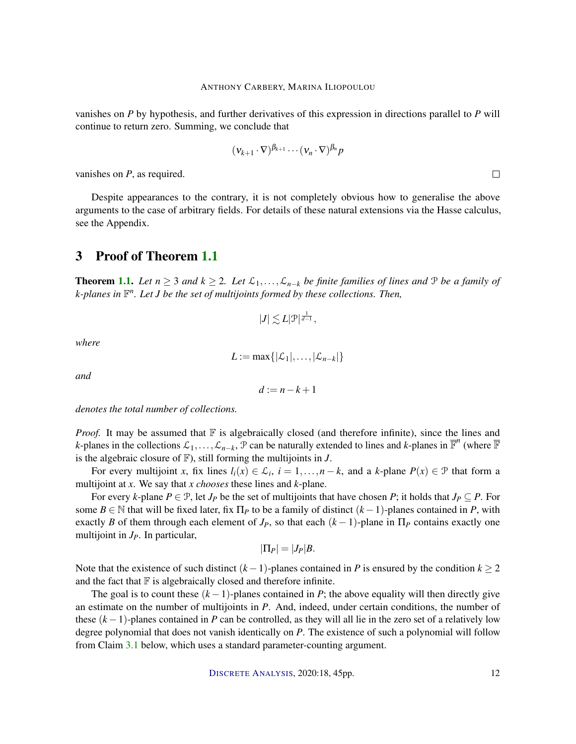vanishes on *P* by hypothesis, and further derivatives of this expression in directions parallel to *P* will continue to return zero. Summing, we conclude that

$$
(\mathbf{v}_{k+1}\cdot\nabla)^{\beta_{k+1}}\cdots(\mathbf{v}_n\cdot\nabla)^{\beta_n}p
$$

vanishes on *P*, as required.

Despite appearances to the contrary, it is not completely obvious how to generalise the above arguments to the case of arbitrary fields. For details of these natural extensions via the Hasse calculus, see the Appendix.

## 3 Proof of Theorem 1.1

**Theorem 1.1.** *Let*  $n \geq 3$  *and*  $k \geq 2$ *. Let*  $\mathcal{L}_1, \ldots, \mathcal{L}_{n-k}$  *be finite families of lines and*  $\mathcal{P}$  *be a family of k-planes in* F *n . Let J be the set of multijoints formed by these collections. Then,*

$$
|J|\lesssim L|\mathfrak{P}|^{\frac{1}{d-1}},
$$

*where*

$$
L:=\max\{|\mathcal{L}_1|,\ldots,|\mathcal{L}_{n-k}|\}
$$

*and*

$$
d := n - k + 1
$$

*denotes the total number of collections.*

*Proof.* It may be assumed that F is algebraically closed (and therefore infinite), since the lines and *k*-planes in the collections  $\mathcal{L}_1, \ldots, \mathcal{L}_{n-k}$ ,  $\mathcal{P}$  can be naturally extended to lines and *k*-planes in  $\overline{\mathbb{F}}^n$  (where  $\overline{\mathbb{F}}$ is the algebraic closure of  $\mathbb{F}$ ), still forming the multijoints in *J*.

For every multijoint *x*, fix lines  $l_i(x) \in \mathcal{L}_i$ ,  $i = 1, ..., n - k$ , and a *k*-plane  $P(x) \in \mathcal{P}$  that form a multijoint at *x*. We say that *x chooses* these lines and *k*-plane.

For every *k*-plane  $P \in \mathcal{P}$ , let  $J_P$  be the set of multijoints that have chosen  $P$ ; it holds that  $J_P \subseteq P$ . For some  $B \in \mathbb{N}$  that will be fixed later, fix  $\Pi_P$  to be a family of distinct  $(k-1)$ -planes contained in P, with exactly *B* of them through each element of  $J_p$ , so that each  $(k-1)$ -plane in  $\Pi_p$  contains exactly one multijoint in *JP*. In particular,

$$
|\Pi_P|=|J_P|B.
$$

Note that the existence of such distinct  $(k-1)$ -planes contained in *P* is ensured by the condition  $k \ge 2$ and the fact that  $\mathbb F$  is algebraically closed and therefore infinite.

The goal is to count these  $(k-1)$ -planes contained in *P*; the above equality will then directly give an estimate on the number of multijoints in *P*. And, indeed, under certain conditions, the number of these  $(k-1)$ -planes contained in *P* can be controlled, as they will all lie in the zero set of a relatively low degree polynomial that does not vanish identically on *P*. The existence of such a polynomial will follow from Claim 3.1 below, which uses a standard parameter-counting argument.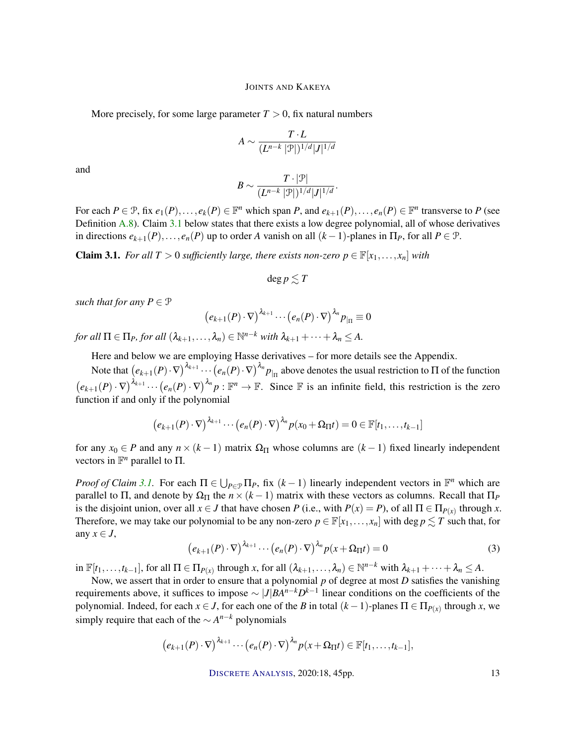More precisely, for some large parameter  $T > 0$ , fix natural numbers

$$
A \sim \frac{T \cdot L}{(L^{n-k} \, |\mathcal{P}|)^{1/d} |J|^{1/d}}
$$

and

$$
B \sim \frac{T \cdot |\mathcal{P}|}{(L^{n-k} \, |\mathcal{P}|)^{1/d} |J|^{1/d}}.
$$

For each  $P \in \mathcal{P}$ , fix  $e_1(P), \ldots, e_k(P) \in \mathbb{F}^n$  which span *P*, and  $e_{k+1}(P), \ldots, e_n(P) \in \mathbb{F}^n$  transverse to *P* (see Definition A.8). Claim 3.1 below states that there exists a low degree polynomial, all of whose derivatives in directions  $e_{k+1}(P), \ldots, e_n(P)$  up to order *A* vanish on all  $(k-1)$ -planes in  $\Pi_P$ , for all  $P \in \mathcal{P}$ .

**Claim 3.1.** *For all T* > 0 *sufficiently large, there exists non-zero*  $p \in \mathbb{F}[x_1, \ldots, x_n]$  *with* 

$$
\deg p \lesssim T
$$

*such that for any*  $P \in \mathcal{P}$ 

$$
(e_{k+1}(P)\cdot\nabla)^{\lambda_{k+1}}\cdots(e_n(P)\cdot\nabla)^{\lambda_n}p_{|_{\Pi}}\equiv 0
$$

*for all*  $\Pi \in \Pi_P$ *, for all*  $(\lambda_{k+1}, \ldots, \lambda_n) \in \mathbb{N}^{n-k}$  *with*  $\lambda_{k+1} + \cdots + \lambda_n \leq A$ .

Here and below we are employing Hasse derivatives – for more details see the Appendix.

Note that  $(e_{k+1}(P) \cdot \nabla)^{\lambda_{k+1}} \cdots (e_n(P) \cdot \nabla)^{\lambda_n} p_{|_{\Pi}}$  above denotes the usual restriction to  $\Pi$  of the function  $(e_{k+1}(P) \cdot \nabla)^{\lambda_{k+1}} \cdots (e_n(P) \cdot \nabla)^{\lambda_n} p : \mathbb{F}^n \to \mathbb{F}$ . Since  $\mathbb{F}$  is an infinite field, this restriction is the zero function if and only if the polynomial

$$
(e_{k+1}(P)\cdot\nabla)^{\lambda_{k+1}}\cdots(e_n(P)\cdot\nabla)^{\lambda_n}p(x_0+\Omega_{\Pi}t)=0\in\mathbb{F}[t_1,\ldots,t_{k-1}]
$$

for any  $x_0 \in P$  and any  $n \times (k-1)$  matrix  $\Omega_{\Pi}$  whose columns are  $(k-1)$  fixed linearly independent vectors in  $\mathbb{F}^n$  parallel to  $\Pi$ .

*Proof of Claim 3.1.* For each  $\Pi \in \bigcup_{P \in \mathcal{P}} \Pi_P$ , fix  $(k-1)$  linearly independent vectors in  $\mathbb{F}^n$  which are parallel to  $\Pi$ , and denote by  $\Omega_{\Pi}$  the  $n \times (k-1)$  matrix with these vectors as columns. Recall that  $\Pi_P$ is the disjoint union, over all  $x \in J$  that have chosen *P* (i.e., with  $P(x) = P$ ), of all  $\Pi \in \Pi_{P(x)}$  through *x*. Therefore, we may take our polynomial to be any non-zero  $p \in \mathbb{F}[x_1,\ldots,x_n]$  with deg  $p \leq T$  such that, for any  $x \in J$ ,

$$
(e_{k+1}(P)\cdot\nabla)^{\lambda_{k+1}}\cdots(e_n(P)\cdot\nabla)^{\lambda_n}p(x+\Omega_{\Pi}t)=0
$$
\n(3)

 $\inf_{k=1}^{\infty} [t_1,\ldots,t_{k-1}]$ , for all  $\Pi \in \Pi_{P(x)}$  through *x*, for all  $(\lambda_{k+1},\ldots,\lambda_n) \in \mathbb{N}^{n-k}$  with  $\lambda_{k+1} + \cdots + \lambda_n \leq A$ .

Now, we assert that in order to ensure that a polynomial p of degree at most D satisfies the vanishing requirements above, it suffices to impose ∼ |*J*|*BAn*−*kD k*−1 linear conditions on the coefficients of the polynomial. Indeed, for each  $x \in J$ , for each one of the *B* in total  $(k-1)$ -planes  $\Pi \in \Pi_{P(x)}$  through *x*, we simply require that each of the  $\sim A^{n-k}$  polynomials

$$
(e_{k+1}(P)\cdot\nabla)^{\lambda_{k+1}}\cdots(e_n(P)\cdot\nabla)^{\lambda_n}p(x+\Omega_{\Pi}t)\in\mathbb{F}[t_1,\ldots,t_{k-1}],
$$

DISCRETE A[NALYSIS](http://dx.doi.org/10.19086/da), 2020:18, 45pp. 13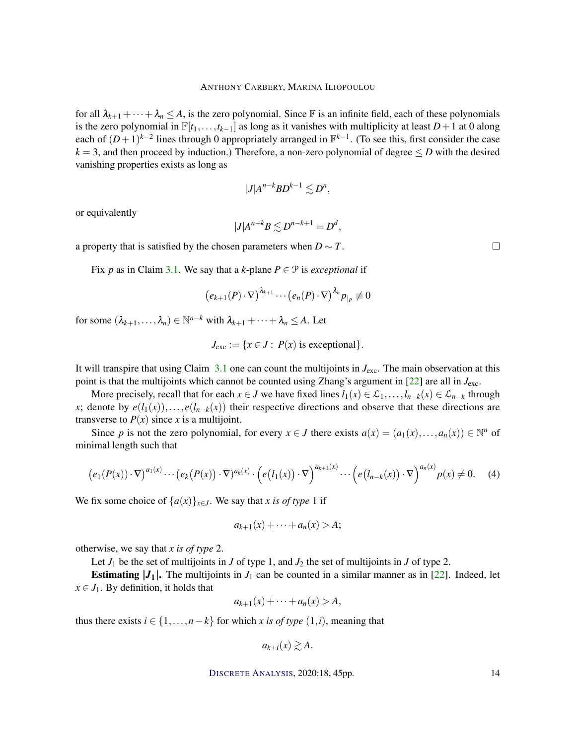for all  $\lambda_{k+1} + \cdots + \lambda_n \leq A$ , is the zero polynomial. Since F is an infinite field, each of these polynomials is the zero polynomial in  $\mathbb{F}[t_1,\ldots,t_{k-1}]$  as long as it vanishes with multiplicity at least  $D+1$  at 0 along each of  $(D+1)^{k-2}$  lines through 0 appropriately arranged in  $\mathbb{F}^{k-1}$ . (To see this, first consider the case  $k = 3$ , and then proceed by induction.) Therefore, a non-zero polynomial of degree  $\leq D$  with the desired vanishing properties exists as long as

$$
|J|A^{n-k}BD^{k-1}\lesssim D^n,
$$

or equivalently

$$
|J|A^{n-k}B \lesssim D^{n-k+1} = D^d,
$$

a property that is satisfied by the chosen parameters when  $D \sim T$ .

Fix *p* as in Claim 3.1. We say that a *k*-plane  $P \in \mathcal{P}$  is *exceptional* if

$$
(e_{k+1}(P)\cdot\nabla)^{\lambda_{k+1}}\cdots(e_n(P)\cdot\nabla)^{\lambda_n}p_{|P}\not\equiv 0
$$

for some  $(\lambda_{k+1}, \ldots, \lambda_n) \in \mathbb{N}^{n-k}$  with  $\lambda_{k+1} + \cdots + \lambda_n \leq A$ . Let

$$
J_{\text{exc}} := \{ x \in J : P(x) \text{ is exceptional} \}.
$$

It will transpire that using Claim  $3.1$  one can count the multijoints in  $J_{\text{exc}}$ . The main observation at this point is that the multijoints which cannot be counted using Zhang's argument in [22] are all in *J*exc.

More precisely, recall that for each  $x \in J$  we have fixed lines  $l_1(x) \in \mathcal{L}_1, \ldots, l_{n-k}(x) \in \mathcal{L}_{n-k}$  through *x*; denote by  $e(l_1(x))$ ,...,  $e(l_{n-k}(x))$  their respective directions and observe that these directions are transverse to  $P(x)$  since *x* is a multijoint.

Since *p* is not the zero polynomial, for every  $x \in J$  there exists  $a(x) = (a_1(x),...,a_n(x)) \in \mathbb{N}^n$  of minimal length such that

$$
\big(e_1(P(x))\cdot\nabla\big)^{a_1(x)}\cdots\big(e_k\big(P(x)\big)\cdot\nabla\big)^{a_k(x)}\cdot\big(e\big(I_1(x)\big)\cdot\nabla\big)^{a_{k+1}(x)}\cdots\big(e\big(I_{n-k}(x)\big)\cdot\nabla\big)^{a_n(x)}p(x)\neq 0.\tag{4}
$$

We fix some choice of  $\{a(x)\}_{x \in J}$ . We say that *x is of type* 1 if

$$
a_{k+1}(x) + \cdots + a_n(x) > A
$$

otherwise, we say that *x is of type* 2.

Let  $J_1$  be the set of multijoints in  $J$  of type 1, and  $J_2$  the set of multijoints in  $J$  of type 2.

**Estimating**  $|J_1|$ **.** The multijoints in  $J_1$  can be counted in a similar manner as in [22]. Indeed, let  $x \in J_1$ . By definition, it holds that

$$
a_{k+1}(x) + \cdots + a_n(x) > A,
$$

thus there exists  $i \in \{1, \ldots, n-k\}$  for which *x is of type*  $(1, i)$ , meaning that

$$
a_{k+i}(x) \gtrsim A.
$$

DISCRETE A[NALYSIS](http://dx.doi.org/10.19086/da), 2020:18, 45pp. 14

 $\Box$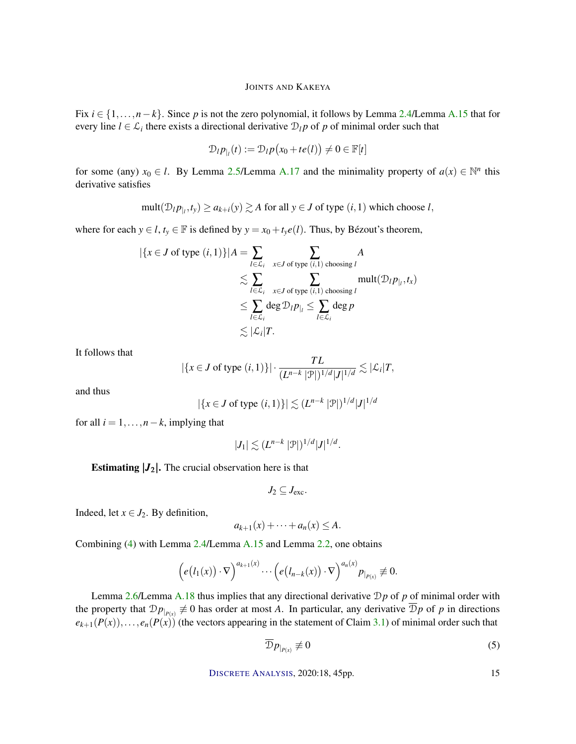Fix *i* ∈ {1,...,*n*−*k*}. Since *p* is not the zero polynomial, it follows by Lemma 2.4/Lemma A.15 that for every line  $l \in \mathcal{L}_i$  there exists a directional derivative  $\mathcal{D}_l p$  of *p* of minimal order such that

$$
\mathcal{D}_{l}p_{|l}(t) := \mathcal{D}_{l}p(x_0 + te(l)) \neq 0 \in \mathbb{F}[t]
$$

for some (any)  $x_0 \in l$ . By Lemma 2.5/Lemma A.17 and the minimality property of  $a(x) \in \mathbb{N}^n$  this derivative satisfies

$$
\text{mult}(\mathcal{D}_{l}p_{|_{l}}, t_{y}) \ge a_{k+i}(y) \gtrsim A \text{ for all } y \in J \text{ of type } (i, 1) \text{ which choose } l,
$$

where for each  $y \in l$ ,  $t_y \in \mathbb{F}$  is defined by  $y = x_0 + t_y e(l)$ . Thus, by Bézout's theorem,

$$
|\{x \in J \text{ of type } (i,1)\}| A = \sum_{l \in \mathcal{L}_i} \sum_{x \in J \text{ of type } (i,1) \text{ choosing } l} A
$$
  
\$\lesssim \sum\_{l \in \mathcal{L}\_i} \sum\_{x \in J \text{ of type } (i,1) \text{ choosing } l} \text{mult}(\mathcal{D}\_{l} p\_{|\_l}, t\_x)\$  
\$\leq \sum\_{l \in \mathcal{L}\_i} \text{deg } \mathcal{D}\_{l} p\_{|\_l} \leq \sum\_{l \in \mathcal{L}\_i} \text{deg } p\$  
\$\lesssim |\mathcal{L}\_i| T\$.

It follows that

$$
|\{x \in J \text{ of type } (i,1)\}| \cdot \frac{TL}{(L^{n-k} |\mathcal{P}|)^{1/d} |J|^{1/d}} \lesssim |\mathcal{L}_i| T,
$$

and thus

$$
|\{x \in J \text{ of type } (i,1)\}| \lesssim (L^{n-k} |\mathcal{P}|)^{1/d} |J|^{1/d}
$$

for all  $i = 1, \ldots, n-k$ , implying that

$$
|J_1| \lesssim (L^{n-k} |\mathcal{P}|)^{1/d} |J|^{1/d}.
$$

**Estimating**  $|J_2|$ **. The crucial observation here is that** 

$$
J_2 \subseteq J_{\text{exc}}.
$$

Indeed, let  $x \in J_2$ . By definition,

$$
a_{k+1}(x) + \cdots + a_n(x) \leq A.
$$

Combining (4) with Lemma 2.4/Lemma A.15 and Lemma 2.2, one obtains

$$
\left(e\big(I_1(x)\big)\cdot\nabla\right)^{a_{k+1}(x)}\cdots\left(e\big(I_{n-k}(x)\big)\cdot\nabla\right)^{a_n(x)}p_{|_{P(x)}}\not\equiv 0.
$$

Lemma 2.6/Lemma A.18 thus implies that any directional derivative D*p* of *p* of minimal order with the property that  $Dp_{p(x)} \neq 0$  has order at most *A*. In particular, any derivative  $Dp$  of *p* in directions  $e_{k+1}(P(x)), \ldots, e_n(P(x))$  (the vectors appearing in the statement of Claim 3.1) of minimal order such that

$$
\overline{\mathcal{D}}p_{|_{P(x)}} \not\equiv 0 \tag{5}
$$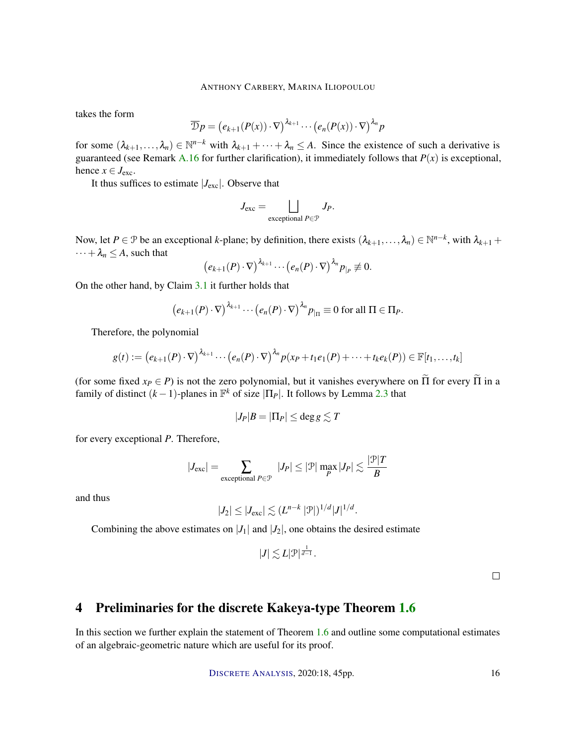takes the form

$$
\overline{\mathcal{D}}p = (e_{k+1}(P(x)) \cdot \nabla)^{\lambda_{k+1}} \cdots (e_n(P(x)) \cdot \nabla)^{\lambda_n} p
$$

for some  $(\lambda_{k+1},...,\lambda_n) \in \mathbb{N}^{n-k}$  with  $\lambda_{k+1} + \cdots + \lambda_n \leq A$ . Since the existence of such a derivative is guaranteed (see Remark A.16 for further clarification), it immediately follows that  $P(x)$  is exceptional, hence  $x \in J_{\text{exc}}$ .

It thus suffices to estimate  $|J_{\text{exc}}|$ . Observe that

$$
J_{\text{exc}} = \bigsqcup_{\text{exceptional } P \in \mathcal{P}} J_P.
$$

Now, let  $P \in \mathcal{P}$  be an exceptional *k*-plane; by definition, there exists  $(\lambda_{k+1}, \ldots, \lambda_n) \in \mathbb{N}^{n-k}$ , with  $\lambda_{k+1}$  +  $\cdots + \lambda_n \leq A$ , such that

$$
(e_{k+1}(P)\cdot\nabla)^{\lambda_{k+1}}\cdots (e_n(P)\cdot\nabla)^{\lambda_n}p_{|P}\not\equiv 0.
$$

On the other hand, by Claim 3.1 it further holds that

$$
(e_{k+1}(P)\cdot\nabla)^{\lambda_{k+1}}\cdots (e_n(P)\cdot\nabla)^{\lambda_n}p_{|\Pi}\equiv 0 \text{ for all } \Pi \in \Pi_P.
$$

Therefore, the polynomial

$$
g(t) := (e_{k+1}(P) \cdot \nabla)^{\lambda_{k+1}} \cdots (e_n(P) \cdot \nabla)^{\lambda_n} p(x_P + t_1 e_1(P) + \cdots + t_k e_k(P)) \in \mathbb{F}[t_1, \ldots, t_k]
$$

(for some fixed  $x_P \in P$ ) is not the zero polynomial, but it vanishes everywhere on  $\tilde{\Pi}$  for every  $\tilde{\Pi}$  in a family of distinct  $(k-1)$ -planes in  $\mathbb{F}^k$  of size  $|\Pi_P|$ . It follows by Lemma 2.3 that

$$
|J_P|B=|\Pi_P|\leq \deg g\lesssim T
$$

for every exceptional *P*. Therefore,

$$
|J_{\rm exc}| = \sum_{\text{exceptional } P \in \mathcal{P}} |J_P| \le |\mathcal{P}| \max_P |J_P| \lesssim \frac{|\mathcal{P}|T}{B}
$$

and thus

$$
|J_2| \leq |J_{\rm exc}| \lesssim (L^{n-k} |\mathcal{P}|)^{1/d} |J|^{1/d}.
$$

Combining the above estimates on  $|J_1|$  and  $|J_2|$ , one obtains the desired estimate

$$
|J| \lesssim L|\mathcal{P}|^{\frac{1}{d-1}}.
$$

 $\Box$ 

# 4 Preliminaries for the discrete Kakeya-type Theorem 1.6

In this section we further explain the statement of Theorem 1.6 and outline some computational estimates of an algebraic-geometric nature which are useful for its proof.

DISCRETE A[NALYSIS](http://dx.doi.org/10.19086/da), 2020:18, 45pp. 16

|P|*T*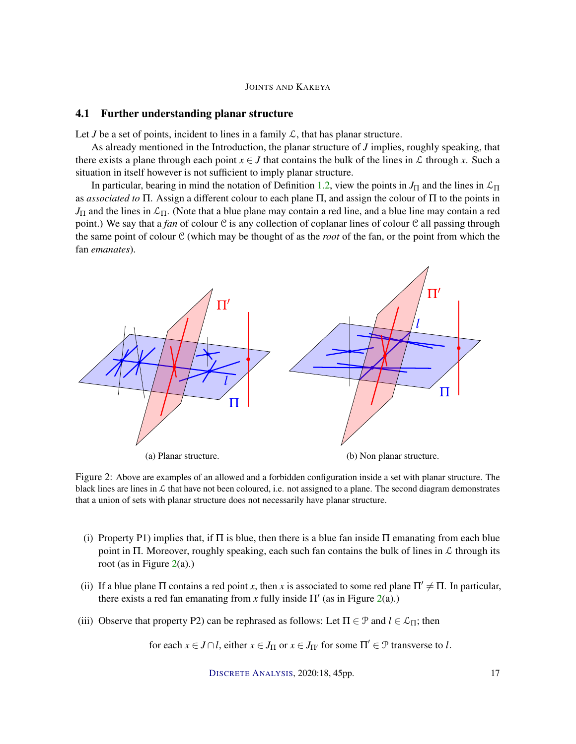#### 4.1 Further understanding planar structure

Let *J* be a set of points, incident to lines in a family  $\mathcal{L}$ , that has planar structure.

As already mentioned in the Introduction, the planar structure of *J* implies, roughly speaking, that there exists a plane through each point  $x \in J$  that contains the bulk of the lines in  $\mathcal L$  through  $x$ . Such a situation in itself however is not sufficient to imply planar structure.

In particular, bearing in mind the notation of Definition 1.2, view the points in  $J_{\Pi}$  and the lines in  $\mathcal{L}_{\Pi}$ as *associated to* Π. Assign a different colour to each plane Π, and assign the colour of Π to the points in  $J_{\Pi}$  and the lines in  $\mathcal{L}_{\Pi}$ . (Note that a blue plane may contain a red line, and a blue line may contain a red point.) We say that a *fan* of colour C is any collection of coplanar lines of colour C all passing through the same point of colour C (which may be thought of as the *root* of the fan, or the point from which the fan *emanates*).



Figure 2: Above are examples of an allowed and a forbidden configuration inside a set with planar structure. The black lines are lines in  $\mathcal L$  that have not been coloured, i.e. not assigned to a plane. The second diagram demonstrates that a union of sets with planar structure does not necessarily have planar structure.

- (i) Property P1) implies that, if  $\Pi$  is blue, then there is a blue fan inside  $\Pi$  emanating from each blue point in Π. Moreover, roughly speaking, each such fan contains the bulk of lines in  $\mathcal L$  through its root (as in Figure  $2(a)$ .)
- (ii) If a blue plane  $\Pi$  contains a red point x, then x is associated to some red plane  $\Pi' \neq \Pi$ . In particular, there exists a red fan emanating from  $x$  fully inside  $\Pi'$  (as in Figure 2(a).)
- (iii) Observe that property P2) can be rephrased as follows: Let  $\Pi \in \mathcal{P}$  and  $l \in \mathcal{L}_{\Pi}$ ; then

for each  $x \in J \cap l$ , either  $x \in J_{\Pi}$  or  $x \in J_{\Pi'}$  for some  $\Pi' \in \mathcal{P}$  transverse to *l*.

DISCRETE A[NALYSIS](http://dx.doi.org/10.19086/da), 2020:18, 45pp. 17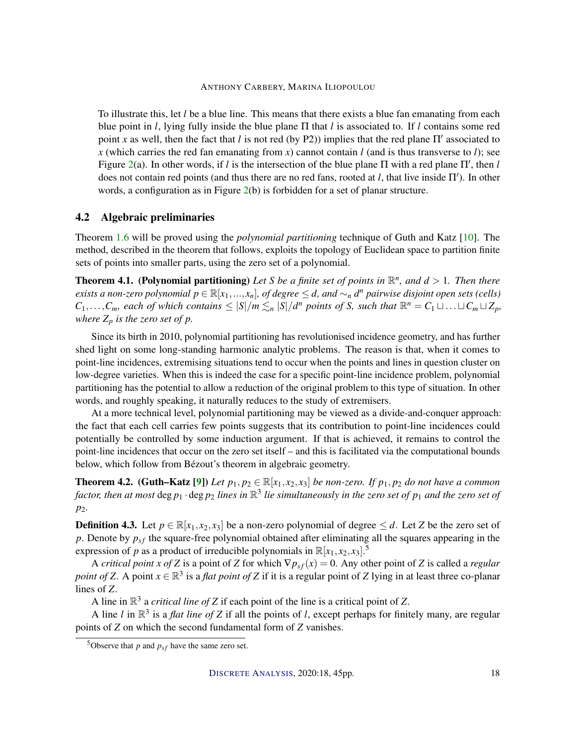To illustrate this, let *l* be a blue line. This means that there exists a blue fan emanating from each blue point in *l*, lying fully inside the blue plane Π that *l* is associated to. If *l* contains some red point *x* as well, then the fact that *l* is not red (by P2)) implies that the red plane  $\Pi'$  associated to *x* (which carries the red fan emanating from *x*) cannot contain *l* (and is thus transverse to *l*); see Figure 2(a). In other words, if *l* is the intersection of the blue plane  $\Pi$  with a red plane  $\Pi'$ , then *l* does not contain red points (and thus there are no red fans, rooted at  $l$ , that live inside  $\Pi'$ ). In other words, a configuration as in Figure 2(b) is forbidden for a set of planar structure.

#### 4.2 Algebraic preliminaries

Theorem 1.6 will be proved using the *polynomial partitioning* technique of Guth and Katz [10]. The method, described in the theorem that follows, exploits the topology of Euclidean space to partition finite sets of points into smaller parts, using the zero set of a polynomial.

**Theorem 4.1. (Polynomial partitioning)** Let S be a finite set of points in  $\mathbb{R}^n$ , and  $d > 1$ . Then there *exists a non-zero polynomial*  $p \in \mathbb{R}[x_1,...,x_n]$ , of degree  $\leq d$ , and  $\sim_n d^n$  pairwise disjoint open sets (cells)  $C_1,\ldots,C_m$ , each of which contains  $\leq |S|/m \lesssim_n |S|/d^n$  points of S, such that  $\mathbb{R}^n = C_1 \sqcup \ldots \sqcup C_m \sqcup Z_p$ , *where*  $Z_p$  *is the zero set of p.* 

Since its birth in 2010, polynomial partitioning has revolutionised incidence geometry, and has further shed light on some long-standing harmonic analytic problems. The reason is that, when it comes to point-line incidences, extremising situations tend to occur when the points and lines in question cluster on low-degree varieties. When this is indeed the case for a specific point-line incidence problem, polynomial partitioning has the potential to allow a reduction of the original problem to this type of situation. In other words, and roughly speaking, it naturally reduces to the study of extremisers.

At a more technical level, polynomial partitioning may be viewed as a divide-and-conquer approach: the fact that each cell carries few points suggests that its contribution to point-line incidences could potentially be controlled by some induction argument. If that is achieved, it remains to control the point-line incidences that occur on the zero set itself – and this is facilitated via the computational bounds below, which follow from Bézout's theorem in algebraic geometry.

**Theorem 4.2.** (Guth–Katz [9]) Let  $p_1, p_2 \in \mathbb{R}[x_1, x_2, x_3]$  be non-zero. If  $p_1, p_2$  do not have a common factor, then at most  $\deg p_1\cdot \deg p_2$  lines in  $\mathbb{R}^3$  lie simultaneously in the zero set of  $p_1$  and the zero set of *p*2*.*

**Definition 4.3.** Let  $p \in \mathbb{R}[x_1, x_2, x_3]$  be a non-zero polynomial of degree  $\leq d$ . Let *Z* be the zero set of *p*. Denote by  $p_{sf}$  the square-free polynomial obtained after eliminating all the squares appearing in the expression of *p* as a product of irreducible polynomials in  $\mathbb{R}[x_1, x_2, x_3]$ .<sup>5</sup>

A *critical point x of Z* is a point of *Z* for which  $\nabla p_{sf}(x) = 0$ . Any other point of *Z* is called a *regular point of Z*. A point  $x \in \mathbb{R}^3$  is a *flat point of Z* if it is a regular point of *Z* lying in at least three co-planar lines of *Z*.

A line in  $\mathbb{R}^3$  a *critical line of Z* if each point of the line is a critical point of *Z*.

A line *l* in  $\mathbb{R}^3$  is a *flat line of Z* if all the points of *l*, except perhaps for finitely many, are regular points of *Z* on which the second fundamental form of *Z* vanishes.

<sup>&</sup>lt;sup>5</sup>Observe that *p* and  $p_{sf}$  have the same zero set.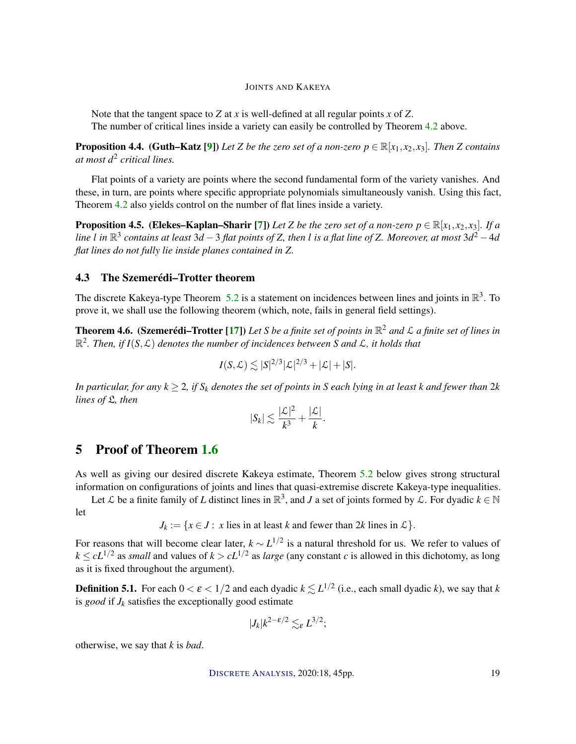Note that the tangent space to *Z* at *x* is well-defined at all regular points *x* of *Z*. The number of critical lines inside a variety can easily be controlled by Theorem 4.2 above.

**Proposition 4.4.** (Guth–Katz [9]) Let *Z* be the zero set of a non-zero  $p \in \mathbb{R}[x_1, x_2, x_3]$ . Then *Z* contains *at most d*<sup>2</sup> *critical lines.*

Flat points of a variety are points where the second fundamental form of the variety vanishes. And these, in turn, are points where specific appropriate polynomials simultaneously vanish. Using this fact, Theorem 4.2 also yields control on the number of flat lines inside a variety.

**Proposition 4.5.** (Elekes–Kaplan–Sharir [7]) *Let Z be the zero set of a non-zero*  $p \in \mathbb{R}[x_1, x_2, x_3]$ *. If a line l in* R 3 *contains at least* 3*d* −3 *flat points of Z, then l is a flat line of Z. Moreover, at most* 3*d* <sup>2</sup> −4*d flat lines do not fully lie inside planes contained in Z.*

#### 4.3 The Szemerédi–Trotter theorem

The discrete Kakeya-type Theorem 5.2 is a statement on incidences between lines and joints in  $\mathbb{R}^3$ . To prove it, we shall use the following theorem (which, note, fails in general field settings).

Theorem 4.6. (Szemerédi–Trotter [17]) *Let S be a finite set of points in* R <sup>2</sup> *and* L *a finite set of lines in*  $\mathbb{R}^2$ . Then, if  $I(S, \mathcal{L})$  denotes the number of incidences between S and  $\mathcal{L}$ , it holds that

$$
I(S,\mathcal{L}) \lesssim |S|^{2/3} |\mathcal{L}|^{2/3} + |\mathcal{L}| + |S|.
$$

*In particular, for any*  $k \geq 2$ *, if*  $S_k$  *denotes the set of points in* S *each lying in at least k and fewer than*  $2k$ *lines of* L*, then*

$$
|S_k| \lesssim \frac{|\mathcal{L}|^2}{k^3} + \frac{|\mathcal{L}|}{k}.
$$

## 5 Proof of Theorem 1.6

As well as giving our desired discrete Kakeya estimate, Theorem 5.2 below gives strong structural information on configurations of joints and lines that quasi-extremise discrete Kakeya-type inequalities.

Let  $\mathcal L$  be a finite family of *L* distinct lines in  $\mathbb R^3$ , and *J* a set of joints formed by  $\mathcal L$ . For dyadic  $k \in \mathbb N$ let

 $J_k := \{x \in J : x \text{ lies in at least } k \text{ and fewer than } 2k \text{ lines in } L\}.$ 

For reasons that will become clear later, *k* ∼ *L* 1/2 is a natural threshold for us. We refer to values of  $k \le cL^{1/2}$  as *small* and values of  $k > cL^{1/2}$  as *large* (any constant *c* is allowed in this dichotomy, as long as it is fixed throughout the argument).

**Definition 5.1.** For each  $0 < \varepsilon < 1/2$  and each dyadic  $k \lesssim L^{1/2}$  (i.e., each small dyadic *k*), we say that *k* is *good* if  $J_k$  satisfies the exceptionally good estimate

$$
|J_k|k^{2-\varepsilon/2}\lesssim_{\varepsilon}L^{3/2};
$$

otherwise, we say that *k* is *bad*.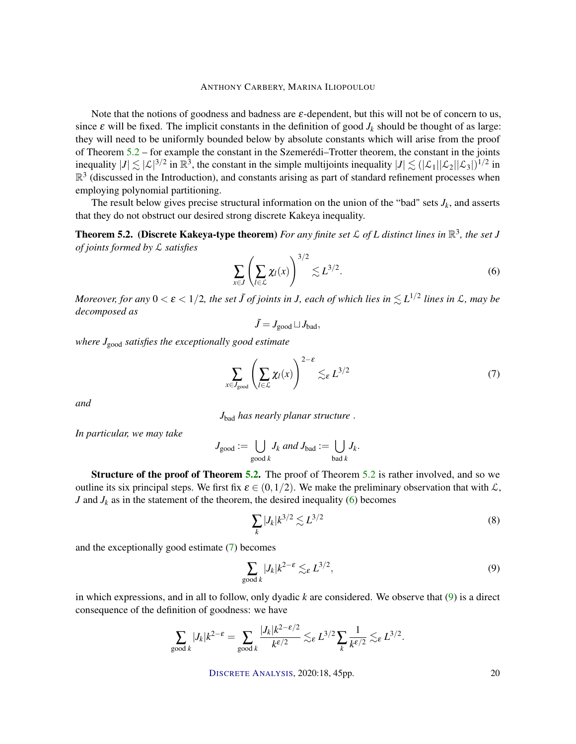Note that the notions of goodness and badness are  $\varepsilon$ -dependent, but this will not be of concern to us, since  $\varepsilon$  will be fixed. The implicit constants in the definition of good  $J_k$  should be thought of as large: they will need to be uniformly bounded below by absolute constants which will arise from the proof of Theorem 5.2 – for example the constant in the Szemerédi–Trotter theorem, the constant in the joints inequality  $|J| \lesssim |\mathcal{L}|^{3/2}$  in  $\mathbb{R}^3$ , the constant in the simple multijoints inequality  $|J| \lesssim (|\mathcal{L}_1||\mathcal{L}_2||\mathcal{L}_3|)^{1/2}$  in  $\mathbb{R}^3$  (discussed in the Introduction), and constants arising as part of standard refinement processes when employing polynomial partitioning.

The result below gives precise structural information on the union of the "bad" sets  $J_k$ , and asserts that they do not obstruct our desired strong discrete Kakeya inequality.

**Theorem 5.2. (Discrete Kakeya-type theorem)** For any finite set  $\mathcal{L}$  of L distinct lines in  $\mathbb{R}^3$ , the set J *of joints formed by* L *satisfies*  $3/2$ 

$$
\sum_{x \in J} \left( \sum_{l \in \mathcal{L}} \chi_l(x) \right)^{3/2} \lesssim L^{3/2}.
$$
 (6)

 $M$ oreover, for any  $0<\varepsilon < 1/2$ , the set  $\tilde{J}$  of joints in J, each of which lies in  $\lesssim L^{1/2}$  lines in  ${\cal L}$ , may be *decomposed as*

$$
\tilde{J} = J_{\text{good}} \sqcup J_{\text{bad}},
$$

*where J*good *satisfies the exceptionally good estimate*

$$
\sum_{x \in J_{\text{good}}} \left( \sum_{l \in \mathcal{L}} \chi_l(x) \right)^{2-\epsilon} \lesssim_{\epsilon} L^{3/2} \tag{7}
$$

*and*

*J*bad *has nearly planar structure* .

*In particular, we may take*

$$
J_{\text{good}} := \bigcup_{\text{good }k} J_k \text{ and } J_{\text{bad}} := \bigcup_{\text{bad }k} J_k.
$$

Structure of the proof of Theorem 5.2. The proof of Theorem 5.2 is rather involved, and so we outline its six principal steps. We first fix  $\varepsilon \in (0,1/2)$ . We make the preliminary observation that with  $\mathcal{L}$ , *J* and  $J_k$  as in the statement of the theorem, the desired inequality (6) becomes

$$
\sum_{k} |J_k| k^{3/2} \lesssim L^{3/2} \tag{8}
$$

and the exceptionally good estimate (7) becomes

$$
\sum_{\text{good }k} |J_k| k^{2-\epsilon} \lesssim_{\varepsilon} L^{3/2},\tag{9}
$$

in which expressions, and in all to follow, only dyadic *k* are considered. We observe that (9) is a direct consequence of the definition of goodness: we have

$$
\sum_{\text{good }k}|J_k|k^{2-\varepsilon} = \sum_{\text{good }k}\frac{|J_k|k^{2-\varepsilon/2}}{k^{\varepsilon/2}} \lesssim_{\varepsilon} L^{3/2}\sum_k\frac{1}{k^{\varepsilon/2}} \lesssim_{\varepsilon} L^{3/2}.
$$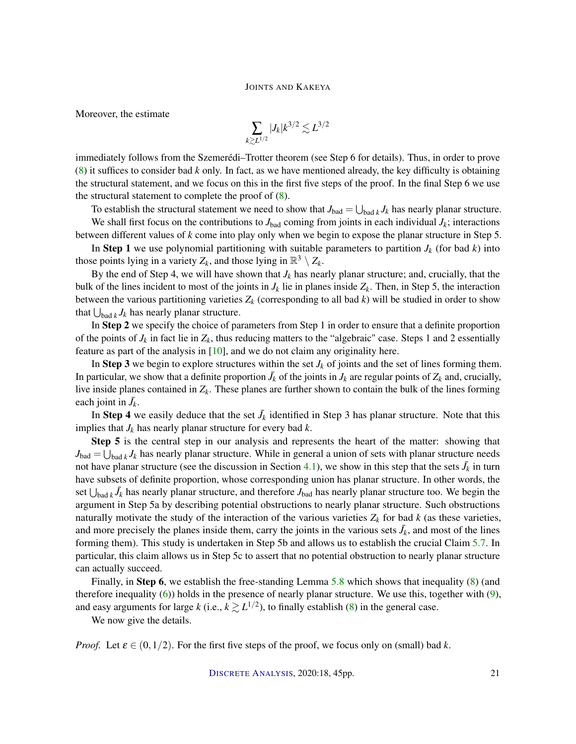Moreover, the estimate

$$
\sum_{k\geq L^{1/2}}|J_k|k^{3/2}\lesssim L^{3/2}
$$

immediately follows from the Szemerédi–Trotter theorem (see Step 6 for details). Thus, in order to prove (8) it suffices to consider bad *k* only. In fact, as we have mentioned already, the key difficulty is obtaining the structural statement, and we focus on this in the first five steps of the proof. In the final Step 6 we use the structural statement to complete the proof of  $(8)$ .

To establish the structural statement we need to show that  $J_{bad} = \bigcup_{bad k} J_k$  has nearly planar structure.

We shall first focus on the contributions to  $J_{bad}$  coming from joints in each individual  $J_k$ ; interactions between different values of *k* come into play only when we begin to expose the planar structure in Step 5.

In Step 1 we use polynomial partitioning with suitable parameters to partition  $J_k$  (for bad  $k$ ) into those points lying in a variety  $Z_k$ , and those lying in  $\mathbb{R}^3 \setminus Z_k$ .

By the end of Step 4, we will have shown that  $J_k$  has nearly planar structure; and, crucially, that the bulk of the lines incident to most of the joints in  $J_k$  lie in planes inside  $Z_k$ . Then, in Step 5, the interaction between the various partitioning varieties  $Z_k$  (corresponding to all bad  $k$ ) will be studied in order to show that  $\bigcup_{\text{bad }k} J_k$  has nearly planar structure.

In Step 2 we specify the choice of parameters from Step 1 in order to ensure that a definite proportion of the points of  $J_k$  in fact lie in  $Z_k$ , thus reducing matters to the "algebraic" case. Steps 1 and 2 essentially feature as part of the analysis in [10], and we do not claim any originality here.

In Step 3 we begin to explore structures within the set  $J_k$  of joints and the set of lines forming them. In particular, we show that a definite proportion  $\bar{J}_k$  of the joints in  $J_k$  are regular points of  $Z_k$  and, crucially, live inside planes contained in *Zk*. These planes are further shown to contain the bulk of the lines forming each joint in  $\bar{J}_k$ .

In Step 4 we easily deduce that the set  $\bar{J}_k$  identified in Step 3 has planar structure. Note that this implies that  $J_k$  has nearly planar structure for every bad  $k$ .

Step 5 is the central step in our analysis and represents the heart of the matter: showing that  $J_{bad} = \bigcup_{bad \, k} J_k$  has nearly planar structure. While in general a union of sets with planar structure needs not have planar structure (see the discussion in Section 4.1), we show in this step that the sets  $\bar{J}_k$  in turn have subsets of definite proportion, whose corresponding union has planar structure. In other words, the set  $\bigcup_{\text{bad }k} \bar{J}_k$  has nearly planar structure, and therefore  $J_{\text{bad}}$  has nearly planar structure too. We begin the argument in Step 5a by describing potential obstructions to nearly planar structure. Such obstructions naturally motivate the study of the interaction of the various varieties  $Z_k$  for bad  $k$  (as these varieties, and more precisely the planes inside them, carry the joints in the various sets  $\bar{J}_k$ , and most of the lines forming them). This study is undertaken in Step 5b and allows us to establish the crucial Claim 5.7. In particular, this claim allows us in Step 5c to assert that no potential obstruction to nearly planar structure can actually succeed.

Finally, in Step 6, we establish the free-standing Lemma 5.8 which shows that inequality (8) (and therefore inequality  $(6)$ ) holds in the presence of nearly planar structure. We use this, together with  $(9)$ , and easy arguments for large *k* (i.e.,  $k \gtrsim L^{1/2}$ ), to finally establish (8) in the general case.

We now give the details.

*Proof.* Let  $\varepsilon \in (0,1/2)$ . For the first five steps of the proof, we focus only on (small) bad k.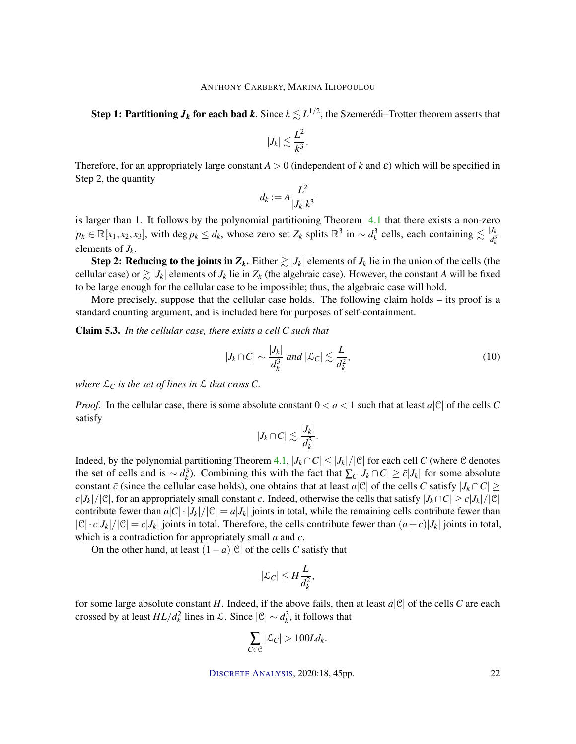${\bf Step~1:}$  Partitioning  $\bm{J_k}$  for each bad  $\bm{k}$ . Since  $k\lesssim L^{1/2},$  the Szemerédi–Trotter theorem asserts that

$$
|J_k| \lesssim \frac{L^2}{k^3}.
$$

Therefore, for an appropriately large constant  $A > 0$  (independent of k and  $\varepsilon$ ) which will be specified in Step 2, the quantity

$$
d_k := A \frac{L^2}{|J_k| k^3}
$$

is larger than 1. It follows by the polynomial partitioning Theorem 4.1 that there exists a non-zero  $p_k \in \mathbb{R}[x_1, x_2, x_3]$ , with deg  $p_k \leq d_k$ , whose zero set  $Z_k$  splits  $\mathbb{R}^3$  in  $\sim d_k^3$  cells, each containing  $\lesssim \frac{|J_k|}{d_k^3}$  $d_i^3$ *k* elements of  $J_k$ .

Step 2: Reducing to the joints in  $Z_k$ . Either  $\gtrsim |J_k|$  elements of  $J_k$  lie in the union of the cells (the cellular case) or  $\geq |J_k|$  elements of  $J_k$  lie in  $Z_k$  (the algebraic case). However, the constant *A* will be fixed to be large enough for the cellular case to be impossible; thus, the algebraic case will hold.

More precisely, suppose that the cellular case holds. The following claim holds – its proof is a standard counting argument, and is included here for purposes of self-containment.

Claim 5.3. *In the cellular case, there exists a cell C such that*

$$
|J_k \cap C| \sim \frac{|J_k|}{d_k^3} \text{ and } |\mathcal{L}_C| \lesssim \frac{L}{d_k^2},\tag{10}
$$

*where*  $\mathcal{L}_C$  *is the set of lines in*  $\mathcal L$  *that cross*  $C$ *.* 

*Proof.* In the cellular case, there is some absolute constant  $0 < a < 1$  such that at least  $a |C|$  of the cells C satisfy

$$
|J_k \cap C| \lesssim \frac{|J_k|}{d_k^3}.
$$

Indeed, by the polynomial partitioning Theorem 4.1,  $|J_k \cap C| \leq |J_k|/|C|$  for each cell *C* (where *C* denotes the set of cells and is  $\sim d_k^3$ ). Combining this with the fact that  $\sum_C |J_k \cap C| \ge \bar{c}|J_k|$  for some absolute constant  $\bar{c}$  (since the cellular case holds), one obtains that at least *a*|C| of the cells *C* satisfy  $|J_k \cap C| \ge$  $c|J_k|/|\mathcal{C}|$ , for an appropriately small constant *c*. Indeed, otherwise the cells that satisfy  $|J_k \cap C| \ge c|J_k|/|\mathcal{C}|$ contribute fewer than  $a|C|\cdot|J_k|/|C| = a|J_k|$  joints in total, while the remaining cells contribute fewer than  $|C| \cdot c|J_k|/|C| = c|J_k|$  joints in total. Therefore, the cells contribute fewer than  $(a+c)|J_k|$  joints in total, which is a contradiction for appropriately small *a* and *c*.

On the other hand, at least (1−*a*)|C| of the cells *C* satisfy that

$$
|\mathcal{L}_C| \le H \frac{L}{d_k^2},
$$

for some large absolute constant *H*. Indeed, if the above fails, then at least  $a|\mathcal{C}|$  of the cells *C* are each crossed by at least  $HL/d_k^2$  lines in  $\mathcal{L}$ . Since  $|\mathcal{C}| \sim d_k^3$ , it follows that

$$
\sum_{C\in\mathcal{C}}|\mathcal{L}_C|>100Ld_k.
$$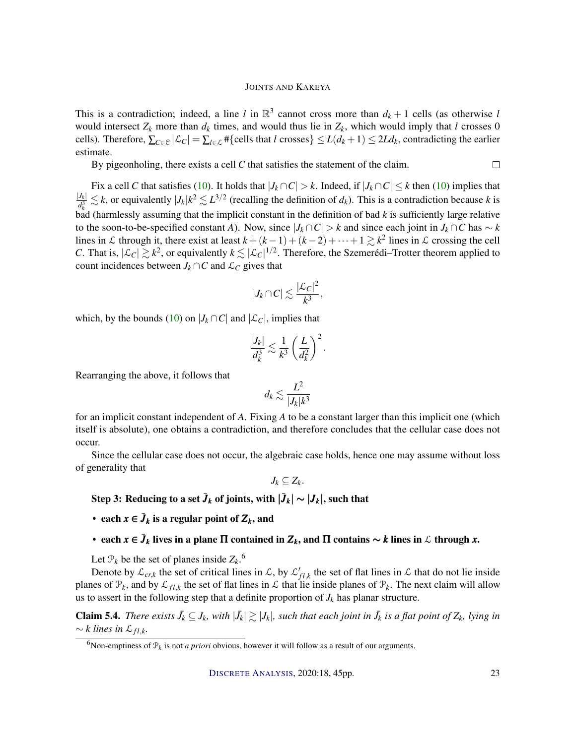This is a contradiction; indeed, a line *l* in  $\mathbb{R}^3$  cannot cross more than  $d_k + 1$  cells (as otherwise *l* would intersect  $Z_k$  more than  $d_k$  times, and would thus lie in  $Z_k$ , which would imply that *l* crosses 0 cells). Therefore,  $\sum_{C \in \mathcal{C}} |\mathcal{L}_C| = \sum_{l \in \mathcal{L}} \# \{$ cells that *l* crosses}  $\leq L(d_k + 1) \leq 2Ld_k$ , contradicting the earlier estimate.

By pigeonholing, there exists a cell *C* that satisfies the statement of the claim.

Fix a cell *C* that satisfies (10). It holds that  $|J_k \cap C| > k$ . Indeed, if  $|J_k \cap C| \leq k$  then (10) implies that  $|J_k|$  $\frac{J_k}{d_k^3} \lesssim k$ , or equivalently  $|J_k|k^2 \lesssim L^{3/2}$  (recalling the definition of *d<sub>k</sub>*). This is a contradiction because *k* is *k* bad (harmlessly assuming that the implicit constant in the definition of bad *k* is sufficiently large relative to the soon-to-be-specified constant *A*). Now, since  $|J_k \cap C| > k$  and since each joint in  $J_k \cap C$  has  $\sim k$ lines in L through it, there exist at least  $k + (k-1) + (k-2) + \cdots + 1 \geq k^2$  lines in L crossing the cell *C*. That is,  $|\mathcal{L}_C| \gtrsim k^2$ , or equivalently  $k \lesssim |\mathcal{L}_C|^{1/2}$ . Therefore, the Szemerédi–Trotter theorem applied to count incidences between  $J_k \cap C$  and  $\mathcal{L}_C$  gives that

$$
|J_k \cap C| \lesssim \frac{|\mathcal{L}_C|^2}{k^3},
$$

which, by the bounds (10) on  $|J_k \cap C|$  and  $|\mathcal{L}_C|$ , implies that

$$
\frac{|J_k|}{d_k^3} \lesssim \frac{1}{k^3} \left(\frac{L}{d_k^2}\right)^2.
$$

Rearranging the above, it follows that

$$
d_k \lesssim \frac{L^2}{|J_k| k^3}
$$

for an implicit constant independent of *A*. Fixing *A* to be a constant larger than this implicit one (which itself is absolute), one obtains a contradiction, and therefore concludes that the cellular case does not occur.

Since the cellular case does not occur, the algebraic case holds, hence one may assume without loss of generality that

 $J_k \subseteq Z_k$ .

Step 3: Reducing to a set  $\bar{J}_k$  of joints, with  $|\bar{J}_k|\sim |J_k|,$  such that

- each  $x \in \bar{J}_k$  is a regular point of  $Z_k$ , and
- each *x* ∈  $\bar{J}_k$  lives in a plane  $\Pi$  contained in  $Z_k$ , and  $\Pi$  contains  $\sim$  *k* lines in  $\mathcal L$  through *x*.

Let  $P_k$  be the set of planes inside  $Z_k$ .<sup>6</sup>

Denote by  $\mathcal{L}_{cr,k}$  the set of critical lines in  $\mathcal{L}$ , by  $\mathcal{L}'_{fl,k}$  the set of flat lines in  $\mathcal{L}$  that do not lie inside planes of  $\mathcal{P}_k$ , and by  $\mathcal{L}_{fl,k}$  the set of flat lines in  $\mathcal L$  that lie inside planes of  $\mathcal{P}_k$ . The next claim will allow us to assert in the following step that a definite proportion of  $J_k$  has planar structure.

**Claim 5.4.** There exists  $\bar{J}_k \subseteq J_k$ , with  $|\bar{J}_k| \gtrsim |J_k|$ , such that each joint in  $\bar{J}_k$  is a flat point of  $Z_k$ , lying in  $\sim$  *k* lines in  $\mathcal{L}_{fl,k}$ .

 $\Box$ 

<sup>&</sup>lt;sup>6</sup>Non-emptiness of  $\mathcal{P}_k$  is not *a priori* obvious, however it will follow as a result of our arguments.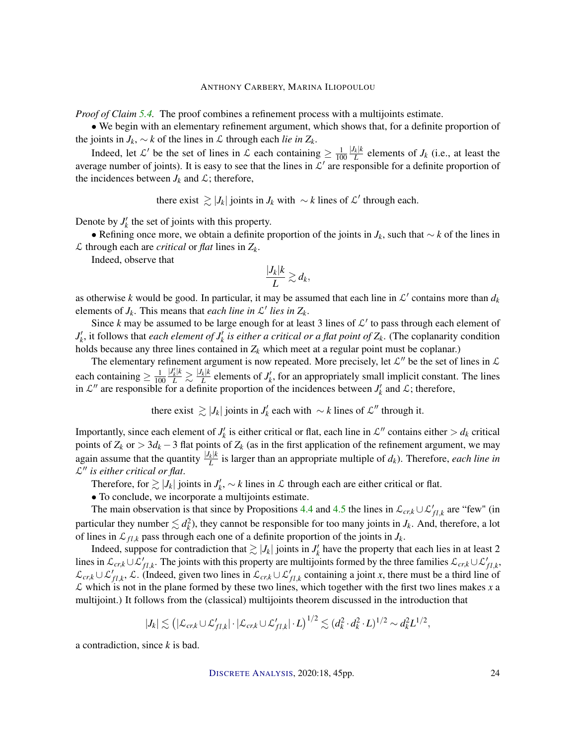*Proof of Claim 5.4.* The proof combines a refinement process with a multijoints estimate.

• We begin with an elementary refinement argument, which shows that, for a definite proportion of the joints in *J<sub>k</sub>*, ∼ *k* of the lines in *L* through each *lie in*  $Z_k$ .

Indeed, let L' be the set of lines in L each containing  $\geq \frac{1}{10}$ 100  $|J_k|k$  $L^k$  elements of  $J_k$  (i.e., at least the average number of joints). It is easy to see that the lines in  $\mathcal{L}'$  are responsible for a definite proportion of the incidences between  $J_k$  and  $\mathcal{L}$ ; therefore,

there exist  $\gtrsim |J_k|$  joints in  $J_k$  with ∼ *k* lines of  $\mathcal{L}'$  through each.

Denote by  $J'_k$  the set of joints with this property.

• Refining once more, we obtain a definite proportion of the joints in *Jk*, such that ∼ *k* of the lines in L through each are *critical* or *flat* lines in *Zk*.

Indeed, observe that

$$
\frac{|J_k|k}{L}\gtrsim d_k,
$$

as otherwise k would be good. In particular, it may be assumed that each line in  $\mathcal{L}'$  contains more than  $d_k$ elements of  $J_k$ . This means that *each line in*  $\mathcal{L}'$  *lies in*  $Z_k$ .

Since  $k$  may be assumed to be large enough for at least 3 lines of  $\mathcal{L}'$  to pass through each element of  $J'_k$ , it follows that *each element of*  $J'_k$  *is either a critical or a flat point of*  $Z_k$ . (The coplanarity condition holds because any three lines contained in *Z<sup>k</sup>* which meet at a regular point must be coplanar.)

The elementary refinement argument is now repeated. More precisely, let  $\mathcal{L}''$  be the set of lines in  $\mathcal{L}$ each containing  $\geq \frac{1}{10}$ 100  $\frac{|J'_k| k}{L} \gtrsim \frac{|J_k| k}{L}$  $L_k^k$  elements of  $J'_k$ , for an appropriately small implicit constant. The lines in  $\mathcal{L}''$  are responsible for a definite proportion of the incidences between  $J'_k$  and  $\mathcal{L}$ ; therefore,

there exist  $\gtrsim |J_k|$  joints in  $J'_k$  each with ∼ *k* lines of  $\mathcal{L}''$  through it.

Importantly, since each element of  $J'_k$  is either critical or flat, each line in  $\mathcal{L}''$  contains either  $> d_k$  critical points of  $Z_k$  or  $> 3d_k - 3$  flat points of  $Z_k$  (as in the first application of the refinement argument, we may again assume that the quantity  $\frac{|J_k| k}{l}$  $\frac{1}{L}$  is larger than an appropriate multiple of  $d_k$ ). Therefore, *each line in* L <sup>00</sup> *is either critical or flat*.

Therefore, for  $\gtrsim |J_k|$  joints in  $J'_k$ , ∼ *k* lines in *L* through each are either critical or flat.

• To conclude, we incorporate a multijoints estimate.

The main observation is that since by Propositions 4.4 and 4.5 the lines in  $\mathcal{L}_{cr,k} \cup \mathcal{L}'_{fl,k}$  are "few" (in particular they number  $\lesssim d_k^2$ ), they cannot be responsible for too many joints in  $J_k$ . And, therefore, a lot of lines in  $\mathcal{L}_{f_l,k}$  pass through each one of a definite proportion of the joints in  $J_k$ .

Indeed, suppose for contradiction that  $\gtrsim |J_k|$  joints in  $J'_k$  have the property that each lies in at least 2 lines in  $\mathcal{L}_{cr,k} \cup \mathcal{L}'_{fl,k}$ . The joints with this property are multijoints formed by the three families  $\mathcal{L}_{cr,k} \cup \mathcal{L}'_{fl,k}$ ,  $\mathcal{L}_{cr,k} \cup \mathcal{L}'_{fl,k}$ ,  $\mathcal{L}$ . (Indeed, given two lines in  $\mathcal{L}_{cr,k} \cup \mathcal{L}'_{fl,k}$  containing a joint *x*, there must be a third line of  $\mathcal L$  which is not in the plane formed by these two lines, which together with the first two lines makes x a multijoint.) It follows from the (classical) multijoints theorem discussed in the introduction that

$$
|J_k| \lesssim \left(|\mathcal{L}_{cr,k} \cup \mathcal{L}'_{fl,k}| \cdot |\mathcal{L}_{cr,k} \cup \mathcal{L}'_{fl,k}| \cdot L\right)^{1/2} \lesssim (d_k^2 \cdot d_k^2 \cdot L)^{1/2} \sim d_k^2 L^{1/2},
$$

a contradiction, since *k* is bad.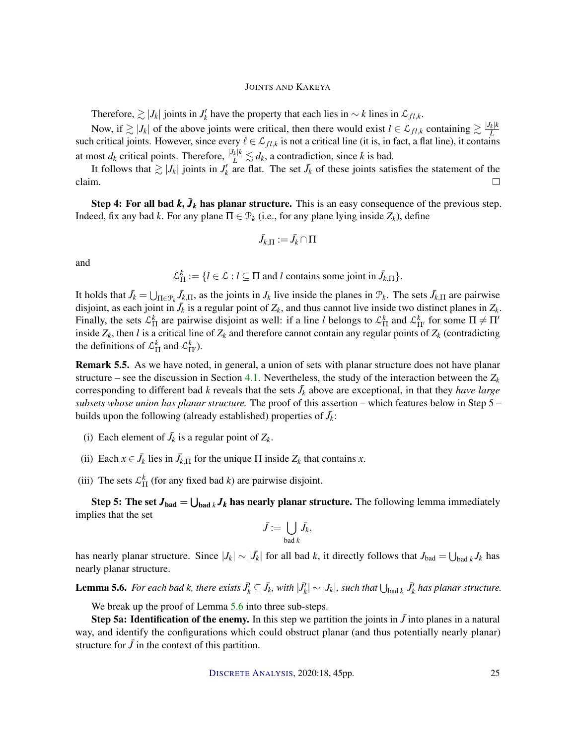Therefore,  $\gtrsim |J_k|$  joints in  $J'_k$  have the property that each lies in  $\sim k$  lines in  $\mathcal{L}_{fl,k}$ .

Now, if  $\gtrsim |J_k|$  of the above joints were critical, then there would exist  $l \in \mathcal{L}_{fl,k}$  containing  $\gtrsim \frac{|J_k|k}{L}$ *L* such critical joints. However, since every  $\ell \in \mathcal{L}_{fl,k}$  is not a critical line (it is, in fact, a flat line), it contains at most  $d_k$  critical points. Therefore,  $\frac{|J_k| k}{L} \lesssim d_k$ , a contradiction, since *k* is bad.

It follows that  $\gtrsim |J_k|$  joints in  $J'_k$  are flat. The set  $\bar{J}_k$  of these joints satisfies the statement of the claim.  $\Box$ 

Step 4: For all bad  $k$ ,  $\bar{J}_k$  has planar structure. This is an easy consequence of the previous step. Indeed, fix any bad *k*. For any plane  $\Pi \in \mathcal{P}_k$  (i.e., for any plane lying inside  $Z_k$ ), define

$$
\bar{J_{k,\Pi}}:=\bar{J_k}\cap \Pi
$$

and

$$
\mathcal{L}_{\Pi}^k := \{l \in \mathcal{L} : l \subseteq \Pi \text{ and } l \text{ contains some joint in } \bar{J}_{k,\Pi}\}.
$$

It holds that  $\bar{J}_k = \bigcup_{\Pi \in \mathcal{P}_k} \bar{J}_{k,\Pi}$ , as the joints in  $J_k$  live inside the planes in  $\mathcal{P}_k$ . The sets  $\bar{J}_{k,\Pi}$  are pairwise disjoint, as each joint in  $\bar{J}_k$  is a regular point of  $Z_k$ , and thus cannot live inside two distinct planes in  $Z_k$ . Finally, the sets  $\mathcal{L}_{\Pi}^{k}$  are pairwise disjoint as well: if a line *l* belongs to  $\mathcal{L}_{\Pi}^{k}$  and  $\mathcal{L}_{\Pi'}^{k}$  for some  $\Pi \neq \Pi'$ inside  $Z_k$ , then *l* is a critical line of  $Z_k$  and therefore cannot contain any regular points of  $Z_k$  (contradicting the definitions of  $\mathcal{L}_{\Pi}^{k}$  and  $\mathcal{L}_{\Pi'}^{k}$ ).

Remark 5.5. As we have noted, in general, a union of sets with planar structure does not have planar structure – see the discussion in Section 4.1. Nevertheless, the study of the interaction between the  $Z_k$ corresponding to different bad *k* reveals that the sets  $\bar{J}_k$  above are exceptional, in that they *have large subsets whose union has planar structure.* The proof of this assertion – which features below in Step 5 – builds upon the following (already established) properties of  $\bar{J}_k$ :

- (i) Each element of  $\bar{J}_k$  is a regular point of  $Z_k$ .
- (ii) Each  $x \in \bar{J}_k$  lies in  $\bar{J}_{k,\Pi}$  for the unique  $\Pi$  inside  $Z_k$  that contains *x*.
- (iii) The sets  $\mathcal{L}_{\Pi}^{k}$  (for any fixed bad *k*) are pairwise disjoint.

Step 5: The set  $J_{bad} = \bigcup_{bad \, k} J_k$  has nearly planar structure. The following lemma immediately implies that the set

$$
\bar{J} := \bigcup_{\text{bad }k} \bar{J}_k,
$$

has nearly planar structure. Since  $|J_k| \sim |\bar{J}_k|$  for all bad *k*, it directly follows that  $J_{bad} = \bigcup_{bad \, k} J_k$  has nearly planar structure.

**Lemma 5.6.** For each bad k, there exists  $J_k^j \subseteq J_k$ , with  $|J_k^j| \sim |J_k|$ , such that  $\bigcup_{\text{bad }k} J_k^j$  has planar structure.

We break up the proof of Lemma 5.6 into three sub-steps.

**Step 5a: Identification of the enemy.** In this step we partition the joints in  $\bar{J}$  into planes in a natural way, and identify the configurations which could obstruct planar (and thus potentially nearly planar) structure for  $\bar{J}$  in the context of this partition.

DISCRETE A[NALYSIS](http://dx.doi.org/10.19086/da), 2020:18, 45pp. 25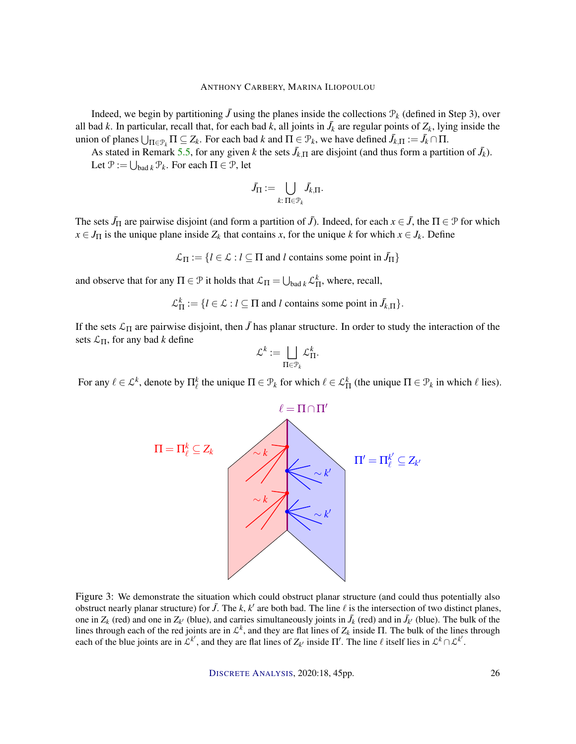Indeed, we begin by partitioning  $\bar{J}$  using the planes inside the collections  $\mathcal{P}_k$  (defined in Step 3), over all bad *k*. In particular, recall that, for each bad *k*, all joints in  $\bar{J}_k$  are regular points of  $Z_k$ , lying inside the union of planes  $\bigcup_{\Pi \in \mathcal{P}_k} \Pi \subseteq Z_k$ . For each bad *k* and  $\Pi \in \mathcal{P}_k$ , we have defined  $\bar{J}_{k,\Pi} := \bar{J}_k \cap \Pi$ .

As stated in Remark 5.5, for any given *k* the sets  $\bar{J}_{k,\Pi}$  are disjoint (and thus form a partition of  $\bar{J}_k$ ). Let  $\mathcal{P} := \bigcup_{\text{bad }k} \mathcal{P}_k$ . For each  $\Pi \in \mathcal{P}$ , let

$$
\bar{J}_\Pi := \bigcup_{k:\, \Pi \in \mathcal{P}_k} \bar{J}_{k,\Pi}.
$$

The sets  $\bar{J}_{\Pi}$  are pairwise disjoint (and form a partition of  $\bar{J}$ ). Indeed, for each  $x \in \bar{J}$ , the  $\Pi \in \mathcal{P}$  for which  $x \in J_\Pi$  is the unique plane inside  $Z_k$  that contains *x*, for the unique *k* for which  $x \in J_k$ . Define

 $\mathcal{L}_{\Pi} := \{l \in \mathcal{L} : l \subseteq \Pi \text{ and } l \text{ contains some point in } \bar{J}_{\Pi}\}\$ 

and observe that for any  $\Pi \in \mathcal{P}$  it holds that  $\mathcal{L}_{\Pi} = \bigcup_{\text{bad }k} \mathcal{L}_{\Pi}^k$ , where, recall,

 $\mathcal{L}_{\Pi}^k := \{l \in \mathcal{L} : l \subseteq \Pi \text{ and } l \text{ contains some point in } \bar{J}_{k,\Pi}\}.$ 

If the sets  $\mathcal{L}_{\Pi}$  are pairwise disjoint, then  $\bar{J}$  has planar structure. In order to study the interaction of the sets  $\mathcal{L}_{\Pi}$ , for any bad *k* define

$$
\mathcal{L}^k:=\bigsqcup_{\Pi\in\mathcal{P}_k}\mathcal{L}^k_{\Pi}.
$$

For any  $\ell \in \mathcal{L}^k$ , denote by  $\Pi^k_\ell$  the unique  $\Pi \in \mathcal{P}_k$  for which  $\ell \in \mathcal{L}^k_{\Pi}$  (the unique  $\Pi \in \mathcal{P}_k$  in which  $\ell$  lies).



Figure 3: We demonstrate the situation which could obstruct planar structure (and could thus potentially also obstruct nearly planar structure) for  $\bar{J}$ . The  $k$ ,  $k'$  are both bad. The line  $\ell$  is the intersection of two distinct planes, one in  $Z_k$  (red) and one in  $Z_{k'}$  (blue), and carries simultaneously joints in  $\bar{J}_k$  (red) and in  $\bar{J}_{k'}$  (blue). The bulk of the lines through each of the red joints are in  $\mathcal{L}^k$ , and they are flat lines of  $Z_k$  inside  $\Pi$ . The bulk of the lines through each of the blue joints are in  $\mathcal{L}^{k'}$ , and they are flat lines of  $Z_{k'}$  inside  $\Pi'$ . The line  $\ell$  itself lies in  $\mathcal{L}^k \cap \mathcal{L}^{k'}$ .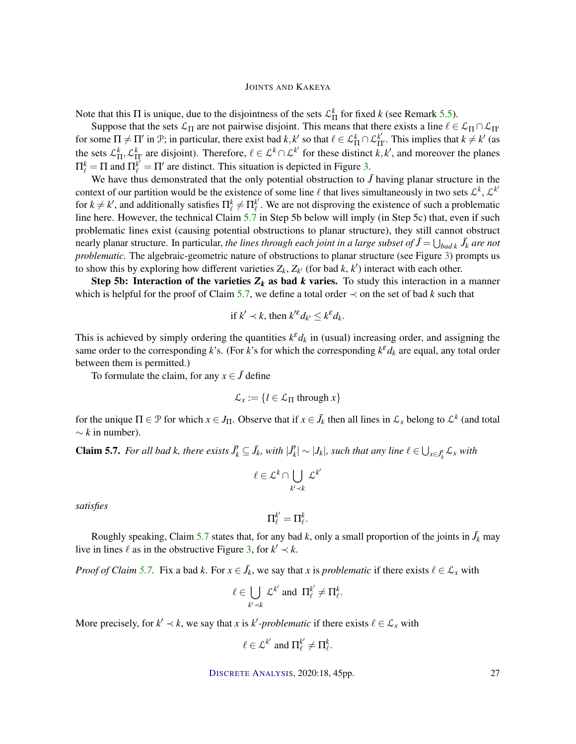Note that this  $\Pi$  is unique, due to the disjointness of the sets  $\mathcal{L}_{\Pi}^k$  for fixed *k* (see Remark 5.5).

Suppose that the sets  $\mathcal{L}_{\Pi}$  are not pairwise disjoint. This means that there exists a line  $\ell \in \mathcal{L}_{\Pi} \cap \mathcal{L}_{\Pi'}$ for some  $\Pi \neq \Pi'$  in  $\mathcal{P}$ ; in particular, there exist bad  $k, k'$  so that  $\ell \in \mathcal{L}_{\Pi}^k \cap \mathcal{L}_{\Pi'}^{k'}$ . This implies that  $k \neq k'$  (as the sets  $\mathcal{L}_{\Pi}^k$ ,  $\mathcal{L}_{\Pi}^k$  are disjoint). Therefore,  $\ell \in \mathcal{L}^k \cap \mathcal{L}^{k'}$  for these distinct  $k, k'$ , and moreover the planes  $\Pi_{\ell}^{k} = \Pi$  and  $\Pi_{\ell}^{k'} = \Pi'$  are distinct. This situation is depicted in Figure 3.

We have thus demonstrated that the only potential obstruction to  $\bar{J}$  having planar structure in the context of our partition would be the existence of some line  $\ell$  that lives simultaneously in two sets  $\mathcal{L}^k$ ,  $\mathcal{L}^{k'}$ for  $k \neq k'$ , and additionally satisfies  $\prod_{\ell}^{k} \neq \prod_{\ell}^{k'}$  $\ell$ . We are not disproving the existence of such a problematic line here. However, the technical Claim 5.7 in Step 5b below will imply (in Step 5c) that, even if such problematic lines exist (causing potential obstructions to planar structure), they still cannot obstruct nearly planar structure. In particular, *the lines through each joint in a large subset of*  $\bar{J} = \bigcup_{bad \, k} \bar{J}_k$  *are not problematic*. The algebraic-geometric nature of obstructions to planar structure (see Figure 3) prompts us to show this by exploring how different varieties  $Z_k$ ,  $Z_{k'}$  (for bad  $k$ ,  $k'$ ) interact with each other.

Step 5b: Interaction of the varieties  $Z_k$  as bad *k* varies. To study this interaction in a manner which is helpful for the proof of Claim 5.7, we define a total order  $\prec$  on the set of bad *k* such that

if 
$$
k' \prec k
$$
, then  $k'^{\varepsilon} d_{k'} \leq k^{\varepsilon} d_k$ .

This is achieved by simply ordering the quantities  $k^{\varepsilon} d_k$  in (usual) increasing order, and assigning the same order to the corresponding *k*'s. (For *k*'s for which the corresponding  $k^{\epsilon}d_k$  are equal, any total order between them is permitted.)

To formulate the claim, for any  $x \in \overline{J}$  define

$$
\mathcal{L}_x := \{ l \in \mathcal{L}_{\Pi} \text{ through } x \}
$$

for the unique  $\Pi \in \mathcal{P}$  for which  $x \in J_\Pi$ . Observe that if  $x \in \bar{J}_k$  then all lines in  $\mathcal{L}_x$  belong to  $\mathcal{L}^k$  (and total  $\sim k$  in number).

**Claim 5.7.** For all bad k, there exists  $J_k \subseteq J_k$ , with  $|J_k| \sim |J_k|$ , such that any line  $\ell \in \bigcup_{x \in J_k} \mathcal{L}_x$  with

$$
\ell \in \mathcal{L}^k \cap \bigcup_{k' \prec k} \mathcal{L}^{k'}
$$

*satisfies*

$$
\Pi_\ell^{k'} = \Pi_\ell^k.
$$

Roughly speaking, Claim 5.7 states that, for any bad *k*, only a small proportion of the joints in  $\bar{J}_k$  may live in lines  $\ell$  as in the obstructive Figure 3, for  $k' \prec k$ .

*Proof of Claim* 5.7. Fix a bad *k*. For  $x \in J_k$ , we say that *x* is *problematic* if there exists  $\ell \in \mathcal{L}_x$  with

$$
\ell \in \bigcup_{k' \prec k} \mathcal{L}^{k'} \text{ and } \Pi_{\ell}^{k'} \neq \Pi_{\ell}^{k}.
$$

More precisely, for  $k' \prec k$ , we say that *x* is  $k'$ -problematic if there exists  $\ell \in \mathcal{L}_x$  with

$$
\ell \in \mathcal{L}^{k'} \text{ and } \Pi_{\ell}^{k'} \neq \Pi_{\ell}^{k}.
$$

DISCRETE A[NALYSIS](http://dx.doi.org/10.19086/da), 2020:18, 45pp. 27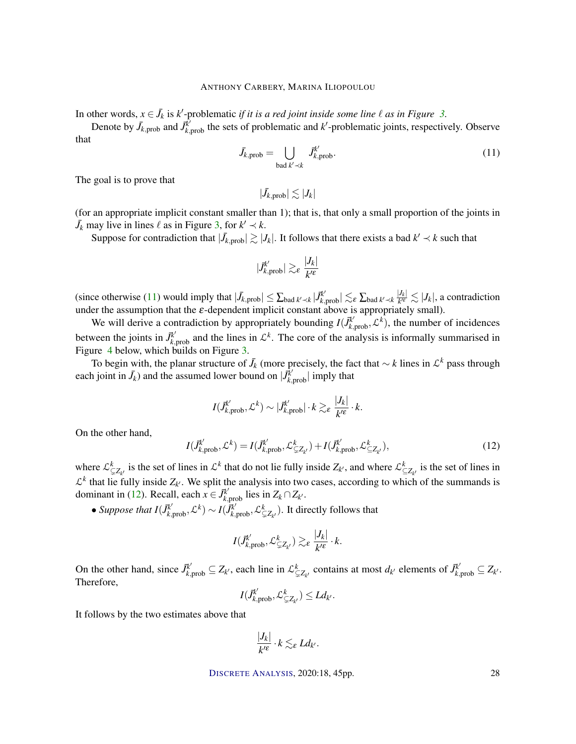In other words,  $x \in \bar{J}_k$  is  $k'$ -problematic *if it is a red joint inside some line*  $\ell$  *as in Figure* 3.

Denote by  $\bar{J}_{k, \text{prob}}$  and  $\bar{J}_{k, \text{prob}}^{\bar{k}}$  the sets of problematic and  $k'$ -problematic joints, respectively. Observe that

$$
\bar{J}_{k,\text{prob}} = \bigcup_{\text{bad }k' \prec k} \bar{J}_{k,\text{prob}}^{k'}.
$$
\n(11)

The goal is to prove that

$$
|\bar{J}_{k,\text{prob}}| \lesssim |J_k|
$$

(for an appropriate implicit constant smaller than 1); that is, that only a small proportion of the joints in  $J_k$  may live in lines  $\ell$  as in Figure 3, for  $k' \prec k$ .

Suppose for contradiction that  $|\bar{J}_{k,prob}| \gtrsim |J_k|$ . It follows that there exists a bad  $k' \prec k$  such that

$$
|\vec{J}_{k,\text{prob}}^{k'}| \gtrsim_{\varepsilon} \frac{|J_k|}{k'^{\varepsilon}}
$$

 $|\text{Sine otherwise (11) would imply that  $|\bar{J}_{k,\text{prob}}| \leq \sum_{\text{bad }k' \prec k} |\bar{J}_{k,\text{prob}}^{k'}| \lesssim_{\varepsilon} \sum_{\text{bad }k' \prec k} \frac{|J_k|}{k'^{\varepsilon}}$$  $\frac{|J_k|}{k^{\prime\epsilon}} \lesssim |J_k|$ , a contradiction under the assumption that the  $\varepsilon$ -dependent implicit constant above is appropriately small).

We will derive a contradiction by appropriately bounding  $I(\vec{J}^k_{k,prob}, \mathcal{L}^k)$ , the number of incidences between the joints in  $\vec{J}^k_{k, \text{prob}}$  and the lines in  $\mathcal{L}^k$ . The core of the analysis is informally summarised in Figure 4 below, which builds on Figure 3.

To begin with, the planar structure of  $\bar{J}_k$  (more precisely, the fact that  $\sim k$  lines in  $\mathcal{L}^k$  pass through each joint in  $\bar{J}_k$ ) and the assumed lower bound on  $|\bar{J}_{k,\text{prob}}^{\bar{k}}|$  imply that

$$
I(\vec{J}_{k,\text{prob}}^{k'}, \mathcal{L}^k) \sim |\vec{J}_{k,\text{prob}}^{k'}| \cdot k \gtrsim_{\varepsilon} \frac{|J_k|}{k'^{\varepsilon}} \cdot k.
$$

On the other hand,

$$
I(\vec{J}_{k,\text{prob}}^{k'}, \mathcal{L}^k) = I(\vec{J}_{k,\text{prob}}^{k'}, \mathcal{L}_{\subsetneq Z_{k'}}^k) + I(\vec{J}_{k,\text{prob}}^{k'}, \mathcal{L}_{\subseteq Z_{k'}}^k),
$$
\n(12)

where  $\mathcal{L}_{\subsetneq Z_{k'}}^k$  is the set of lines in  $\mathcal{L}^k$  that do not lie fully inside  $Z_{k'}$ , and where  $\mathcal{L}_{\subsetneq Z_{k'}}^k$  is the set of lines in  $\mathcal{L}^k$  that lie fully inside  $Z_{k'}$ . We split the analysis into two cases, according to which of the summands is dominant in (12). Recall, each  $x \in \overline{J}_{k, \text{prob}}^{\overline{k}'}$  lies in  $Z_k \cap Z_{k'}$ .

• *Suppose that*  $I(\bar{J}^{k'}_{k, \text{prob}}, \mathcal{L}^k) \sim I(\bar{J}^{k'}_{k, \text{prob}}, \mathcal{L}^k_{\subsetneq Z_{k'}})$ . It directly follows that

$$
I(\vec{J}_{k,\text{prob}}^{k'}, \mathcal{L}_{\subsetneq Z_{k'}}^{k}) \gtrsim_{\varepsilon} \frac{|J_k|}{k'^{\varepsilon}} \cdot k.
$$

On the other hand, since  $\vec{J}_{k, \text{prob}}^{k'} \subseteq Z_{k'}$ , each line in  $\mathcal{L}_{\subsetneq Z_{k'}}^k$  contains at most  $d_{k'}$  elements of  $\vec{J}_{k, \text{prob}}^{k'} \subseteq Z_{k'}$ . Therefore,

$$
I(\bar{J}^{k'}_{k,\text{prob}},\mathcal{L}^k_{\subsetneq Z_{k'}})\leq Ld_{k'}.
$$

It follows by the two estimates above that

$$
\frac{|J_k|}{k'^\varepsilon}\cdot k\lesssim_\varepsilon Ld_{k'}.
$$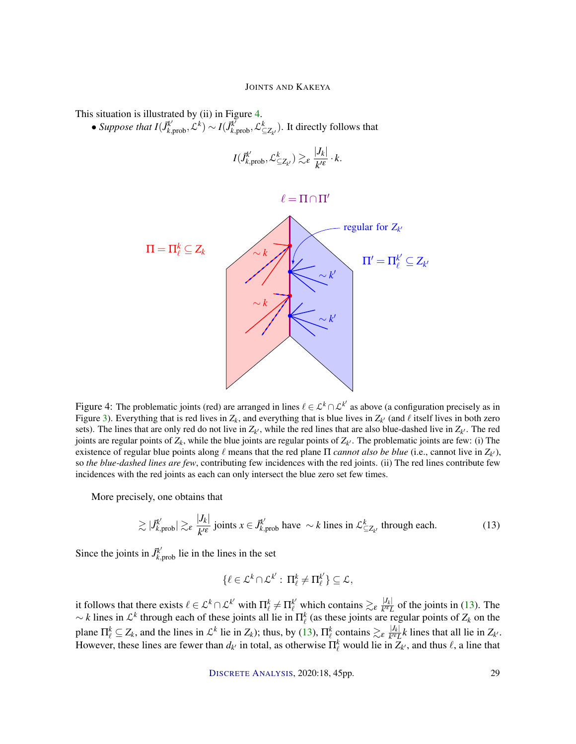This situation is illustrated by (ii) in Figure 4.

• *Suppose that*  $I(\bar{J}_{k, \text{prob}}^{k'}, \mathcal{L}^k) \sim I(\bar{J}_{k, \text{prob}}^{k'}, \mathcal{L}_{\leq Z_{k'}}^k)$ . It directly follows that

$$
I(\bar{J}_{k,\text{prob}}^{k'}, \mathcal{L}_{\subseteq Z_{k'}}^{k}) \gtrsim_{\varepsilon} \frac{|J_k|}{k'^{\varepsilon}} \cdot k.
$$

$$
\ell=\Pi\cap\Pi'
$$



Figure 4: The problematic joints (red) are arranged in lines  $\ell \in \mathcal{L}^k \cap \mathcal{L}^{k'}$  as above (a configuration precisely as in Figure 3). Everything that is red lives in  $Z_k$ , and everything that is blue lives in  $Z_{k'}$  (and  $\ell$  itself lives in both zero sets). The lines that are only red do not live in  $Z_{k'}$ , while the red lines that are also blue-dashed live in  $Z_{k'}$ . The red joints are regular points of  $Z_k$ , while the blue joints are regular points of  $Z_{k'}$ . The problematic joints are few: (i) The existence of regular blue points along  $\ell$  means that the red plane  $\Pi$  *cannot also be blue* (i.e., cannot live in  $Z_{k'}$ ), so *the blue-dashed lines are few*, contributing few incidences with the red joints. (ii) The red lines contribute few incidences with the red joints as each can only intersect the blue zero set few times.

More precisely, one obtains that

$$
\gtrsim |J_{k,\text{prob}}^{k'}| \gtrsim_{\varepsilon} \frac{|J_k|}{k'^{\varepsilon}} \text{ joints } x \in J_{k,\text{prob}}^{k'} \text{ have } \sim k \text{ lines in } \mathcal{L}_{\subseteq Z_{k'}}^{k} \text{ through each.}
$$
 (13)

Since the joints in  $\vec{J}^{k'}_{k, \text{prob}}$  lie in the lines in the set

$$
\{\ell\in\mathcal{L}^k\cap\mathcal{L}^{k'}:\,\Pi^k_{\ell}\neq\Pi^{k'}_{\ell}\}\subseteq\mathcal{L},
$$

it follows that there exists  $\ell \in \mathcal{L}^k \cap \mathcal{L}^{k'}$  with  $\Pi^k_{\ell} \neq \Pi^{k'}_{\ell}$  which contains  $\gtrsim_{\varepsilon} \frac{|J_k|}{k'^{\varepsilon} L}$  $\frac{|J_k|}{k^{\prime\epsilon}L}$  of the joints in (13). The  $\sim k$  lines in  $\mathcal{L}^k$  through each of these joints all lie in  $\Pi^k_\ell$  (as these joints are regular points of  $Z_k$  on the plane  $\Pi_{\ell}^k \subseteq Z_k$ , and the lines in  $\mathcal{L}^k$  lie in  $Z_k$ ); thus, by (13),  $\Pi_{\ell}^k$  contains  $\gtrsim_{\varepsilon} \frac{|J_k|}{k^{\ell} L}$  $\frac{|\mathcal{Y}_k|}{k^{\prime \epsilon} L}$ *k* lines that all lie in  $Z_{k^{\prime}}$ . However, these lines are fewer than  $d_{k'}$  in total, as otherwise  $\Pi_{\ell}^k$  would lie in  $Z_{k'}$ , and thus  $\ell$ , a line that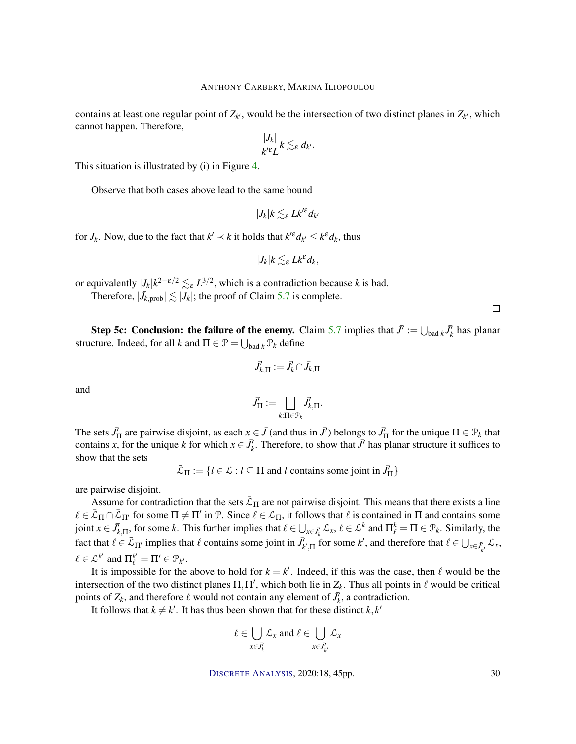contains at least one regular point of  $Z_{k'}$ , would be the intersection of two distinct planes in  $Z_{k'}$ , which cannot happen. Therefore,

$$
\frac{|J_k|}{k'^\varepsilon L}k\lesssim_\varepsilon d_{k'}.
$$

This situation is illustrated by (i) in Figure 4.

Observe that both cases above lead to the same bound

$$
|J_k|k\lesssim_\varepsilon Lk'^\varepsilon d_{k'}
$$

for  $J_k$ . Now, due to the fact that  $k' \prec k$  it holds that  $k'^{\varepsilon} d_{k'} \leq k^{\varepsilon} d_k$ , thus

$$
|J_k|k\lesssim_{\varepsilon} Lk^{\varepsilon}d_k,
$$

or equivalently  $|J_k|k^{2-\epsilon/2} \lesssim_{\epsilon} L^{3/2}$ , which is a contradiction because *k* is bad. Therefore,  $|\bar{J}_{k, \text{prob}}| \lesssim |J_k|$ ; the proof of Claim 5.7 is complete.

**Step 5c: Conclusion: the failure of the enemy.** Claim 5.7 implies that  $\vec{J} := \bigcup_{\text{bad } k} \vec{J}_k^{\prime}$  has planar structure. Indeed, for all *k* and  $\Pi \in \mathcal{P} = \bigcup_{\text{bad } k} \mathcal{P}_k$  define

$$
\bar{J}_{k,\Pi}':=\bar{J}_k'\cap \bar{J}_{k,\Pi}
$$

and

$$
\vec{J}'_{\Pi} := \bigsqcup_{k:\Pi \in \mathcal{P}_k} \vec{J}'_{k,\Pi}.
$$

The sets  $\vec{J}_{\Pi}$  are pairwise disjoint, as each  $x \in \vec{J}$  (and thus in  $\vec{J}'$ ) belongs to  $\vec{J}_{\Pi}$  for the unique  $\Pi \in \mathcal{P}_k$  that contains *x*, for the unique *k* for which  $x \in \overline{J}_k^j$ . Therefore, to show that  $\overline{J}^j$  has planar structure it suffices to show that the sets

 $\bar{\mathcal{L}}_{\Pi} := \{l \in \mathcal{L} : l \subseteq \Pi \text{ and } l \text{ contains some joint in } \bar{J}'_{\Pi}\}\$ 

are pairwise disjoint.

Assume for contradiction that the sets  $\bar{\mathcal{L}}_{\Pi}$  are not pairwise disjoint. This means that there exists a line  $\ell \in \bar{\mathcal{L}}_{\Pi} \cap \bar{\mathcal{L}}_{\Pi'}$  for some  $\Pi \neq \Pi'$  in P. Since  $\ell \in \mathcal{L}_{\Pi}$ , it follows that  $\ell$  is contained in  $\Pi$  and contains some joint  $x \in \bar{J}_{k,\Pi}^{\prime}$ , for some *k*. This further implies that  $\ell \in \bigcup_{x \in \bar{J}_{k}^{\prime}} \mathcal{L}_{x}, \ell \in \mathcal{L}^{k}$  and  $\Pi_{\ell}^{k} = \Pi \in \mathcal{P}_{k}$ . Similarly, the fact that  $\ell \in \bar{\mathcal{L}}_{\Pi'}$  implies that  $\ell$  contains some joint in  $\bar{J}'_{k',\Pi}$  for some  $k'$ , and therefore that  $\ell \in \bigcup_{x \in \bar{J}'_{k'}} \mathcal{L}_x$ ,  $\ell \in \mathcal{L}^{k'}$  and  $\Pi_{\ell}^{k'} = \Pi' \in \mathcal{P}_{k'}$ .

It is impossible for the above to hold for  $k = k'$ . Indeed, if this was the case, then  $\ell$  would be the intersection of the two distinct planes  $\Pi$ ,  $\Pi'$ , which both lie in  $Z_k$ . Thus all points in  $\ell$  would be critical points of  $Z_k$ , and therefore  $\ell$  would not contain any element of  $\bar{J}_k$ , a contradiction.

It follows that  $k \neq k'$ . It has thus been shown that for these distinct  $k, k'$ 

$$
\ell \in \bigcup_{x \in \bar{J}'_k} \mathcal{L}_x \text{ and } \ell \in \bigcup_{x \in \bar{J}'_{k'}} \mathcal{L}_x
$$

DISCRETE A[NALYSIS](http://dx.doi.org/10.19086/da), 2020:18, 45pp. 30

 $\Box$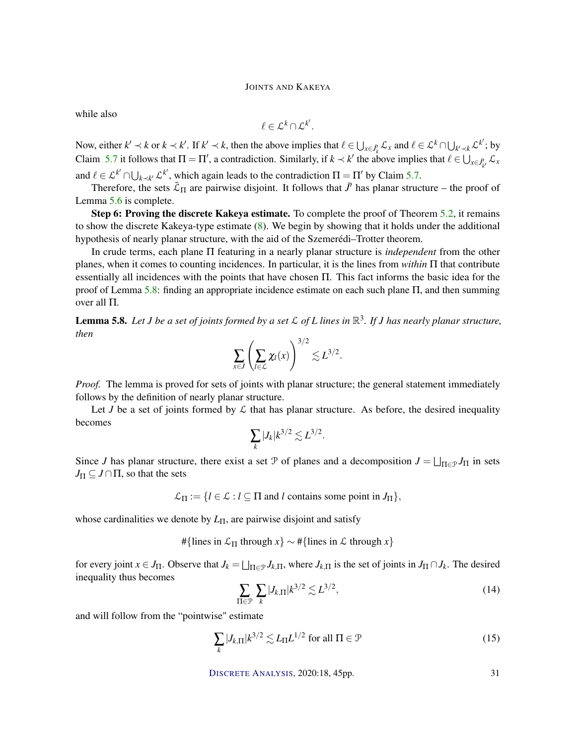while also

$$
\ell \in \mathcal{L}^k \cap \mathcal{L}^{k'}.
$$

Now, either  $k' \prec k$  or  $k \prec k'$ . If  $k' \prec k$ , then the above implies that  $\ell \in \bigcup_{x \in \bar{J}_k^t} \mathcal{L}_x$  and  $\ell \in \mathcal{L}^k \cap \bigcup_{k' \prec k} \mathcal{L}^{k'}$ ; by Claim 5.7 it follows that  $\Pi = \Pi'$ , a contradiction. Similarly, if  $k \prec k'$  the above implies that  $\ell \in \bigcup_{x \in \overline{J'_{k'}}} \mathcal{L}_x$ and  $\ell \in \mathcal{L}^{k'} \cap \bigcup_{k \prec k'} \mathcal{L}^{k'}$ , which again leads to the contradiction  $\Pi = \Pi'$  by Claim 5.7.

Therefore, the sets  $\bar{\mathcal{L}}_{\Pi}$  are pairwise disjoint. It follows that  $\bar{J}$  has planar structure – the proof of Lemma 5.6 is complete.

Step 6: Proving the discrete Kakeya estimate. To complete the proof of Theorem 5.2, it remains to show the discrete Kakeya-type estimate (8). We begin by showing that it holds under the additional hypothesis of nearly planar structure, with the aid of the Szemerédi–Trotter theorem.

In crude terms, each plane Π featuring in a nearly planar structure is *independent* from the other planes, when it comes to counting incidences. In particular, it is the lines from *within* Π that contribute essentially all incidences with the points that have chosen Π. This fact informs the basic idea for the proof of Lemma 5.8: finding an appropriate incidence estimate on each such plane Π, and then summing over all Π.

Lemma 5.8. *Let J be a set of joints formed by a set* L *of L lines in* R 3 *. If J has nearly planar structure, then*

$$
\sum_{x\in J}\left(\sum_{l\in\mathcal{L}}\chi_l(x)\right)^{3/2}\lesssim L^{3/2}.
$$

*Proof.* The lemma is proved for sets of joints with planar structure; the general statement immediately follows by the definition of nearly planar structure.

Let *J* be a set of joints formed by  $\mathcal L$  that has planar structure. As before, the desired inequality becomes

$$
\sum_k |J_k| k^{3/2} \lesssim L^{3/2}.
$$

Since *J* has planar structure, there exist a set  $P$  of planes and a decomposition  $J = \bigsqcup_{\Pi \in \mathcal{P}} J_{\Pi}$  in sets  $J_{\Pi} \subseteq J \cap \Pi$ , so that the sets

 $\mathcal{L}_{\Pi} := \{l \in \mathcal{L} : l \subseteq \Pi \text{ and } l \text{ contains some point in } J_{\Pi}\},\$ 

whose cardinalities we denote by *L*Π, are pairwise disjoint and satisfy

#{lines in  $\mathcal{L}_{\Pi}$  through  $x$ } ∼ #{lines in  $\mathcal L$  through  $x$ }

for every joint  $x \in J_\Pi$ . Observe that  $J_k = \bigsqcup_{\Pi \in \mathcal{P}} J_{k,\Pi}$ , where  $J_{k,\Pi}$  is the set of joints in  $J_\Pi \cap J_k$ . The desired inequality thus becomes

$$
\sum_{\Pi \in \mathcal{P}} \sum_{k} |J_{k,\Pi}| k^{3/2} \lesssim L^{3/2},\tag{14}
$$

and will follow from the "pointwise" estimate

$$
\sum_{k} |J_{k,\Pi}| k^{3/2} \lesssim L_{\Pi} L^{1/2} \text{ for all } \Pi \in \mathcal{P}
$$
 (15)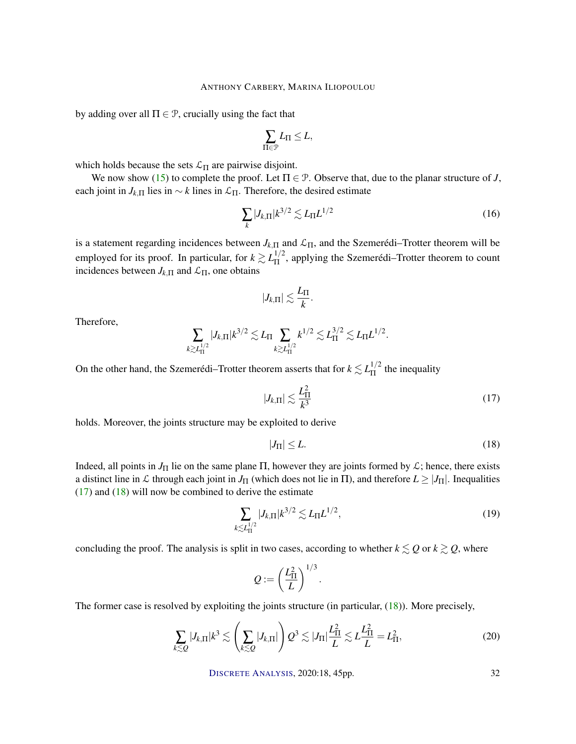by adding over all  $\Pi \in \mathcal{P}$ , crucially using the fact that

$$
\sum_{\Pi\in\mathcal{P}}L_{\Pi}\leq L,
$$

which holds because the sets  $\mathcal{L}_{\Pi}$  are pairwise disjoint.

We now show (15) to complete the proof. Let  $\Pi \in \mathcal{P}$ . Observe that, due to the planar structure of *J*, each joint in  $J_{k,\Pi}$  lies in  $\sim k$  lines in  $\mathcal{L}_{\Pi}$ . Therefore, the desired estimate

$$
\sum_{k} |J_{k,\Pi}| k^{3/2} \lesssim L_{\Pi} L^{1/2}
$$
 (16)

is a statement regarding incidences between  $J_{k,\Pi}$  and  $\mathcal{L}_{\Pi}$ , and the Szemerédi–Trotter theorem will be employed for its proof. In particular, for  $k \gtrsim L_{\Pi}^{1/2}$  $\frac{1}{2}$ , applying the Szemerédi–Trotter theorem to count incidences between  $J_{k,\Pi}$  and  $\mathcal{L}_{\Pi}$ , one obtains

$$
|J_{k,\Pi}|\lesssim \frac{L_\Pi}{k}.
$$

Therefore,

$$
\sum_{k \gtrsim L_{\Pi}^{1/2}} |J_{k,\Pi}| k^{3/2} \lesssim L_{\Pi} \sum_{k \gtrsim L_{\Pi}^{1/2}} k^{1/2} \lesssim L_{\Pi}^{3/2} \lesssim L_{\Pi} L^{1/2}.
$$

On the other hand, the Szemerédi–Trotter theorem asserts that for  $k \lesssim L_{\Pi}^{1/2}$  $\frac{1}{11}$  the inequality

$$
|J_{k,\Pi}| \lesssim \frac{L_{\Pi}^2}{k^3} \tag{17}
$$

holds. Moreover, the joints structure may be exploited to derive

$$
|J_{\Pi}| \le L. \tag{18}
$$

Indeed, all points in  $J_{\Pi}$  lie on the same plane  $\Pi$ , however they are joints formed by  $\mathcal{L}$ ; hence, there exists a distinct line in L through each joint in  $J_{\Pi}$  (which does not lie in  $\Pi$ ), and therefore  $L \geq |J_{\Pi}|$ . Inequalities  $(17)$  and  $(18)$  will now be combined to derive the estimate

$$
\sum_{k \lesssim L_{\Pi}^{1/2}} |J_{k,\Pi}| k^{3/2} \lesssim L_{\Pi} L^{1/2},\tag{19}
$$

concluding the proof. The analysis is split in two cases, according to whether  $k \leq Q$  or  $k \geq Q$ , where

$$
Q:=\left(\frac{L_{\Pi}^2}{L}\right)^{1/3}.
$$

The former case is resolved by exploiting the joints structure (in particular, (18)). More precisely,

$$
\sum_{k\lesssim Q} |J_{k,\Pi}|k^3 \lesssim \left(\sum_{k\lesssim Q} |J_{k,\Pi}|\right) Q^3 \lesssim |J_{\Pi}| \frac{L_{\Pi}^2}{L} \lesssim L\frac{L_{\Pi}^2}{L} = L_{\Pi}^2,
$$
\n(20)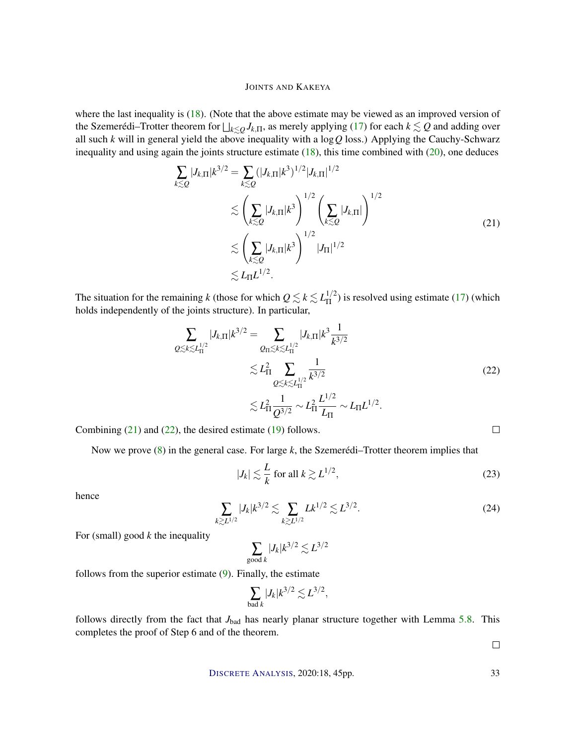where the last inequality is (18). (Note that the above estimate may be viewed as an improved version of the Szemerédi–Trotter theorem for  $\bigsqcup_{k\leq Q}J_{k,\Pi}$ , as merely applying (17) for each  $k\lesssim Q$  and adding over all such *k* will in general yield the above inequality with a log*Q* loss.) Applying the Cauchy-Schwarz inequality and using again the joints structure estimate  $(18)$ , this time combined with  $(20)$ , one deduces

$$
\sum_{k\lesssim Q} |J_{k,\Pi}|k^{3/2} = \sum_{k\lesssim Q} (|J_{k,\Pi}|k^3)^{1/2} |J_{k,\Pi}|^{1/2}
$$
\n
$$
\lesssim \left(\sum_{k\lesssim Q} |J_{k,\Pi}|k^3\right)^{1/2} \left(\sum_{k\lesssim Q} |J_{k,\Pi}|\right)^{1/2}
$$
\n
$$
\lesssim \left(\sum_{k\lesssim Q} |J_{k,\Pi}|k^3\right)^{1/2} |J_{\Pi}|^{1/2}
$$
\n
$$
\lesssim L_{\Pi} L^{1/2}.
$$
\n(21)

The situation for the remaining *k* (those for which  $Q \lesssim k \lesssim L_{\text{II}}^{1/2}$  $\frac{1}{11}$ ) is resolved using estimate (17) (which holds independently of the joints structure). In particular,

$$
\sum_{Q \lesssim k \lesssim L_{\text{II}}^{1/2}} |J_{k,\Pi}| k^{3/2} = \sum_{Q_{\text{II}} \lesssim k \lesssim L_{\text{II}}^{1/2}} |J_{k,\Pi}| k^3 \frac{1}{k^{3/2}} \n\lesssim L_{\text{II}}^2 \sum_{Q \lesssim k \lesssim L_{\text{II}}^{1/2}} \frac{1}{k^{3/2}} \n\lesssim L_{\text{II}}^2 \frac{1}{Q^{3/2}} \sim L_{\text{II}}^2 \frac{L^{1/2}}{L_{\text{II}}} \sim L_{\text{II}} L^{1/2}.
$$
\n(22)

Combining  $(21)$  and  $(22)$ , the desired estimate  $(19)$  follows.

Now we prove (8) in the general case. For large *k*, the Szemerédi–Trotter theorem implies that

$$
|J_k| \lesssim \frac{L}{k} \text{ for all } k \gtrsim L^{1/2},\tag{23}
$$

hence

$$
\sum_{k \gtrsim L^{1/2}} |J_k| k^{3/2} \lesssim \sum_{k \gtrsim L^{1/2}} L k^{1/2} \lesssim L^{3/2}.
$$
 (24)

For (small) good *k* the inequality

$$
\sum_{\text{good }k} |J_k| k^{3/2} \lesssim L^{3/2}
$$

follows from the superior estimate (9). Finally, the estimate

$$
\sum_{\text{bad }k}|J_k|k^{3/2}\lesssim L^{3/2},
$$

follows directly from the fact that *J*<sub>bad</sub> has nearly planar structure together with Lemma 5.8. This completes the proof of Step 6 and of the theorem.

 $\Box$ 

 $\Box$ 

DISCRETE A[NALYSIS](http://dx.doi.org/10.19086/da), 2020:18, 45pp. 33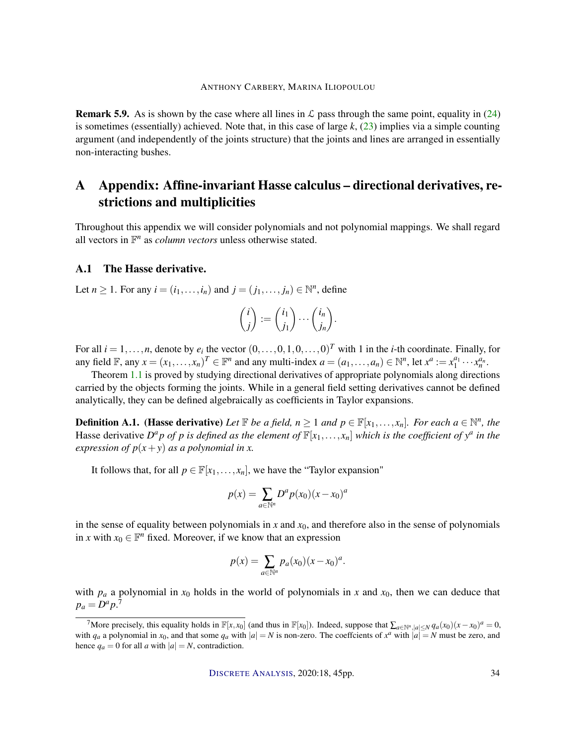**Remark 5.9.** As is shown by the case where all lines in  $\mathcal{L}$  pass through the same point, equality in (24) is sometimes (essentially) achieved. Note that, in this case of large  $k$ ,  $(23)$  implies via a simple counting argument (and independently of the joints structure) that the joints and lines are arranged in essentially non-interacting bushes.

# A Appendix: Affine-invariant Hasse calculus – directional derivatives, restrictions and multiplicities

Throughout this appendix we will consider polynomials and not polynomial mappings. We shall regard all vectors in  $\mathbb{F}^n$  as *column vectors* unless otherwise stated.

#### A.1 The Hasse derivative.

Let  $n \ge 1$ . For any  $i = (i_1, \ldots, i_n)$  and  $j = (j_1, \ldots, j_n) \in \mathbb{N}^n$ , define

$$
\binom{i}{j} := \binom{i_1}{j_1} \cdots \binom{i_n}{j_n}.
$$

For all  $i = 1, \ldots, n$ , denote by  $e_i$  the vector  $(0, \ldots, 0, 1, 0, \ldots, 0)^T$  with 1 in the *i*-th coordinate. Finally, for any field  $\mathbb{F}$ , any  $x = (x_1, \ldots, x_n)^T \in \mathbb{F}^n$  and any multi-index  $a = (a_1, \ldots, a_n) \in \mathbb{N}^n$ , let  $x^a := x_1^{a_1} \cdots x_n^{a_n}$ .

Theorem 1.1 is proved by studying directional derivatives of appropriate polynomials along directions carried by the objects forming the joints. While in a general field setting derivatives cannot be defined analytically, they can be defined algebraically as coefficients in Taylor expansions.

**Definition A.1.** (Hasse derivative) Let  $\mathbb F$  be a field,  $n \geq 1$  and  $p \in \mathbb F[x_1,\ldots,x_n]$ . For each  $a \in \mathbb N^n$ , the Hasse derivative  $D^a p$  *of*  $p$  *is defined as the element of*  $\mathbb{F}[x_1,\ldots,x_n]$  *which is the coefficient of*  $y^a$  *in the expression of*  $p(x+y)$  *as a polynomial in x.* 

It follows that, for all  $p \in \mathbb{F}[x_1, \ldots, x_n]$ , we have the "Taylor expansion"

$$
p(x) = \sum_{a \in \mathbb{N}^n} D^a p(x_0) (x - x_0)^a
$$

in the sense of equality between polynomials in  $x$  and  $x_0$ , and therefore also in the sense of polynomials in *x* with  $x_0 \in \mathbb{F}^n$  fixed. Moreover, if we know that an expression

$$
p(x) = \sum_{a \in \mathbb{N}^n} p_a(x_0)(x - x_0)^a.
$$

with  $p_a$  a polynomial in  $x_0$  holds in the world of polynomials in  $x$  and  $x_0$ , then we can deduce that  $p_a = D^a p$ <sup>7</sup>

 $^7$ More precisely, this equality holds in  $\mathbb{F}[x, x_0]$  (and thus in  $\mathbb{F}[x_0]$ ). Indeed, suppose that  $\sum_{a \in \mathbb{N}^n, |a| \le N} q_a(x_0)(x - x_0)^a = 0$ , with  $q_a$  a polynomial in  $x_0$ , and that some  $q_a$  with  $|a| = N$  is non-zero. The coeffcients of  $x^a$  with  $|a| = N$  must be zero, and hence  $q_a = 0$  for all *a* with  $|a| = N$ , contradiction.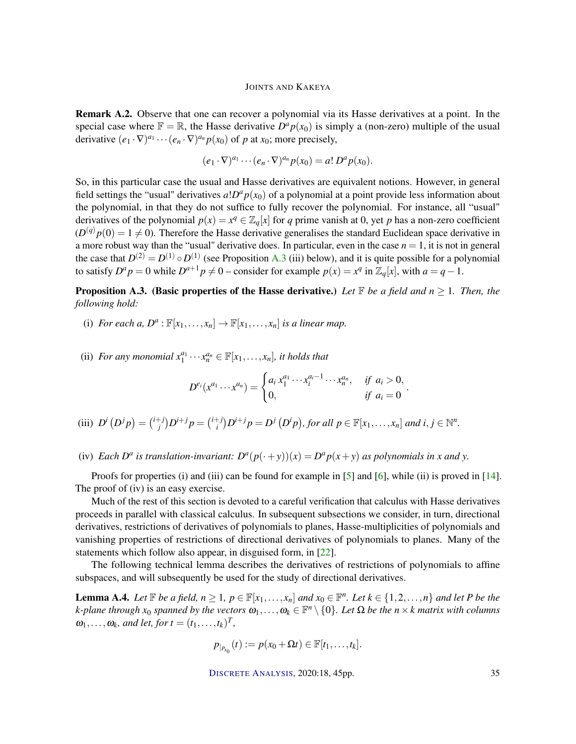Remark A.2. Observe that one can recover a polynomial via its Hasse derivatives at a point. In the special case where  $\mathbb{F} = \mathbb{R}$ , the Hasse derivative  $D^a p(x_0)$  is simply a (non-zero) multiple of the usual derivative  $(e_1 \cdot \nabla)^{a_1} \cdots (e_n \cdot \nabla)^{a_n} p(x_0)$  of *p* at *x*<sub>0</sub>; more precisely,

$$
(e_1\cdot\nabla)^{a_1}\cdots(e_n\cdot\nabla)^{a_n}p(x_0)=a!\,D^ap(x_0).
$$

So, in this particular case the usual and Hasse derivatives are equivalent notions. However, in general field settings the "usual" derivatives  $a!D^ap(x_0)$  of a polynomial at a point provide less information about the polynomial, in that they do not suffice to fully recover the polynomial. For instance, all "usual" derivatives of the polynomial  $p(x) = x^q \in \mathbb{Z}_q[x]$  for *q* prime vanish at 0, yet *p* has a non-zero coefficient  $(D^{(q)}p(0) = 1 \neq 0)$ . Therefore the Hasse derivative generalises the standard Euclidean space derivative in a more robust way than the "usual" derivative does. In particular, even in the case  $n = 1$ , it is not in general the case that  $D^{(2)} = D^{(1)} \circ D^{(1)}$  (see Proposition A.3 (iii) below), and it is quite possible for a polynomial to satisfy  $D^a p = 0$  while  $D^{a+1} p \neq 0$  – consider for example  $p(x) = x^q$  in  $\mathbb{Z}_q[x]$ , with  $a = q - 1$ .

### **Proposition A.3.** (Basic properties of the Hasse derivative.) Let  $\mathbb{F}$  be a field and  $n \geq 1$ . Then, the *following hold:*

- (i) *For each a,*  $D^a: \mathbb{F}[x_1,\ldots,x_n] \to \mathbb{F}[x_1,\ldots,x_n]$  *is a linear map.*
- (ii) *For any monomial*  $x_1^{a_1} \cdots x_n^{a_n} \in \mathbb{F}[x_1, \ldots, x_n]$ *, it holds that*

$$
D^{e_i}(x^{a_1} \cdots x^{a_n}) = \begin{cases} a_i x_1^{a_1} \cdots x_i^{a_i-1} \cdots x_n^{a_n}, & \text{if } a_i > 0, \\ 0, & \text{if } a_i = 0 \end{cases}.
$$

- (iii)  $D^{i}(D^{j}p) = {i+j \choose i}$  $j^{+j}$ ) $D^{i+j}p = \binom{i+j}{i}$  $P_i^{(+)}(D^{i+j}p) = D^j(D^ip)$ , for all  $p \in \mathbb{F}[x_1, \ldots, x_n]$  and  $i, j \in \mathbb{N}^n$ .
- (iv) *Each*  $D^a$  *is translation-invariant:*  $D^a(p(\cdot+y))(x) = D^a p(x+y)$  *as polynomials in x and y.*

Proofs for properties (i) and (iii) can be found for example in [5] and [6], while (ii) is proved in [14]. The proof of (iv) is an easy exercise.

Much of the rest of this section is devoted to a careful verification that calculus with Hasse derivatives proceeds in parallel with classical calculus. In subsequent subsections we consider, in turn, directional derivatives, restrictions of derivatives of polynomials to planes, Hasse-multiplicities of polynomials and vanishing properties of restrictions of directional derivatives of polynomials to planes. Many of the statements which follow also appear, in disguised form, in [22].

The following technical lemma describes the derivatives of restrictions of polynomials to affine subspaces, and will subsequently be used for the study of directional derivatives.

**Lemma A.4.** Let  $\mathbb{F}$  be a field,  $n \geq 1$ ,  $p \in \mathbb{F}[x_1,\ldots,x_n]$  and  $x_0 \in \mathbb{F}^n$ . Let  $k \in \{1,2,\ldots,n\}$  and let P be the  $k$ -plane through  $x_0$  spanned by the vectors  $\omega_1,\ldots,\omega_k\in\mathbb{F}^n\setminus\{0\}.$  Let  $\Omega$  be the  $n\times k$  matrix with columns  $\omega_1, \ldots, \omega_k$ *, and let, for t* =  $(t_1, \ldots, t_k)^T$ *,* 

$$
p_{|_{P_{x_0}}}(t) := p(x_0 + \Omega t) \in \mathbb{F}[t_1,\ldots,t_k].
$$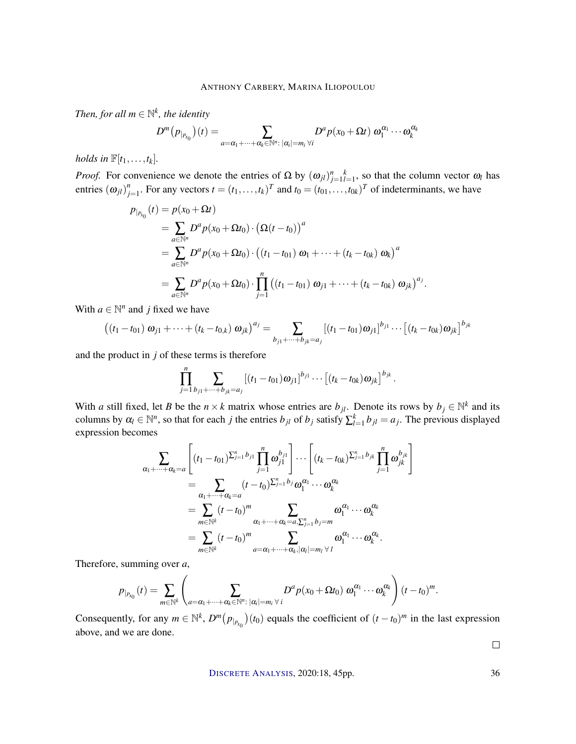*Then, for all*  $m \in \mathbb{N}^k$ *, the identity* 

$$
D^m(p_{|_{P_{x_0}}})(t)=\sum_{a=\alpha_1+\cdots+\alpha_k\in\mathbb{N}^n:\;|\alpha_i|=m_i\;\forall i}D^ap(x_0+\Omega t)\;\omega_1^{\alpha_1}\cdots\omega_k^{\alpha_k}
$$

*holds in*  $\mathbb{F}[t_1,\ldots,t_k]$ *.* 

*Proof.* For convenience we denote the entries of  $\Omega$  by  $(\omega_{jl})_{j=1}^n k_{l=1}^k$ , so that the column vector  $\omega_l$  has entries  $(\omega_{jl})^n$  $f_{j=1}^n$ . For any vectors  $t = (t_1, \ldots, t_k)^T$  and  $t_0 = (t_{01}, \ldots, t_{0k})^T$  of indeterminants, we have

$$
p_{|_{P_{x_0}}}(t) = p(x_0 + \Omega t)
$$
  
=  $\sum_{a \in \mathbb{N}^n} D^a p(x_0 + \Omega t_0) \cdot (\Omega (t - t_0))^a$   
=  $\sum_{a \in \mathbb{N}^n} D^a p(x_0 + \Omega t_0) \cdot ((t_1 - t_{01}) \omega_1 + \dots + (t_k - t_{0k}) \omega_k)^a$   
=  $\sum_{a \in \mathbb{N}^n} D^a p(x_0 + \Omega t_0) \cdot \prod_{j=1}^n ((t_1 - t_{01}) \omega_{j1} + \dots + (t_k - t_{0k}) \omega_{jk})^{a_j}$ .

With  $a \in \mathbb{N}^n$  and *j* fixed we have

$$
((t_1-t_{01}) \boldsymbol{\omega}_{j1} + \cdots + (t_k-t_{0,k}) \boldsymbol{\omega}_{jk})^{a_j} = \sum_{b_{j1}+\cdots+b_{jk}=a_j} [(t_1-t_{01}) \boldsymbol{\omega}_{j1}]^{b_{j1}} \cdots [(t_k-t_{0k}) \boldsymbol{\omega}_{jk}]^{b_{jk}}
$$

and the product in *j* of these terms is therefore

$$
\prod_{j=1}^n \sum_{b_{j1}+\cdots+b_{jk}=a_j} \left[ (t_1-t_{01}) \omega_{j1} \right]^{b_{j1}} \cdots \left[ (t_k-t_{0k}) \omega_{jk} \right]^{b_{jk}}.
$$

With *a* still fixed, let *B* be the  $n \times k$  matrix whose entries are  $b_{jl}$ . Denote its rows by  $b_j \in \mathbb{N}^k$  and its columns by  $\alpha_l \in \mathbb{N}^n$ , so that for each *j* the entries  $b_{jl}$  of  $b_j$  satisfy  $\sum_{l=1}^k b_{jl} = a_j$ . The previous displayed expression becomes

$$
\sum_{\alpha_1+\cdots+\alpha_k=a} \left[ (t_1-t_{01})^{\sum_{j=1}^n b_{j1}} \prod_{j=1}^n \omega_{j1}^{b_{j1}} \right] \cdots \left[ (t_k-t_{0k})^{\sum_{j=1}^n b_{jk}} \prod_{j=1}^n \omega_{jk}^{b_{jk}} \right]
$$
\n
$$
= \sum_{\alpha_1+\cdots+\alpha_k=a} (t-t_0)^{\sum_{j=1}^n b_j} \omega_1^{\alpha_1} \cdots \omega_k^{\alpha_k}
$$
\n
$$
= \sum_{m\in\mathbb{N}^k} (t-t_0)^m \sum_{\alpha_1+\cdots+\alpha_k=a, \sum_{j=1}^n b_j=m} \omega_1^{\alpha_1} \cdots \omega_k^{\alpha_k}
$$
\n
$$
= \sum_{m\in\mathbb{N}^k} (t-t_0)^m \sum_{a=\alpha_1+\cdots+\alpha_k, |\alpha_i|=m_i} \omega_1^{\alpha_1} \cdots \omega_k^{\alpha_k}.
$$

Therefore, summing over *a*,

$$
p_{|_{P_{x_0}}}(t)=\sum_{m\in\mathbb{N}^k}\left(\sum_{a=\alpha_1+\cdots+\alpha_k\in\mathbb{N}^n:\ |\alpha_i|=m_i\ \forall\ i}D^ap(x_0+\Omega t_0)\ \omega_1^{\alpha_1}\cdots\omega_k^{\alpha_k}\right)(t-t_0)^m.
$$

Consequently, for any  $m \in \mathbb{N}^k$ ,  $D^m(p_{|_{P_{x_0}}})(t_0)$  equals the coefficient of  $(t - t_0)^m$  in the last expression above, and we are done.

 $\Box$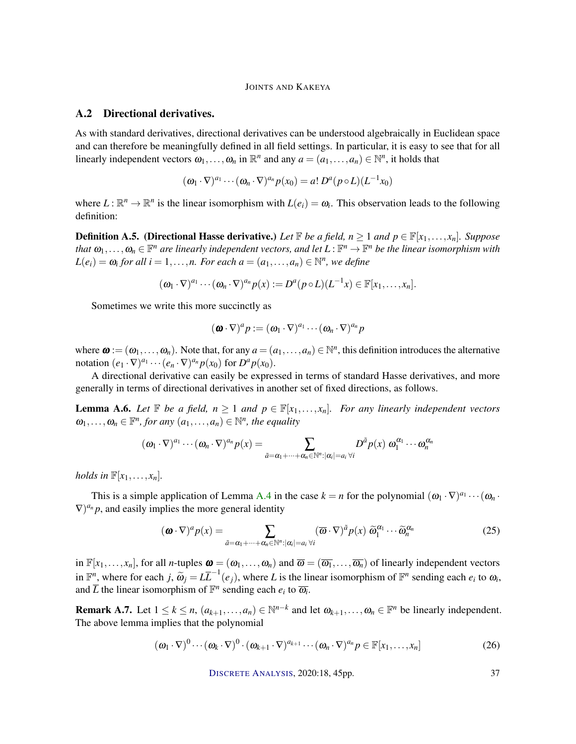#### A.2 Directional derivatives.

As with standard derivatives, directional derivatives can be understood algebraically in Euclidean space and can therefore be meaningfully defined in all field settings. In particular, it is easy to see that for all linearly independent vectors  $\omega_1, \ldots, \omega_n$  in  $\mathbb{R}^n$  and any  $a = (a_1, \ldots, a_n) \in \mathbb{N}^n$ , it holds that

$$
(\omega_1 \cdot \nabla)^{a_1} \cdots (\omega_n \cdot \nabla)^{a_n} p(x_0) = a! D^a (p \circ L) (L^{-1} x_0)
$$

where  $L : \mathbb{R}^n \to \mathbb{R}^n$  is the linear isomorphism with  $L(e_i) = \omega_i$ . This observation leads to the following definition:

**Definition A.5.** (Directional Hasse derivative.) Let  $\mathbb{F}$  be a field,  $n \geq 1$  and  $p \in \mathbb{F}[x_1, \ldots, x_n]$ . Suppose *that*  $\omega_1,\ldots,\omega_n\in\mathbb{F}^n$  are linearly independent vectors, and let  $L:\mathbb{F}^n\to\mathbb{F}^n$  be the linear isomorphism with  $L(e_i) = \omega_i$  for all  $i = 1, \ldots, n$ . For each  $a = (a_1, \ldots, a_n) \in \mathbb{N}^n$ , we define

$$
(\boldsymbol{\omega}_1 \cdot \nabla)^{a_1} \cdots (\boldsymbol{\omega}_n \cdot \nabla)^{a_n} p(x) := D^a (p \circ L)(L^{-1}x) \in \mathbb{F}[x_1, \ldots, x_n].
$$

Sometimes we write this more succinctly as

$$
(\boldsymbol{\omega}\cdot\nabla)^{a} p := (\omega_1\cdot\nabla)^{a_1}\cdots(\omega_n\cdot\nabla)^{a_n} p
$$

where  $\boldsymbol{\omega} := (\omega_1, \ldots, \omega_n)$ . Note that, for any  $a = (a_1, \ldots, a_n) \in \mathbb{N}^n$ , this definition introduces the alternative notation  $(e_1 \cdot \nabla)^{a_1} \cdots (e_n \cdot \nabla)^{a_n} p(x_0)$  for  $D^a p(x_0)$ .

A directional derivative can easily be expressed in terms of standard Hasse derivatives, and more generally in terms of directional derivatives in another set of fixed directions, as follows.

**Lemma A.6.** *Let*  $\mathbb{F}$  *be a field,*  $n \geq 1$  *and*  $p \in \mathbb{F}[x_1, \ldots, x_n]$ *. For any linearly independent vectors*  $\omega_1, \ldots, \omega_n \in \mathbb{F}^n$ , for any  $(a_1, \ldots, a_n) \in \mathbb{N}^n$ , the equality

$$
(\omega_1 \cdot \nabla)^{a_1} \cdots (\omega_n \cdot \nabla)^{a_n} p(x) = \sum_{\tilde{a} = \alpha_1 + \cdots + \alpha_n \in \mathbb{N}^n : |\alpha_i| = a_i \forall i} D^{\tilde{a}} p(x) \omega_1^{\alpha_1} \cdots \omega_n^{\alpha_n}
$$

*holds in*  $\mathbb{F}[x_1, \ldots, x_n]$ *.* 

This is a simple application of Lemma A.4 in the case  $k = n$  for the polynomial  $(\omega_1 \cdot \nabla)^{a_1} \cdots (\omega_n \cdot$  $(\nabla)^{a_n} p$ , and easily implies the more general identity

$$
(\boldsymbol{\omega} \cdot \nabla)^a p(x) = \sum_{\tilde{a} = \alpha_1 + \dots + \alpha_n \in \mathbb{N}^n : |\alpha_i| = a_i \forall i} (\overline{\omega} \cdot \nabla)^{\tilde{a}} p(x) \; \widetilde{\omega}_1^{\alpha_1} \cdots \widetilde{\omega}_n^{\alpha_n}
$$
(25)

in  $\mathbb{F}[x_1,\ldots,x_n]$ , for all *n*-tuples  $\boldsymbol{\omega} = (\omega_1,\ldots,\omega_n)$  and  $\overline{\omega} = (\overline{\omega_1},\ldots,\overline{\omega_n})$  of linearly independent vectors in  $\mathbb{F}^n$ , where for each *j*,  $\widetilde{\omega}_j = L\overline{L}^{-1}(e_j)$ , where *L* is the linear isomorphism of  $\mathbb{F}^n$  sending each  $e_i$  to  $\omega_i$ , and  $\overline{L}$  the linear isomorphism of  $\mathbb{F}^n$  sending each  $e_i$  to  $\overline{\omega_i}$ .

**Remark A.7.** Let  $1 \leq k \leq n$ ,  $(a_{k+1},...,a_n) \in \mathbb{N}^{n-k}$  and let  $\omega_{k+1},..., \omega_n \in \mathbb{F}^n$  be linearly independent. The above lemma implies that the polynomial

$$
(\boldsymbol{\omega}_1 \cdot \nabla)^0 \cdots (\boldsymbol{\omega}_k \cdot \nabla)^0 \cdot (\boldsymbol{\omega}_{k+1} \cdot \nabla)^{a_{k+1}} \cdots (\boldsymbol{\omega}_n \cdot \nabla)^{a_n} p \in \mathbb{F}[x_1, \ldots, x_n]
$$
\n(26)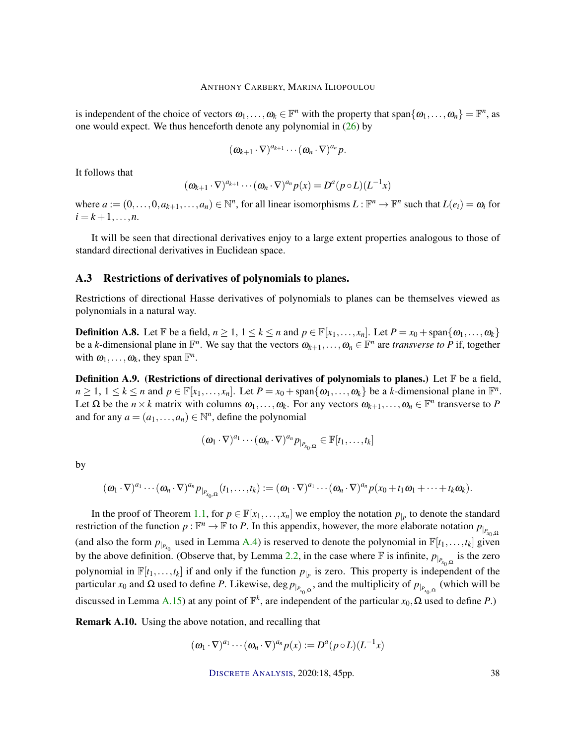is independent of the choice of vectors  $\omega_1, \ldots, \omega_k \in \mathbb{F}^n$  with the property that span $\{\omega_1, \ldots, \omega_n\} = \mathbb{F}^n$ , as one would expect. We thus henceforth denote any polynomial in  $(26)$  by

$$
(\omega_{k+1}\cdot\nabla)^{a_{k+1}}\cdots(\omega_n\cdot\nabla)^{a_n}p.
$$

It follows that

$$
(\omega_{k+1}\cdot\nabla)^{a_{k+1}}\cdots(\omega_n\cdot\nabla)^{a_n}p(x)=D^a(p\circ L)(L^{-1}x)
$$

where  $a := (0, \ldots, 0, a_{k+1}, \ldots, a_n) \in \mathbb{N}^n$ , for all linear isomorphisms  $L : \mathbb{F}^n \to \mathbb{F}^n$  such that  $L(e_i) = \omega_i$  for  $i = k + 1, \ldots, n$ .

It will be seen that directional derivatives enjoy to a large extent properties analogous to those of standard directional derivatives in Euclidean space.

#### A.3 Restrictions of derivatives of polynomials to planes.

Restrictions of directional Hasse derivatives of polynomials to planes can be themselves viewed as polynomials in a natural way.

**Definition A.8.** Let  $\mathbb{F}$  be a field,  $n \geq 1, 1 \leq k \leq n$  and  $p \in \mathbb{F}[x_1, \ldots, x_n]$ . Let  $P = x_0 + \text{span}\{\omega_1, \ldots, \omega_k\}$ be a *k*-dimensional plane in  $\mathbb{F}^n$ . We say that the vectors  $\omega_{k+1}, \ldots, \omega_n \in \mathbb{F}^n$  are *transverse to P* if, together with  $\omega_1, \ldots, \omega_k$ , they span  $\mathbb{F}^n$ .

**Definition A.9.** (Restrictions of directional derivatives of polynomials to planes.) Let  $\mathbb{F}$  be a field,  $n \geq 1, 1 \leq k \leq n$  and  $p \in \mathbb{F}[x_1, \ldots, x_n]$ . Let  $P = x_0 + \text{span}\{\omega_1, \ldots, \omega_k\}$  be a *k*-dimensional plane in  $\mathbb{F}^n$ . Let  $\Omega$  be the  $n \times k$  matrix with columns  $\omega_1, \ldots, \omega_k$ . For any vectors  $\omega_{k+1}, \ldots, \omega_n \in \mathbb{F}^n$  transverse to P and for any  $a = (a_1, \ldots, a_n) \in \mathbb{N}^n$ , define the polynomial

$$
(\boldsymbol{\omega}_1 \cdot \nabla)^{a_1} \cdots (\boldsymbol{\omega}_n \cdot \nabla)^{a_n} p_{\vert_{P_{x_0,\Omega}}} \in \mathbb{F}[t_1,\ldots,t_k]
$$

by

$$
(\omega_1\cdot\nabla)^{a_1}\cdots(\omega_n\cdot\nabla)^{a_n}p_{|_{P_{x_0,\Omega}}}(t_1,\ldots,t_k):=(\omega_1\cdot\nabla)^{a_1}\cdots(\omega_n\cdot\nabla)^{a_n}p(x_0+t_1\omega_1+\cdots+t_k\omega_k).
$$

In the proof of Theorem 1.1, for  $p \in \mathbb{F}[x_1, \ldots, x_n]$  we employ the notation  $p_{|p}$  to denote the standard restriction of the function  $p : \mathbb{F}^n \to \mathbb{F}$  to *P*. In this appendix, however, the more elaborate notation  $p_{p_{x_0,\Omega}}$ (and also the form  $p_{p_{x_0}}$  used in Lemma A.4) is reserved to denote the polynomial in  $\mathbb{F}[t_1,\ldots,t_k]$  given by the above definition. (Observe that, by Lemma 2.2, in the case where  $\mathbb F$  is infinite,  $p_{|_{P_{x_0,\Omega}}}$  is the zero polynomial in  $\mathbb{F}[t_1,\ldots,t_k]$  if and only if the function  $p_{|p}$  is zero. This property is independent of the particular *x*<sub>0</sub> and Ω used to define *P*. Likewise, deg  $p_{|_{P_{x_0,\Omega}}}$ , and the multiplicity of  $p_{|_{P_{x_0,\Omega}}}$  (which will be discussed in Lemma A.15) at any point of  $\mathbb{F}^k$ , are independent of the particular  $x_0$ ,  $\Omega$  used to define P.)

Remark A.10. Using the above notation, and recalling that

$$
(\omega_1 \cdot \nabla)^{a_1} \cdots (\omega_n \cdot \nabla)^{a_n} p(x) := D^a (p \circ L) (L^{-1} x)
$$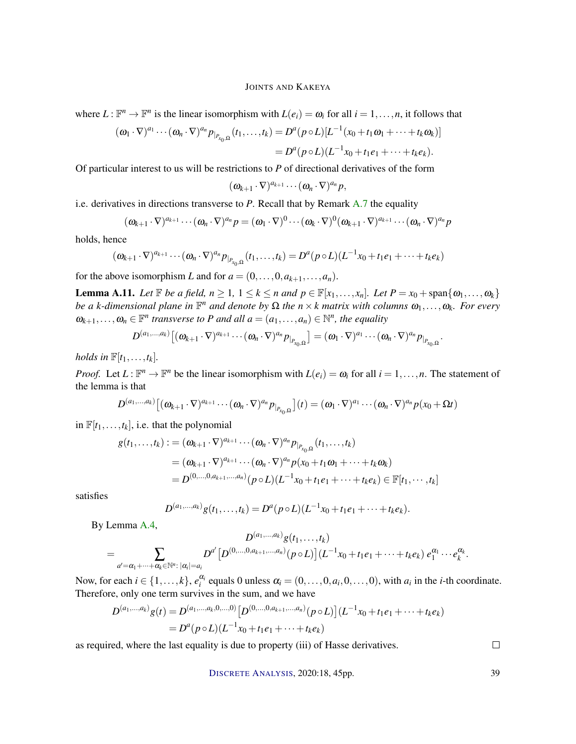where  $L: \mathbb{F}^n \to \mathbb{F}^n$  is the linear isomorphism with  $L(e_i) = \omega_i$  for all  $i = 1, ..., n$ , it follows that

$$
(\omega_1 \cdot \nabla)^{a_1} \cdots (\omega_n \cdot \nabla)^{a_n} p_{|_{P_{x_0,\Omega}}}(t_1,\ldots,t_k) = D^a(p \circ L)[L^{-1}(x_0+t_1\omega_1+\cdots+t_k\omega_k)]
$$
  
=  $D^a(p \circ L)(L^{-1}x_0+t_1e_1+\cdots+t_ke_k).$ 

Of particular interest to us will be restrictions to *P* of directional derivatives of the form

$$
(\omega_{k+1}\cdot\nabla)^{a_{k+1}}\cdots(\omega_n\cdot\nabla)^{a_n}p,
$$

i.e. derivatives in directions transverse to *P*. Recall that by Remark A.7 the equality

$$
(\boldsymbol{\omega}_{k+1}\cdot\nabla)^{a_{k+1}}\cdots(\boldsymbol{\omega}_n\cdot\nabla)^{a_n}p=(\boldsymbol{\omega}_1\cdot\nabla)^0\cdots(\boldsymbol{\omega}_k\cdot\nabla)^0(\boldsymbol{\omega}_{k+1}\cdot\nabla)^{a_{k+1}}\cdots(\boldsymbol{\omega}_n\cdot\nabla)^{a_n}p
$$

holds, hence

$$
(\omega_{k+1}\cdot\nabla)^{a_{k+1}}\cdots(\omega_n\cdot\nabla)^{a_n}p_{|_{P_{x_0,\Omega}}}(t_1,\ldots,t_k)=D^a(p\circ L)(L^{-1}x_0+t_1e_1+\cdots+t_ke_k)
$$

for the above isomorphism *L* and for  $a = (0, \ldots, 0, a_{k+1}, \ldots, a_n)$ .

**Lemma A.11.** Let  $\mathbb{F}$  be a field,  $n \geq 1$ ,  $1 \leq k \leq n$  and  $p \in \mathbb{F}[x_1,\ldots,x_n]$ . Let  $P = x_0 + \text{span}\{\omega_1,\ldots,\omega_k\}$ *be a k-dimensional plane in*  $\mathbb{F}^n$  *and denote by* Ω *the n* × *k matrix with columns*  $ω_1, …, ω_k$ *. For every*  $\omega_{k+1}, \ldots, \omega_n \in \mathbb{F}^n$  transverse to P and all  $a = (a_1, \ldots, a_n) \in \mathbb{N}^n$ , the equality

$$
D^{(a_1,...,a_k)}\big[(\omega_{k+1}\cdot\nabla)^{a_{k+1}}\cdots(\omega_n\cdot\nabla)^{a_n} p_{|_{P_{x_0,\Omega}}}\big]=(\omega_1\cdot\nabla)^{a_1}\cdots(\omega_n\cdot\nabla)^{a_n} p_{|_{P_{x_0,\Omega}}}.
$$

*holds in*  $\mathbb{F}[t_1,\ldots,t_k]$ *.* 

*Proof.* Let  $L: \mathbb{F}^n \to \mathbb{F}^n$  be the linear isomorphism with  $L(e_i) = \omega_i$  for all  $i = 1, ..., n$ . The statement of the lemma is that

$$
D^{(a_1,...,a_k)}\big[(\omega_{k+1}\cdot\nabla)^{a_{k+1}}\cdots(\omega_n\cdot\nabla)^{a_n}p_{|_{P_{x_0,\Omega}}}\big](t)=(\omega_1\cdot\nabla)^{a_1}\cdots(\omega_n\cdot\nabla)^{a_n}p(x_0+\Omega t)
$$

in  $\mathbb{F}[t_1,\ldots,t_k]$ , i.e. that the polynomial

$$
g(t_1,...,t_k) := (\omega_{k+1} \cdot \nabla)^{a_{k+1}} \cdots (\omega_n \cdot \nabla)^{a_n} p_{|_{P_{x_0,\Omega}}}(t_1,...,t_k)
$$
  
=  $(\omega_{k+1} \cdot \nabla)^{a_{k+1}} \cdots (\omega_n \cdot \nabla)^{a_n} p(x_0 + t_1 \omega_1 + \cdots + t_k \omega_k)$   
=  $D^{(0,...,0,a_{k+1},...,a_n)}(p \circ L)(L^{-1}x_0 + t_1 e_1 + \cdots + t_k e_k) \in \mathbb{F}[t_1,...,t_k]$ 

satisfies

$$
D^{(a_1,...,a_k)}g(t_1,...,t_k)=D^a(p\circ L)(L^{-1}x_0+t_1e_1+\cdots+t_ke_k).
$$

By Lemma A.4,

$$
D^{(a_1,...,a_k)}g(t_1,...,t_k)\\= \sum_{a'=\alpha_1+ \cdots + \alpha_k \in \mathbb{N}^n:\ |\alpha_i|=a_i} D^{a'}\big[D^{(0,...,0,a_{k+1},...,a_n)}(p\circ L)\big](L^{-1}x_0+t_1e_1+ \cdots + t_ke_k)\ e_1^{\alpha_1}\cdots e_k^{\alpha_k}.
$$

Now, for each  $i \in \{1, ..., k\}$ ,  $e_i^{\alpha_i}$  equals 0 unless  $\alpha_i = (0, ..., 0, a_i, 0, ..., 0)$ , with  $a_i$  in the *i*-th coordinate. Therefore, only one term survives in the sum, and we have

$$
D^{(a_1,...,a_k)}g(t) = D^{(a_1,...,a_k,0,...,0)} \left[D^{(0,...,0,a_{k+1},...,a_n)}(p \circ L)\right] (L^{-1}x_0 + t_1e_1 + \dots + t_ke_k)
$$
  
= 
$$
D^a(p \circ L)(L^{-1}x_0 + t_1e_1 + \dots + t_ke_k)
$$

as required, where the last equality is due to property (iii) of Hasse derivatives.

 $\Box$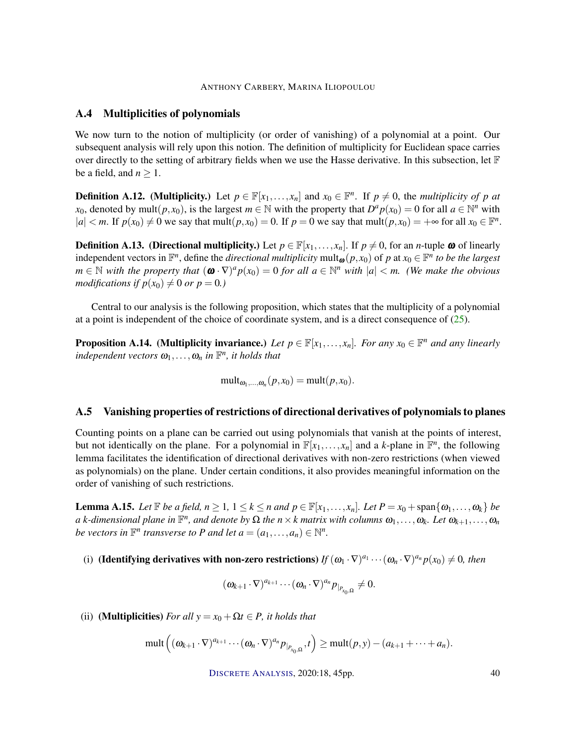#### A.4 Multiplicities of polynomials

We now turn to the notion of multiplicity (or order of vanishing) of a polynomial at a point. Our subsequent analysis will rely upon this notion. The definition of multiplicity for Euclidean space carries over directly to the setting of arbitrary fields when we use the Hasse derivative. In this subsection, let  $\mathbb F$ be a field, and  $n \geq 1$ .

**Definition A.12.** (Multiplicity.) Let  $p \in \mathbb{F}[x_1,\ldots,x_n]$  and  $x_0 \in \mathbb{F}^n$ . If  $p \neq 0$ , the *multiplicity of*  $p$  *at x*<sub>0</sub>, denoted by mult $(p, x_0)$ , is the largest  $m \in \mathbb{N}$  with the property that  $D^a p(x_0) = 0$  for all  $a \in \mathbb{N}^n$  with  $|a| < m$ . If  $p(x_0) \neq 0$  we say that mult $(p, x_0) = 0$ . If  $p = 0$  we say that mult $(p, x_0) = +\infty$  for all  $x_0 \in \mathbb{F}^n$ .

**Definition A.13.** (Directional multiplicity.) Let  $p \in \mathbb{F}[x_1,\ldots,x_n]$ . If  $p \neq 0$ , for an *n*-tuple  $\omega$  of linearly independent vectors in  $\mathbb{F}^n$ , define the *directional multiplicity* mult<sub> $\omega$ </sub>( $p, x_0$ ) of  $p$  at  $x_0 \in \mathbb{F}^n$  to be the largest  $m \in \mathbb{N}$  with the property that  $(\boldsymbol{\omega} \cdot \nabla)^a p(x_0) = 0$  for all  $a \in \mathbb{N}^n$  with  $|a| < m$ . (We make the obvious *modifications if*  $p(x_0) \neq 0$  *or*  $p = 0$ *.*)

Central to our analysis is the following proposition, which states that the multiplicity of a polynomial at a point is independent of the choice of coordinate system, and is a direct consequence of  $(25)$ .

**Proposition A.14.** (Multiplicity invariance.) Let  $p \in \mathbb{F}[x_1,\ldots,x_n]$ . For any  $x_0 \in \mathbb{F}^n$  and any linearly  $\mathcal{I}$ *independent vectors*  $\omega_1, \ldots, \omega_n$  *in*  $\mathbb{F}^n$ *, it holds that* 

 $mult_{\omega_1,...,\omega_n}(p, x_0) = mult(p, x_0).$ 

#### A.5 Vanishing properties of restrictions of directional derivatives of polynomials to planes

Counting points on a plane can be carried out using polynomials that vanish at the points of interest, but not identically on the plane. For a polynomial in  $\mathbb{F}[x_1,\ldots,x_n]$  and a *k*-plane in  $\mathbb{F}^n$ , the following lemma facilitates the identification of directional derivatives with non-zero restrictions (when viewed as polynomials) on the plane. Under certain conditions, it also provides meaningful information on the order of vanishing of such restrictions.

**Lemma A.15.** Let  $\mathbb{F}$  be a field,  $n \geq 1$ ,  $1 \leq k \leq n$  and  $p \in \mathbb{F}[x_1,\ldots,x_n]$ . Let  $P = x_0 + \text{span}\{\omega_1,\ldots,\omega_k\}$  be  $a$  *k*-dimensional plane in  $\mathbb{F}^n$ , and denote by  $\Omega$  the  $n \times k$  matrix with columns  $\omega_1, \ldots, \omega_k$ *. Let*  $\omega_{k+1}, \ldots, \omega_n$ *be vectors in*  $\mathbb{F}^n$  *transverse to P* and let  $a = (a_1, \ldots, a_n) \in \mathbb{N}^n$ .

(i) (**Identifying derivatives with non-zero restrictions)**  $If$   $(\omega_1 \cdot \nabla)^{a_1} \cdots (\omega_n \cdot \nabla)^{a_n} p(x_0) \neq 0$ , then

$$
(\omega_{k+1}\cdot\nabla)^{a_{k+1}}\cdots(\omega_n\cdot\nabla)^{a_n}p_{|_{P_{x_0,\Omega}}}\neq 0.
$$

(ii) (**Multiplicities**) *For all*  $y = x_0 + \Omega t \in P$ *, it holds that* 

$$
\text{mult}\left((\omega_{k+1}\cdot\nabla)^{a_{k+1}}\cdots(\omega_n\cdot\nabla)^{a_n}P_{|_{P_{x_0,\Omega}}},t\right)\geq \text{mult}(p,y)-(a_{k+1}+\cdots+a_n).
$$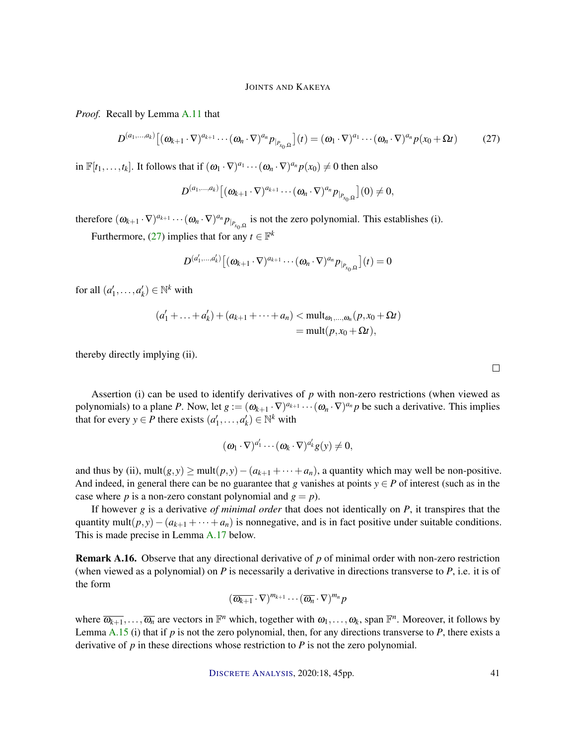*Proof.* Recall by Lemma A.11 that

$$
D^{(a_1,...,a_k)}\big[(\omega_{k+1}\cdot\nabla)^{a_{k+1}}\cdots(\omega_n\cdot\nabla)^{a_n}p_{|_{P_{x_0,\Omega}}}\big](t)=(\omega_1\cdot\nabla)^{a_1}\cdots(\omega_n\cdot\nabla)^{a_n}p(x_0+\Omega t)
$$
(27)

in  $\mathbb{F}[t_1,\ldots,t_k]$ . It follows that if  $(\omega_1 \cdot \nabla)^{a_1} \cdots (\omega_n \cdot \nabla)^{a_n} p(x_0) \neq 0$  then also

$$
D^{(a_1,\ldots,a_k)}\big[(\omega_{k+1}\cdot\nabla)^{a_{k+1}}\cdots(\omega_n\cdot\nabla)^{a_n}p_{|_{P_{x_0,\Omega}}}\big](0)\neq 0,
$$

therefore  $(\omega_{k+1} \cdot \nabla)^{a_{k+1}} \cdots (\omega_n \cdot \nabla)^{a_n} p_{\vert_{P_{x_0,\Omega}}}$  is not the zero polynomial. This establishes (i).

Furthermore, (27) implies that for any  $t \in \mathbb{F}^k$ 

$$
D^{(a'_1,...,a'_k)}\big[(\boldsymbol{\omega}_{k+1}\cdot\nabla)^{a_{k+1}}\cdots(\boldsymbol{\omega}_n\cdot\nabla)^{a_n}P_{|_{P_{x_0,\Omega}}}\big](t)=0
$$

for all  $(a'_1, \ldots, a'_k) \in \mathbb{N}^k$  with

$$
(a'_1 + \ldots + a'_k) + (a_{k+1} + \cdots + a_n) < \text{mult}_{\omega_1, \ldots, \omega_n}(p, x_0 + \Omega t) \\
= \text{mult}(p, x_0 + \Omega t),
$$

thereby directly implying (ii).

Assertion (i) can be used to identify derivatives of *p* with non-zero restrictions (when viewed as polynomials) to a plane *P*. Now, let  $g := (\omega_{k+1} \cdot \nabla)^{a_{k+1}} \cdots (\omega_n \cdot \nabla)^{a_n} p$  be such a derivative. This implies that for every *y*  $\in$  *P* there exists  $(a'_1, ..., a'_k) \in \mathbb{N}^k$  with

$$
(\boldsymbol{\omega}_1\cdot\nabla)^{a'_1}\cdots(\boldsymbol{\omega}_k\cdot\nabla)^{a'_k}g(y)\neq 0,
$$

and thus by (ii), mult $(g, y) \ge \text{mult}(p, y) - (a_{k+1} + \cdots + a_n)$ , a quantity which may well be non-positive. And indeed, in general there can be no guarantee that *g* vanishes at points  $y \in P$  of interest (such as in the case where *p* is a non-zero constant polynomial and  $g = p$ ).

If however *g* is a derivative *of minimal order* that does not identically on *P*, it transpires that the quantity mult( $p, y$ ) − ( $a_{k+1}$  + ···+ $a_n$ ) is nonnegative, and is in fact positive under suitable conditions. This is made precise in Lemma A.17 below.

Remark A.16. Observe that any directional derivative of *p* of minimal order with non-zero restriction (when viewed as a polynomial) on *P* is necessarily a derivative in directions transverse to *P*, i.e. it is of the form

$$
(\overline{\omega_{k+1}}\cdot\nabla)^{m_{k+1}}\cdots(\overline{\omega_n}\cdot\nabla)^{m_n}p
$$

where  $\overline{\omega_{k+1}, \ldots, \omega_n}$  are vectors in  $\mathbb{F}^n$  which, together with  $\omega_1, \ldots, \omega_k$ , span  $\mathbb{F}^n$ . Moreover, it follows by Lemma A.15 (i) that if  $p$  is not the zero polynomial, then, for any directions transverse to  $P$ , there exists a derivative of *p* in these directions whose restriction to *P* is not the zero polynomial.

DISCRETE A[NALYSIS](http://dx.doi.org/10.19086/da), 2020:18, 45pp. 41

 $\Box$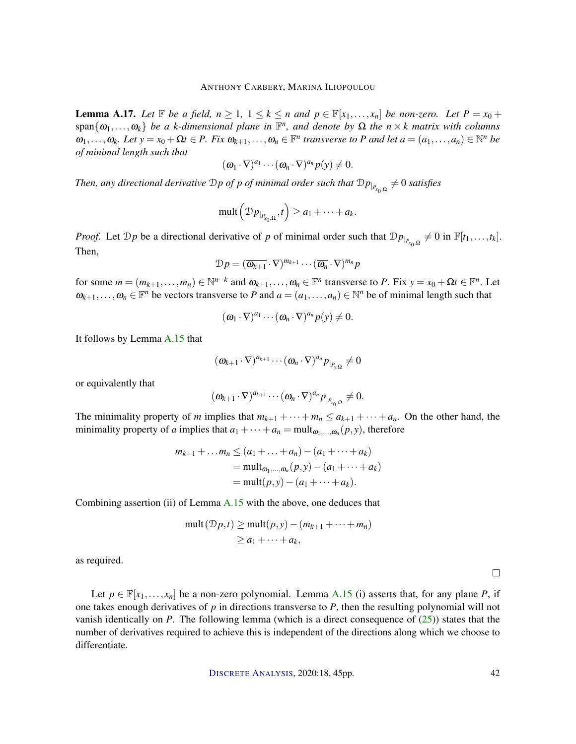**Lemma A.17.** Let  $\mathbb{F}$  be a field,  $n \geq 1$ ,  $1 \leq k \leq n$  and  $p \in \mathbb{F}[x_1, \ldots, x_n]$  be non-zero. Let  $P = x_0 +$  $\{ \omega_1, \ldots, \omega_k \}$  *be a k-dimensional plane in*  $\mathbb{F}^n$ , and denote by  $\Omega$  the  $n \times k$  matrix with columns  $\omega_1,\ldots,\omega_k$ . Let  $y = x_0 + \Omega t \in P$ . Fix  $\omega_{k+1},\ldots,\omega_n \in \mathbb{F}^n$  transverse to P and let  $a = (a_1,\ldots,a_n) \in \mathbb{N}^n$  be *of minimal length such that*

$$
(\omega_1\cdot\nabla)^{a_1}\cdots(\omega_n\cdot\nabla)^{a_n}p(y)\neq 0.
$$

*Then, any directional derivative*  $D$  *p of p of minimal order such that*  $Dp_{|_{P_{x_0,\Omega}}} \neq 0$  *satisfies* 

$$
\operatorname{mult} \left( \mathcal{D} p_{|_{P_{x_0,\Omega}}}, t \right) \geq a_1 + \cdots + a_k.
$$

*Proof.* Let  $\mathcal{D}p$  be a directional derivative of *p* of minimal order such that  $\mathcal{D}p|_{P_{x_0,\Omega}} \neq 0$  in  $\mathbb{F}[t_1,\ldots,t_k]$ . Then,

$$
\mathcal{D}p = (\overline{\omega_{k+1}} \cdot \nabla)^{m_{k+1}} \cdots (\overline{\omega_n} \cdot \nabla)^{m_n} p
$$

for some  $m = (m_{k+1}, \ldots, m_n) \in \mathbb{N}^{n-k}$  and  $\overline{\omega_{k+1}}, \ldots, \overline{\omega_n} \in \mathbb{F}^n$  transverse to *P*. Fix  $y = x_0 + \Omega t \in \mathbb{F}^n$ . Let  $\omega_{k+1}, \ldots, \omega_n \in \mathbb{F}^n$  be vectors transverse to *P* and  $a = (a_1, \ldots, a_n) \in \mathbb{N}^n$  be of minimal length such that

$$
(\omega_1\cdot\nabla)^{a_1}\cdots(\omega_n\cdot\nabla)^{a_n}p(y)\neq 0.
$$

It follows by Lemma A.15 that

$$
(\boldsymbol{\omega}_{k+1}\cdot\nabla)^{a_{k+1}}\cdots(\boldsymbol{\omega}_n\cdot\nabla)^{a_n}p_{\vert_{P_{y,\Omega}}} \neq 0
$$

or equivalently that

$$
(\omega_{k+1}\cdot\nabla)^{a_{k+1}}\cdots(\omega_n\cdot\nabla)^{a_n}p_{|_{P_{x_0,\Omega}}}\neq 0.
$$

The minimality property of *m* implies that  $m_{k+1} + \cdots + m_n \le a_{k+1} + \cdots + a_n$ . On the other hand, the minimality property of *a* implies that  $a_1 + \cdots + a_n = \text{mult}_{\omega_1, \dots, \omega_n}(p, y)$ , therefore

$$
m_{k+1} + \dots + m_n \le (a_1 + \dots + a_n) - (a_1 + \dots + a_k)
$$
  
=  $\text{mult}_{\omega_1, \dots, \omega_n}(p, y) - (a_1 + \dots + a_k)$   
=  $\text{mult}(p, y) - (a_1 + \dots + a_k)$ .

Combining assertion (ii) of Lemma  $A.15$  with the above, one deduces that

$$
\text{mult}(\mathcal{D}p, t) \ge \text{mult}(p, y) - (m_{k+1} + \dots + m_n)
$$
  

$$
\ge a_1 + \dots + a_k,
$$

as required.

Let  $p \in \mathbb{F}[x_1,\ldots,x_n]$  be a non-zero polynomial. Lemma A.15 (i) asserts that, for any plane *P*, if one takes enough derivatives of *p* in directions transverse to *P*, then the resulting polynomial will not vanish identically on *P*. The following lemma (which is a direct consequence of (25)) states that the number of derivatives required to achieve this is independent of the directions along which we choose to differentiate.

DISCRETE A[NALYSIS](http://dx.doi.org/10.19086/da), 2020:18, 45pp. 42

 $\Box$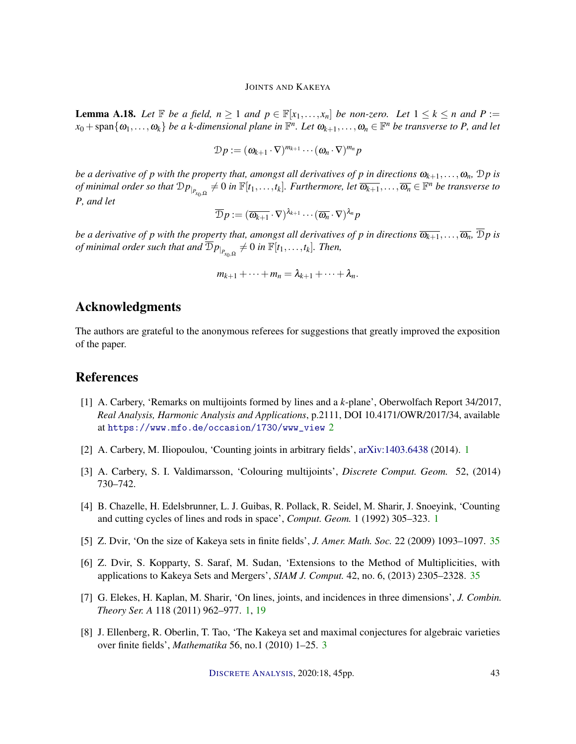**Lemma A.18.** Let  $\mathbb{F}$  be a field,  $n \geq 1$  and  $p \in \mathbb{F}[x_1, \ldots, x_n]$  be non-zero. Let  $1 \leq k \leq n$  and  $P :=$  $x_0 + \text{span}\{\omega_1,\ldots,\omega_k\}$  *be a k-dimensional plane in*  $\mathbb{F}^n$ *. Let*  $\omega_{k+1},\ldots,\omega_n \in \mathbb{F}^n$  *be transverse to P, and let* 

$$
\mathcal{D}p := (\boldsymbol{\omega}_{k+1}\cdot\nabla)^{m_{k+1}}\cdots(\boldsymbol{\omega}_n\cdot\nabla)^{m_n}p
$$

*be a derivative of p with the property that, amongst all derivatives of p in directions*  $\omega_{k+1},\ldots,\omega_n$ *,*  $\mathcal{D}p$  *is of minimal order so that*  $Dp_{|_{P_{x_0,\Omega}}} \neq 0$  *in*  $\mathbb{F}[t_1,\ldots,t_k]$ . Furthermore, let  $\overline{\omega_{k+1}},\ldots,\overline{\omega_n} \in \mathbb{F}^n$  be transverse to *P, and let*

$$
\overline{\mathcal{D}}p := (\overline{\omega_{k+1}} \cdot \nabla)^{\lambda_{k+1}} \cdots (\overline{\omega_n} \cdot \nabla)^{\lambda_n} p
$$

*be a derivative of p with the property that, amongst all derivatives of p in directions*  $\overline{\omega_{k+1}},\ldots,\overline{\omega_n},\overline{\mathcal{D}}p$  *is*  $of \, minimal \, order \, such \, that \, and \, \overline{\mathcal{D}}_{P|_{P_{x_0,\Omega}}} \neq 0 \, \, in \, \mathbb{F}[t_1,\ldots,t_k]. \,\, Then,$ 

$$
m_{k+1}+\cdots+m_n=\lambda_{k+1}+\cdots+\lambda_n.
$$

# Acknowledgments

The authors are grateful to the anonymous referees for suggestions that greatly improved the exposition of the paper.

## References

- [1] A. Carbery, 'Remarks on multijoints formed by lines and a *k*-plane', Oberwolfach Report 34/2017, *Real Analysis, Harmonic Analysis and Applications*, p.2111, DOI 10.4171/OWR/2017/34, available at [https://www.mfo.de/occasion/1730/www\\_view](https://www.mfo.de/occasion/1730/www_view) 2
- [2] A. Carbery, M. Iliopoulou, 'Counting joints in arbitrary fields', [arXiv:1403.6438](http://arxiv.org/abs/1403.6438) (2014). 1
- [3] A. Carbery, S. I. Valdimarsson, 'Colouring multijoints', *Discrete Comput. Geom.* 52, (2014) 730–742.
- [4] B. Chazelle, H. Edelsbrunner, L. J. Guibas, R. Pollack, R. Seidel, M. Sharir, J. Snoeyink, 'Counting and cutting cycles of lines and rods in space', *Comput. Geom.* 1 (1992) 305–323. 1
- [5] Z. Dvir, 'On the size of Kakeya sets in finite fields', *J. Amer. Math. Soc.* 22 (2009) 1093–1097. 35
- [6] Z. Dvir, S. Kopparty, S. Saraf, M. Sudan, 'Extensions to the Method of Multiplicities, with applications to Kakeya Sets and Mergers', *SIAM J. Comput.* 42, no. 6, (2013) 2305–2328. 35
- [7] G. Elekes, H. Kaplan, M. Sharir, 'On lines, joints, and incidences in three dimensions', *J. Combin. Theory Ser. A* 118 (2011) 962–977. 1, 19
- [8] J. Ellenberg, R. Oberlin, T. Tao, 'The Kakeya set and maximal conjectures for algebraic varieties over finite fields', *Mathematika* 56, no.1 (2010) 1–25. 3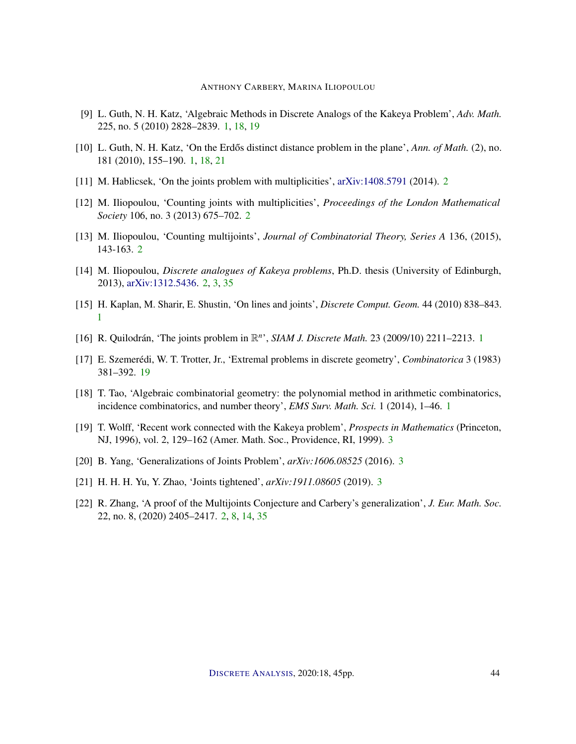- [9] L. Guth, N. H. Katz, 'Algebraic Methods in Discrete Analogs of the Kakeya Problem', *Adv. Math.* 225, no. 5 (2010) 2828–2839. 1, 18, 19
- [10] L. Guth, N. H. Katz, 'On the Erdős distinct distance problem in the plane', *Ann. of Math.* (2), no. 181 (2010), 155–190. 1, 18, 21
- [11] M. Hablicsek, 'On the joints problem with multiplicities', [arXiv:1408.5791](http://arxiv.org/abs/1408.5791) (2014). 2
- [12] M. Iliopoulou, 'Counting joints with multiplicities', *Proceedings of the London Mathematical Society* 106, no. 3 (2013) 675–702. 2
- [13] M. Iliopoulou, 'Counting multijoints', *Journal of Combinatorial Theory, Series A* 136, (2015), 143-163. 2
- [14] M. Iliopoulou, *Discrete analogues of Kakeya problems*, Ph.D. thesis (University of Edinburgh, 2013), [arXiv:1312.5436.](http://arxiv.org/abs/1312.5436) 2, 3, 35
- [15] H. Kaplan, M. Sharir, E. Shustin, 'On lines and joints', *Discrete Comput. Geom.* 44 (2010) 838–843. 1
- [16] R. Quilodrán, 'The joints problem in  $\mathbb{R}^n$ ', *SIAM J. Discrete Math.* 23 (2009/10) 2211-2213. 1
- [17] E. Szemerédi, W. T. Trotter, Jr., 'Extremal problems in discrete geometry', *Combinatorica* 3 (1983) 381–392. 19
- [18] T. Tao, 'Algebraic combinatorial geometry: the polynomial method in arithmetic combinatorics, incidence combinatorics, and number theory', *EMS Surv. Math. Sci.* 1 (2014), 1–46. 1
- [19] T. Wolff, 'Recent work connected with the Kakeya problem', *Prospects in Mathematics* (Princeton, NJ, 1996), vol. 2, 129–162 (Amer. Math. Soc., Providence, RI, 1999). 3
- [20] B. Yang, 'Generalizations of Joints Problem', *arXiv:1606.08525* (2016). 3
- [21] H. H. H. Yu, Y. Zhao, 'Joints tightened', *arXiv:1911.08605* (2019). 3
- [22] R. Zhang, 'A proof of the Multijoints Conjecture and Carbery's generalization', *J. Eur. Math. Soc.* 22, no. 8, (2020) 2405–2417. 2, 8, 14, 35